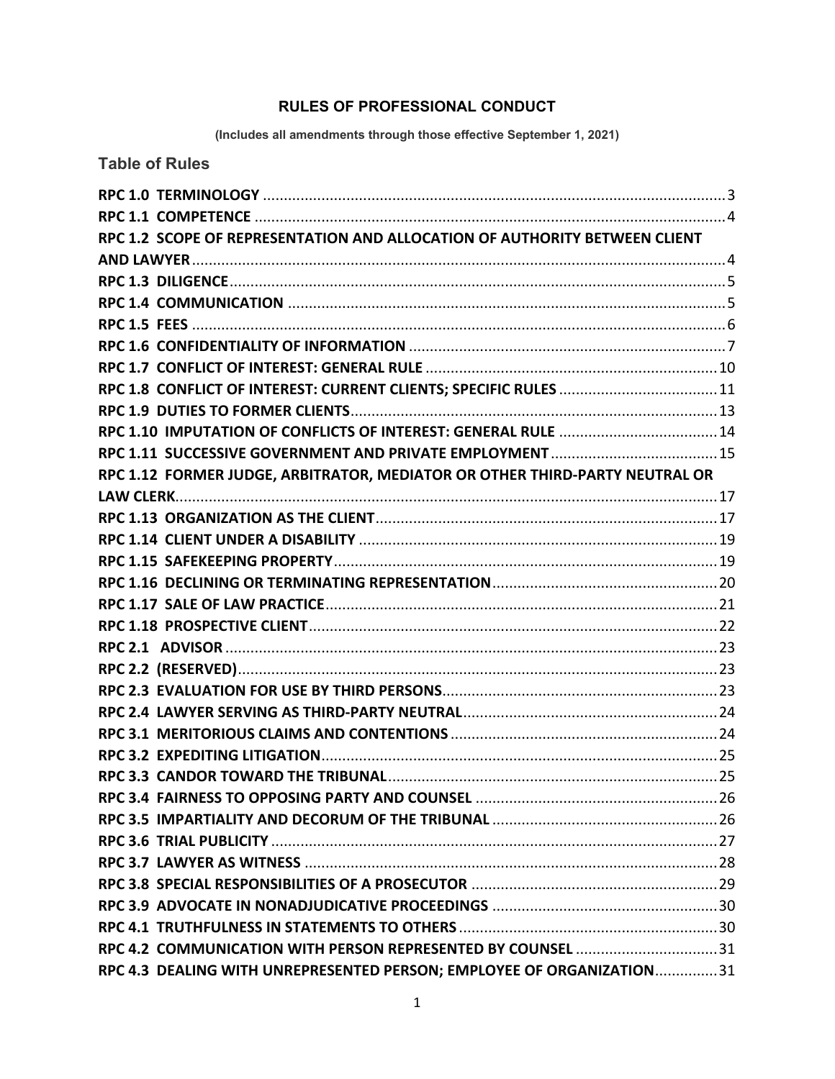#### **RULES OF PROFESSIONAL CONDUCT**

**(Includes all amendments through those effective September 1, 2021)**

| <b>Table of Rules</b>                                                       |  |
|-----------------------------------------------------------------------------|--|
|                                                                             |  |
|                                                                             |  |
| RPC 1.2 SCOPE OF REPRESENTATION AND ALLOCATION OF AUTHORITY BETWEEN CLIENT  |  |
|                                                                             |  |
|                                                                             |  |
|                                                                             |  |
|                                                                             |  |
|                                                                             |  |
|                                                                             |  |
|                                                                             |  |
|                                                                             |  |
|                                                                             |  |
|                                                                             |  |
| RPC 1.12 FORMER JUDGE, ARBITRATOR, MEDIATOR OR OTHER THIRD-PARTY NEUTRAL OR |  |
|                                                                             |  |
|                                                                             |  |
|                                                                             |  |
|                                                                             |  |
|                                                                             |  |
|                                                                             |  |
|                                                                             |  |
|                                                                             |  |
|                                                                             |  |
|                                                                             |  |
|                                                                             |  |
|                                                                             |  |
|                                                                             |  |
|                                                                             |  |
|                                                                             |  |
|                                                                             |  |
|                                                                             |  |
|                                                                             |  |
|                                                                             |  |
|                                                                             |  |
|                                                                             |  |
|                                                                             |  |
| RPC 4.3 DEALING WITH UNREPRESENTED PERSON; EMPLOYEE OF ORGANIZATION31       |  |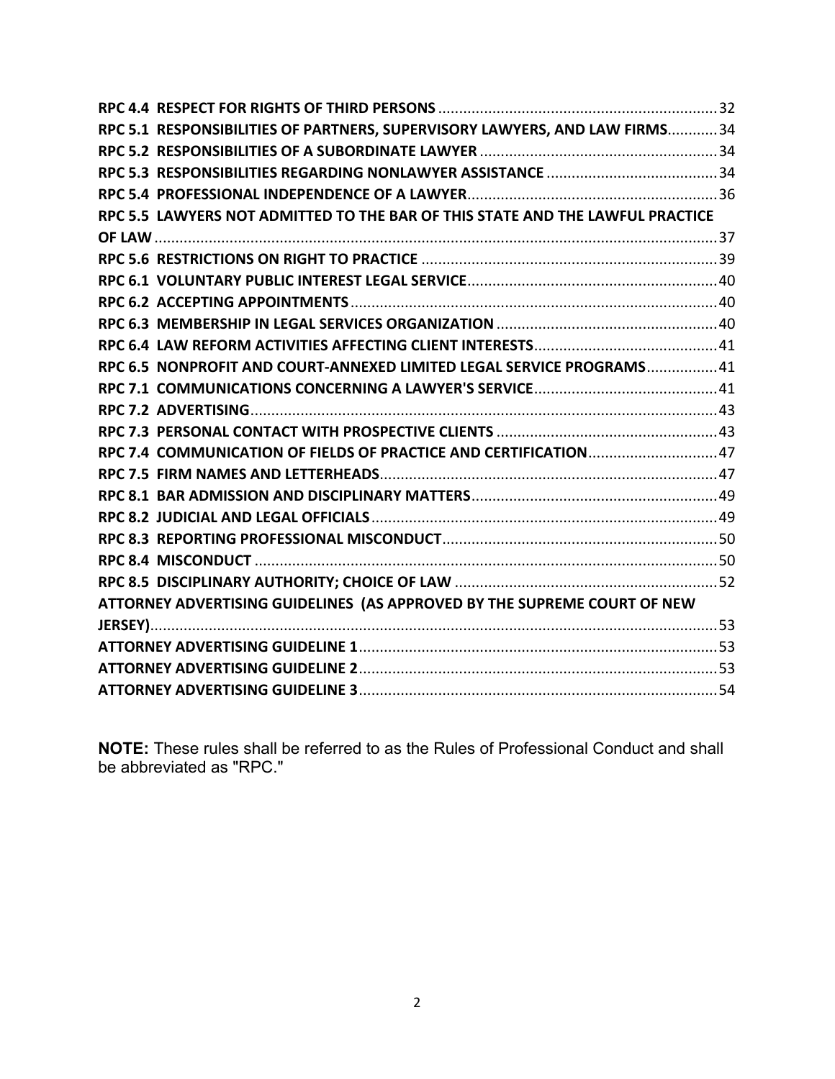| RPC 5.1 RESPONSIBILITIES OF PARTNERS, SUPERVISORY LAWYERS, AND LAW FIRMS34    |  |
|-------------------------------------------------------------------------------|--|
|                                                                               |  |
|                                                                               |  |
|                                                                               |  |
| RPC 5.5 LAWYERS NOT ADMITTED TO THE BAR OF THIS STATE AND THE LAWFUL PRACTICE |  |
|                                                                               |  |
|                                                                               |  |
|                                                                               |  |
|                                                                               |  |
|                                                                               |  |
|                                                                               |  |
| RPC 6.5 NONPROFIT AND COURT-ANNEXED LIMITED LEGAL SERVICE PROGRAMS 41         |  |
|                                                                               |  |
|                                                                               |  |
|                                                                               |  |
| RPC 7.4 COMMUNICATION OF FIELDS OF PRACTICE AND CERTIFICATION 47              |  |
|                                                                               |  |
|                                                                               |  |
|                                                                               |  |
|                                                                               |  |
|                                                                               |  |
|                                                                               |  |
| ATTORNEY ADVERTISING GUIDELINES (AS APPROVED BY THE SUPREME COURT OF NEW      |  |
|                                                                               |  |
|                                                                               |  |
|                                                                               |  |
|                                                                               |  |

**NOTE:** These rules shall be referred to as the Rules of Professional Conduct and shall be abbreviated as "RPC."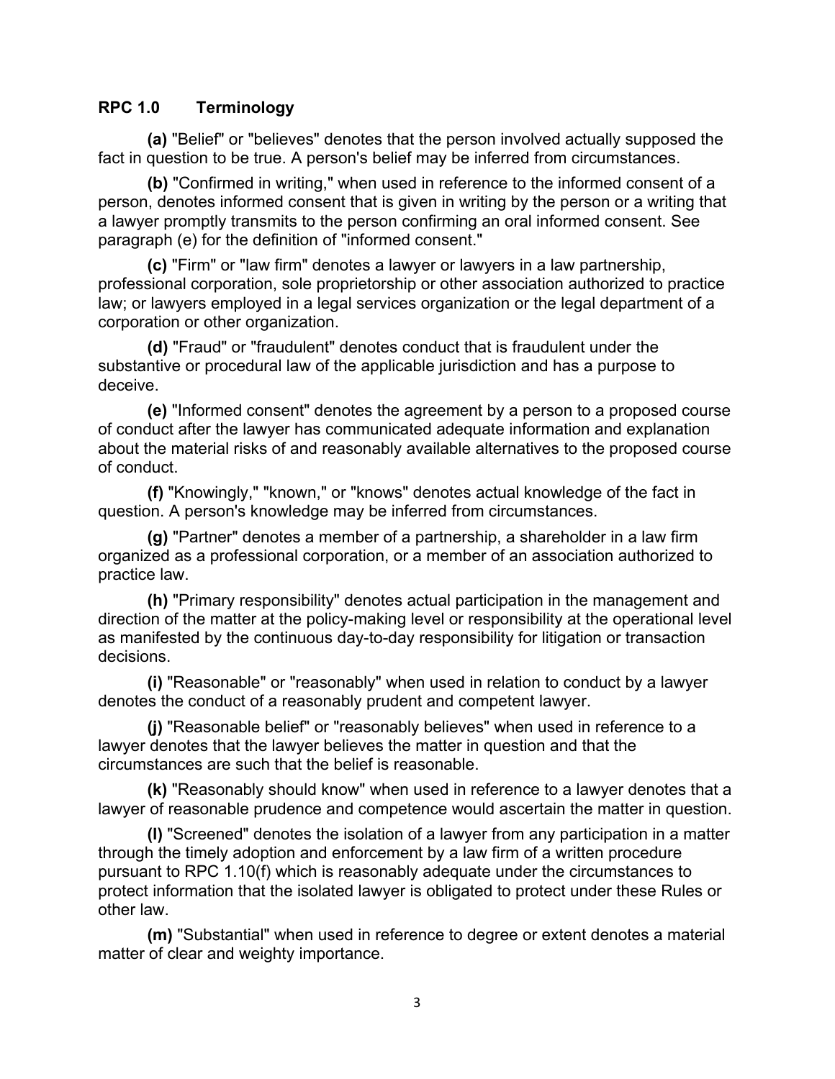#### <span id="page-2-0"></span>**RPC 1.0 Terminology**

**(a)** "Belief" or "believes" denotes that the person involved actually supposed the fact in question to be true. A person's belief may be inferred from circumstances.

**(b)** "Confirmed in writing," when used in reference to the informed consent of a person, denotes informed consent that is given in writing by the person or a writing that a lawyer promptly transmits to the person confirming an oral informed consent. See paragraph (e) for the definition of "informed consent."

**(c)** "Firm" or "law firm" denotes a lawyer or lawyers in a law partnership, professional corporation, sole proprietorship or other association authorized to practice law; or lawyers employed in a legal services organization or the legal department of a corporation or other organization.

**(d)** "Fraud" or "fraudulent" denotes conduct that is fraudulent under the substantive or procedural law of the applicable jurisdiction and has a purpose to deceive.

**(e)** "Informed consent" denotes the agreement by a person to a proposed course of conduct after the lawyer has communicated adequate information and explanation about the material risks of and reasonably available alternatives to the proposed course of conduct.

**(f)** "Knowingly," "known," or "knows" denotes actual knowledge of the fact in question. A person's knowledge may be inferred from circumstances.

**(g)** "Partner" denotes a member of a partnership, a shareholder in a law firm organized as a professional corporation, or a member of an association authorized to practice law.

**(h)** "Primary responsibility" denotes actual participation in the management and direction of the matter at the policy-making level or responsibility at the operational level as manifested by the continuous day-to-day responsibility for litigation or transaction decisions.

**(i)** "Reasonable" or "reasonably" when used in relation to conduct by a lawyer denotes the conduct of a reasonably prudent and competent lawyer.

**(j)** "Reasonable belief" or "reasonably believes" when used in reference to a lawyer denotes that the lawyer believes the matter in question and that the circumstances are such that the belief is reasonable.

**(k)** "Reasonably should know" when used in reference to a lawyer denotes that a lawyer of reasonable prudence and competence would ascertain the matter in question.

**(l)** "Screened" denotes the isolation of a lawyer from any participation in a matter through the timely adoption and enforcement by a law firm of a written procedure pursuant to RPC 1.10(f) which is reasonably adequate under the circumstances to protect information that the isolated lawyer is obligated to protect under these Rules or other law.

**(m)** "Substantial" when used in reference to degree or extent denotes a material matter of clear and weighty importance.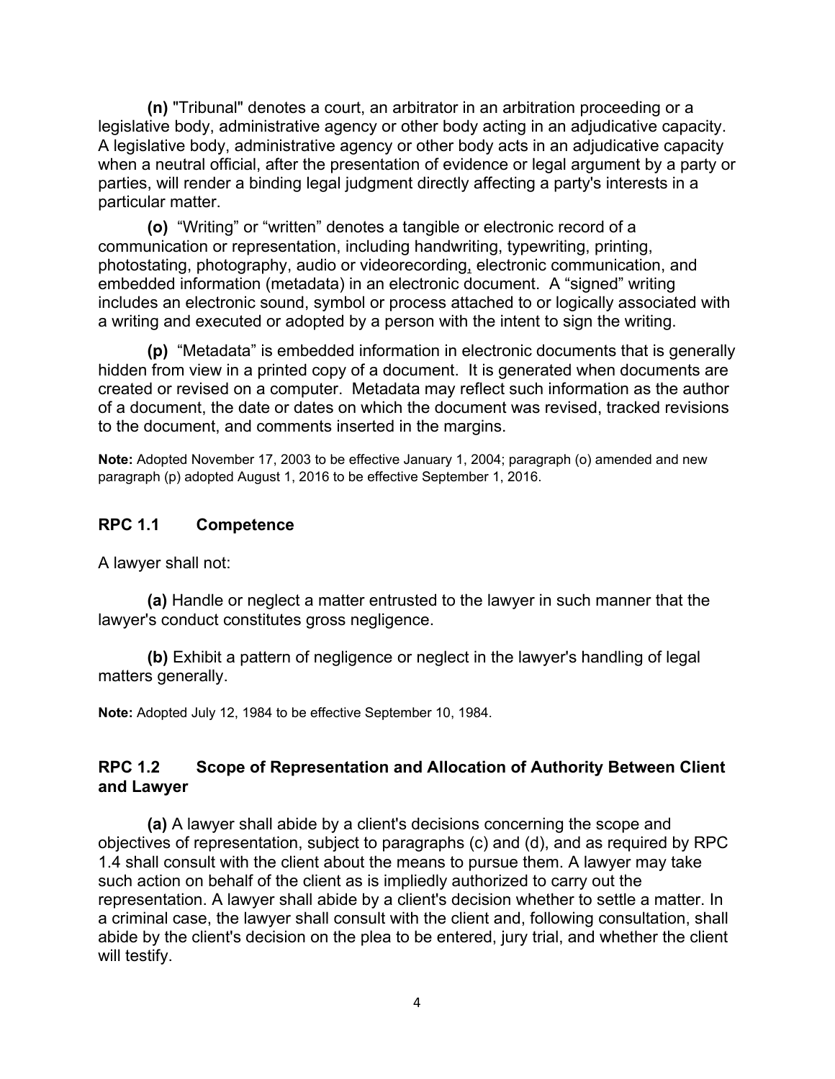**(n)** "Tribunal" denotes a court, an arbitrator in an arbitration proceeding or a legislative body, administrative agency or other body acting in an adjudicative capacity. A legislative body, administrative agency or other body acts in an adjudicative capacity when a neutral official, after the presentation of evidence or legal argument by a party or parties, will render a binding legal judgment directly affecting a party's interests in a particular matter.

**(o)** "Writing" or "written" denotes a tangible or electronic record of a communication or representation, including handwriting, typewriting, printing, photostating, photography, audio or videorecording, electronic communication, and embedded information (metadata) in an electronic document. A "signed" writing includes an electronic sound, symbol or process attached to or logically associated with a writing and executed or adopted by a person with the intent to sign the writing.

**(p)** "Metadata" is embedded information in electronic documents that is generally hidden from view in a printed copy of a document. It is generated when documents are created or revised on a computer. Metadata may reflect such information as the author of a document, the date or dates on which the document was revised, tracked revisions to the document, and comments inserted in the margins.

**Note:** Adopted November 17, 2003 to be effective January 1, 2004; paragraph (o) amended and new paragraph (p) adopted August 1, 2016 to be effective September 1, 2016.

#### <span id="page-3-0"></span>**RPC 1.1 Competence**

A lawyer shall not:

**(a)** Handle or neglect a matter entrusted to the lawyer in such manner that the lawyer's conduct constitutes gross negligence.

**(b)** Exhibit a pattern of negligence or neglect in the lawyer's handling of legal matters generally.

**Note:** Adopted July 12, 1984 to be effective September 10, 1984.

#### <span id="page-3-1"></span>**RPC 1.2 Scope of Representation and Allocation of Authority Between Client and Lawyer**

**(a)** A lawyer shall abide by a client's decisions concerning the scope and objectives of representation, subject to paragraphs (c) and (d), and as required by RPC 1.4 shall consult with the client about the means to pursue them. A lawyer may take such action on behalf of the client as is impliedly authorized to carry out the representation. A lawyer shall abide by a client's decision whether to settle a matter. In a criminal case, the lawyer shall consult with the client and, following consultation, shall abide by the client's decision on the plea to be entered, jury trial, and whether the client will testify.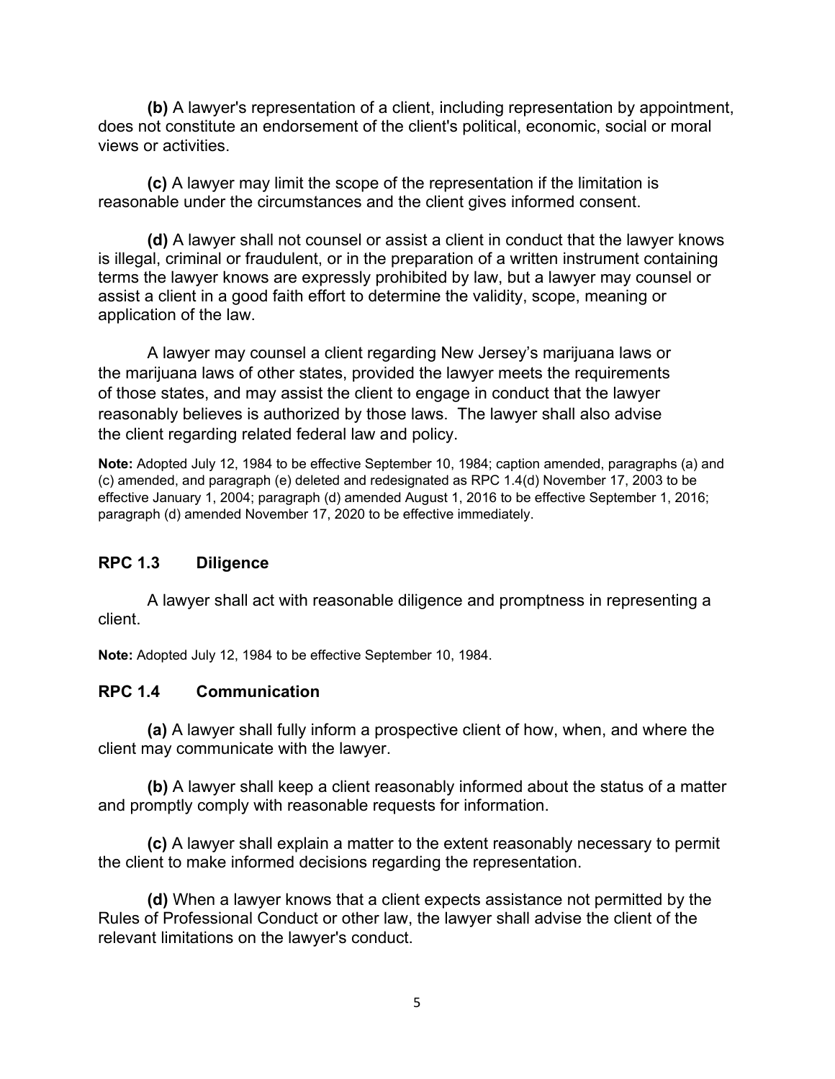**(b)** A lawyer's representation of a client, including representation by appointment, does not constitute an endorsement of the client's political, economic, social or moral views or activities.

**(c)** A lawyer may limit the scope of the representation if the limitation is reasonable under the circumstances and the client gives informed consent.

**(d)** A lawyer shall not counsel or assist a client in conduct that the lawyer knows is illegal, criminal or fraudulent, or in the preparation of a written instrument containing terms the lawyer knows are expressly prohibited by law, but a lawyer may counsel or assist a client in a good faith effort to determine the validity, scope, meaning or application of the law.

A lawyer may counsel a client regarding New Jersey's marijuana laws or the marijuana laws of other states, provided the lawyer meets the requirements of those states, and may assist the client to engage in conduct that the lawyer reasonably believes is authorized by those laws. The lawyer shall also advise the client regarding related federal law and policy.

**Note:** Adopted July 12, 1984 to be effective September 10, 1984; caption amended, paragraphs (a) and (c) amended, and paragraph (e) deleted and redesignated as RPC 1.4(d) November 17, 2003 to be effective January 1, 2004; paragraph (d) amended August 1, 2016 to be effective September 1, 2016; paragraph (d) amended November 17, 2020 to be effective immediately.

## <span id="page-4-0"></span>**RPC 1.3 Diligence**

A lawyer shall act with reasonable diligence and promptness in representing a client.

**Note:** Adopted July 12, 1984 to be effective September 10, 1984.

## <span id="page-4-1"></span>**RPC 1.4 Communication**

**(a)** A lawyer shall fully inform a prospective client of how, when, and where the client may communicate with the lawyer.

**(b)** A lawyer shall keep a client reasonably informed about the status of a matter and promptly comply with reasonable requests for information.

**(c)** A lawyer shall explain a matter to the extent reasonably necessary to permit the client to make informed decisions regarding the representation.

**(d)** When a lawyer knows that a client expects assistance not permitted by the Rules of Professional Conduct or other law, the lawyer shall advise the client of the relevant limitations on the lawyer's conduct.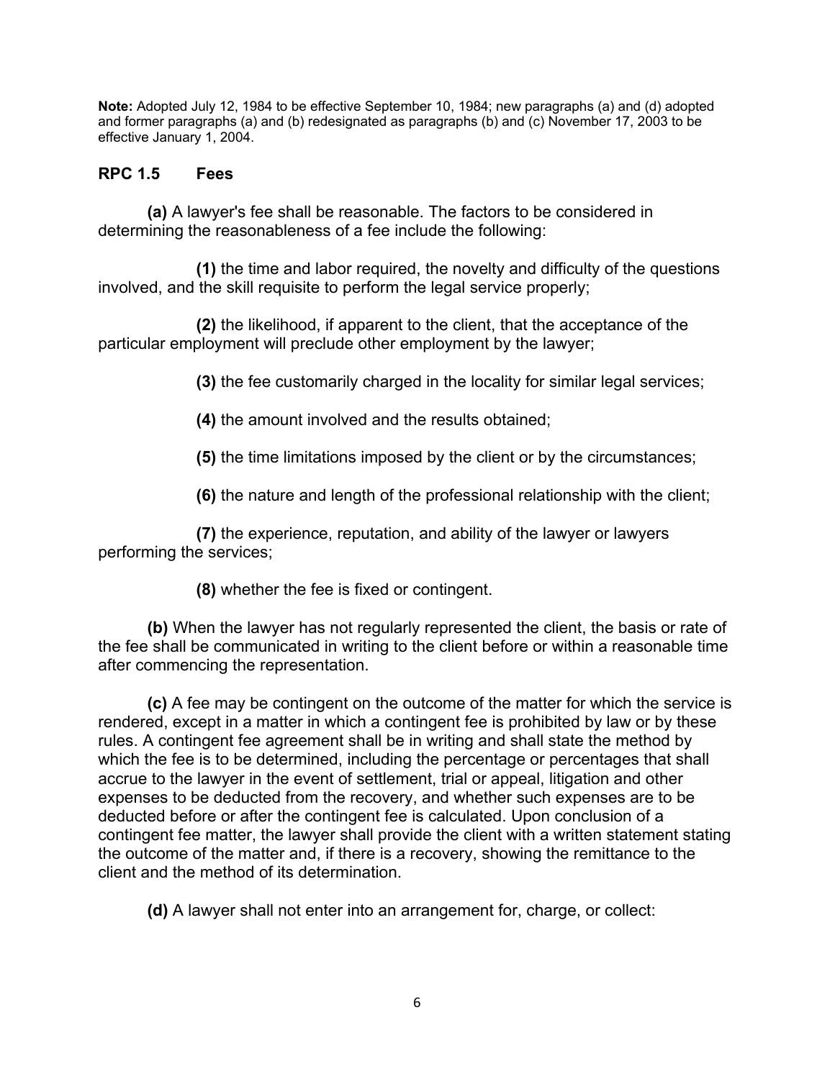**Note:** Adopted July 12, 1984 to be effective September 10, 1984; new paragraphs (a) and (d) adopted and former paragraphs (a) and (b) redesignated as paragraphs (b) and (c) November 17, 2003 to be effective January 1, 2004.

#### <span id="page-5-0"></span>**RPC 1.5 Fees**

**(a)** A lawyer's fee shall be reasonable. The factors to be considered in determining the reasonableness of a fee include the following:

**(1)** the time and labor required, the novelty and difficulty of the questions involved, and the skill requisite to perform the legal service properly;

**(2)** the likelihood, if apparent to the client, that the acceptance of the particular employment will preclude other employment by the lawyer;

**(3)** the fee customarily charged in the locality for similar legal services;

**(4)** the amount involved and the results obtained;

**(5)** the time limitations imposed by the client or by the circumstances;

**(6)** the nature and length of the professional relationship with the client;

**(7)** the experience, reputation, and ability of the lawyer or lawyers performing the services;

**(8)** whether the fee is fixed or contingent.

**(b)** When the lawyer has not regularly represented the client, the basis or rate of the fee shall be communicated in writing to the client before or within a reasonable time after commencing the representation.

**(c)** A fee may be contingent on the outcome of the matter for which the service is rendered, except in a matter in which a contingent fee is prohibited by law or by these rules. A contingent fee agreement shall be in writing and shall state the method by which the fee is to be determined, including the percentage or percentages that shall accrue to the lawyer in the event of settlement, trial or appeal, litigation and other expenses to be deducted from the recovery, and whether such expenses are to be deducted before or after the contingent fee is calculated. Upon conclusion of a contingent fee matter, the lawyer shall provide the client with a written statement stating the outcome of the matter and, if there is a recovery, showing the remittance to the client and the method of its determination.

**(d)** A lawyer shall not enter into an arrangement for, charge, or collect: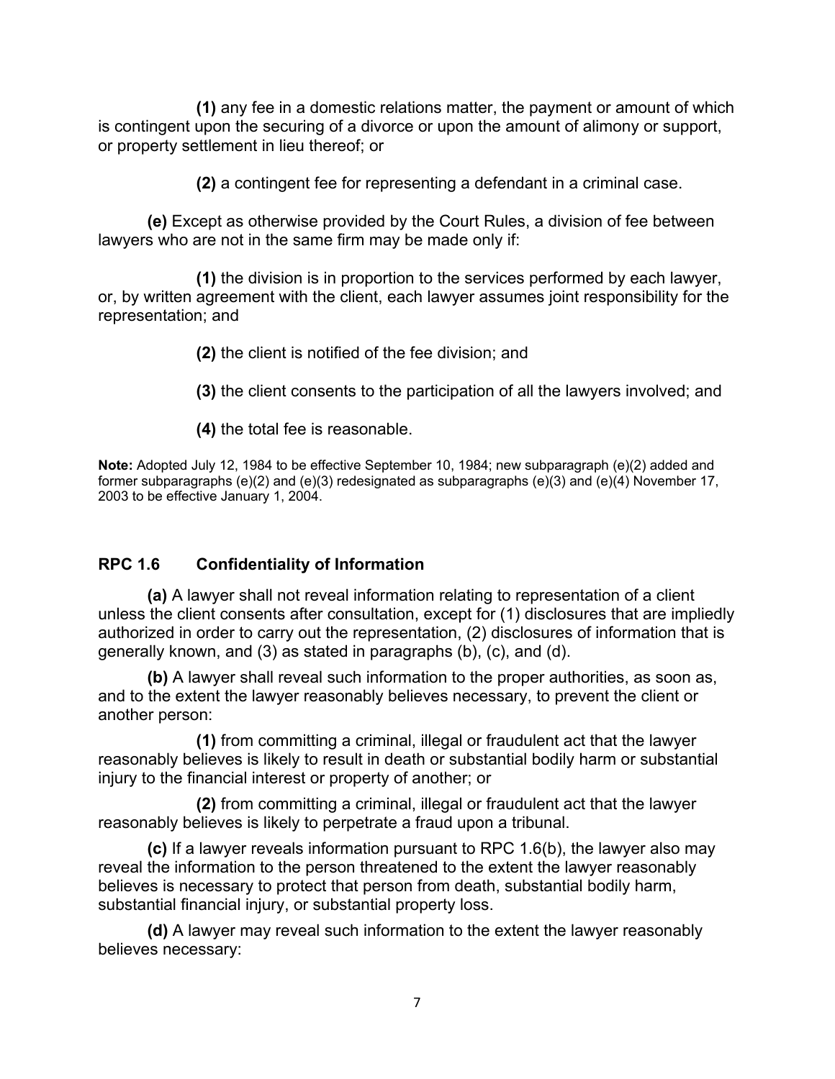**(1)** any fee in a domestic relations matter, the payment or amount of which is contingent upon the securing of a divorce or upon the amount of alimony or support, or property settlement in lieu thereof; or

**(2)** a contingent fee for representing a defendant in a criminal case.

**(e)** Except as otherwise provided by the Court Rules, a division of fee between lawyers who are not in the same firm may be made only if:

**(1)** the division is in proportion to the services performed by each lawyer, or, by written agreement with the client, each lawyer assumes joint responsibility for the representation; and

**(2)** the client is notified of the fee division; and

**(3)** the client consents to the participation of all the lawyers involved; and

**(4)** the total fee is reasonable.

**Note:** Adopted July 12, 1984 to be effective September 10, 1984; new subparagraph (e)(2) added and former subparagraphs (e)(2) and (e)(3) redesignated as subparagraphs (e)(3) and (e)(4) November 17, 2003 to be effective January 1, 2004.

## <span id="page-6-0"></span>**RPC 1.6 Confidentiality of Information**

**(a)** A lawyer shall not reveal information relating to representation of a client unless the client consents after consultation, except for (1) disclosures that are impliedly authorized in order to carry out the representation, (2) disclosures of information that is generally known, and (3) as stated in paragraphs (b), (c), and (d).

**(b)** A lawyer shall reveal such information to the proper authorities, as soon as, and to the extent the lawyer reasonably believes necessary, to prevent the client or another person:

**(1)** from committing a criminal, illegal or fraudulent act that the lawyer reasonably believes is likely to result in death or substantial bodily harm or substantial injury to the financial interest or property of another; or

**(2)** from committing a criminal, illegal or fraudulent act that the lawyer reasonably believes is likely to perpetrate a fraud upon a tribunal.

**(c)** If a lawyer reveals information pursuant to RPC 1.6(b), the lawyer also may reveal the information to the person threatened to the extent the lawyer reasonably believes is necessary to protect that person from death, substantial bodily harm, substantial financial injury, or substantial property loss.

**(d)** A lawyer may reveal such information to the extent the lawyer reasonably believes necessary: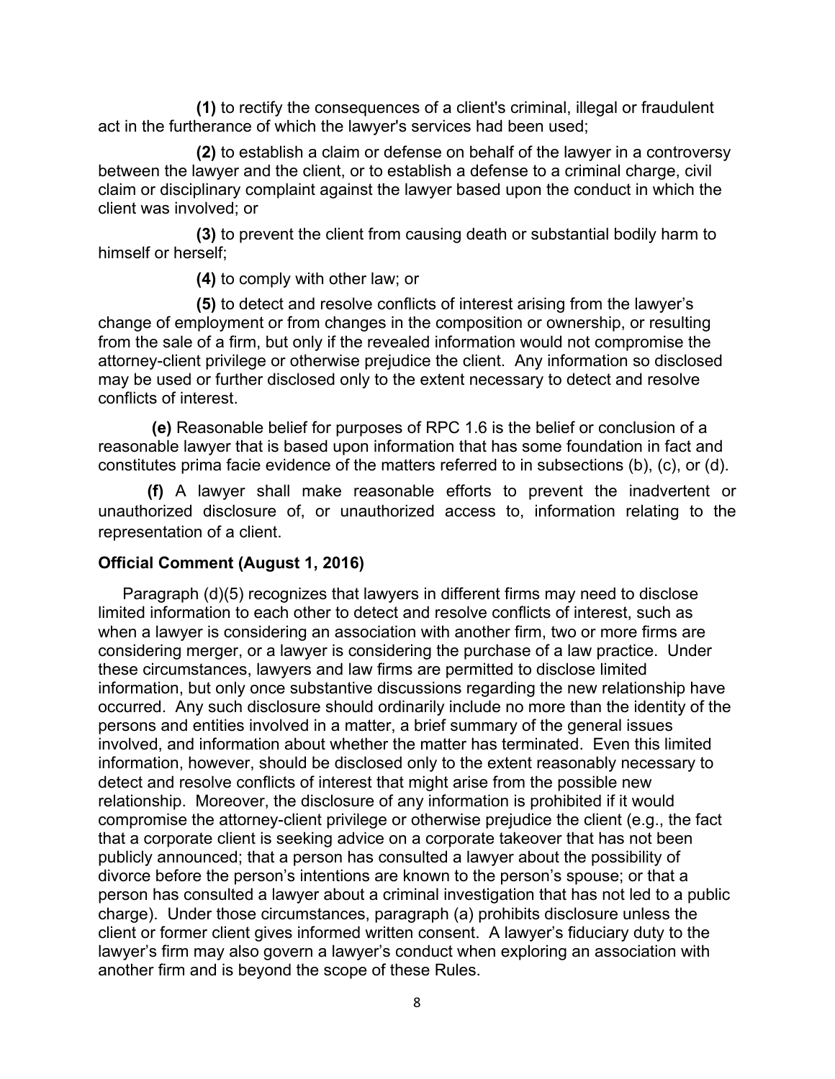**(1)** to rectify the consequences of a client's criminal, illegal or fraudulent act in the furtherance of which the lawyer's services had been used;

**(2)** to establish a claim or defense on behalf of the lawyer in a controversy between the lawyer and the client, or to establish a defense to a criminal charge, civil claim or disciplinary complaint against the lawyer based upon the conduct in which the client was involved; or

**(3)** to prevent the client from causing death or substantial bodily harm to himself or herself;

**(4)** to comply with other law; or

**(5)** to detect and resolve conflicts of interest arising from the lawyer's change of employment or from changes in the composition or ownership, or resulting from the sale of a firm, but only if the revealed information would not compromise the attorney-client privilege or otherwise prejudice the client. Any information so disclosed may be used or further disclosed only to the extent necessary to detect and resolve conflicts of interest.

**(e)** Reasonable belief for purposes of RPC 1.6 is the belief or conclusion of a reasonable lawyer that is based upon information that has some foundation in fact and constitutes prima facie evidence of the matters referred to in subsections (b), (c), or (d).

**(f)** A lawyer shall make reasonable efforts to prevent the inadvertent or unauthorized disclosure of, or unauthorized access to, information relating to the representation of a client.

#### **Official Comment (August 1, 2016)**

Paragraph (d)(5) recognizes that lawyers in different firms may need to disclose limited information to each other to detect and resolve conflicts of interest, such as when a lawyer is considering an association with another firm, two or more firms are considering merger, or a lawyer is considering the purchase of a law practice. Under these circumstances, lawyers and law firms are permitted to disclose limited information, but only once substantive discussions regarding the new relationship have occurred. Any such disclosure should ordinarily include no more than the identity of the persons and entities involved in a matter, a brief summary of the general issues involved, and information about whether the matter has terminated. Even this limited information, however, should be disclosed only to the extent reasonably necessary to detect and resolve conflicts of interest that might arise from the possible new relationship. Moreover, the disclosure of any information is prohibited if it would compromise the attorney-client privilege or otherwise prejudice the client (e.g., the fact that a corporate client is seeking advice on a corporate takeover that has not been publicly announced; that a person has consulted a lawyer about the possibility of divorce before the person's intentions are known to the person's spouse; or that a person has consulted a lawyer about a criminal investigation that has not led to a public charge). Under those circumstances, paragraph (a) prohibits disclosure unless the client or former client gives informed written consent. A lawyer's fiduciary duty to the lawyer's firm may also govern a lawyer's conduct when exploring an association with another firm and is beyond the scope of these Rules.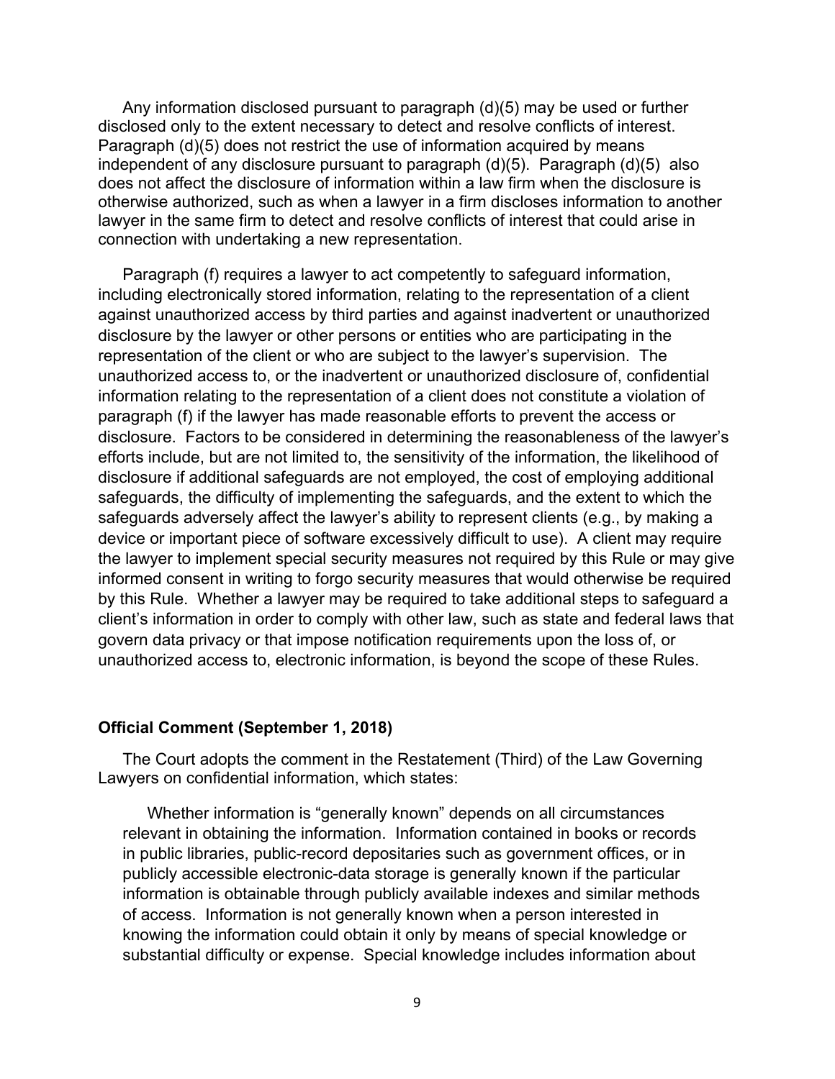Any information disclosed pursuant to paragraph (d)(5) may be used or further disclosed only to the extent necessary to detect and resolve conflicts of interest. Paragraph (d)(5) does not restrict the use of information acquired by means independent of any disclosure pursuant to paragraph (d)(5). Paragraph (d)(5) also does not affect the disclosure of information within a law firm when the disclosure is otherwise authorized, such as when a lawyer in a firm discloses information to another lawyer in the same firm to detect and resolve conflicts of interest that could arise in connection with undertaking a new representation.

Paragraph (f) requires a lawyer to act competently to safeguard information, including electronically stored information, relating to the representation of a client against unauthorized access by third parties and against inadvertent or unauthorized disclosure by the lawyer or other persons or entities who are participating in the representation of the client or who are subject to the lawyer's supervision. The unauthorized access to, or the inadvertent or unauthorized disclosure of, confidential information relating to the representation of a client does not constitute a violation of paragraph (f) if the lawyer has made reasonable efforts to prevent the access or disclosure. Factors to be considered in determining the reasonableness of the lawyer's efforts include, but are not limited to, the sensitivity of the information, the likelihood of disclosure if additional safeguards are not employed, the cost of employing additional safeguards, the difficulty of implementing the safeguards, and the extent to which the safeguards adversely affect the lawyer's ability to represent clients (e.g., by making a device or important piece of software excessively difficult to use). A client may require the lawyer to implement special security measures not required by this Rule or may give informed consent in writing to forgo security measures that would otherwise be required by this Rule. Whether a lawyer may be required to take additional steps to safeguard a client's information in order to comply with other law, such as state and federal laws that govern data privacy or that impose notification requirements upon the loss of, or unauthorized access to, electronic information, is beyond the scope of these Rules.

#### **Official Comment (September 1, 2018)**

The Court adopts the comment in the Restatement (Third) of the Law Governing Lawyers on confidential information, which states:

Whether information is "generally known" depends on all circumstances relevant in obtaining the information. Information contained in books or records in public libraries, public-record depositaries such as government offices, or in publicly accessible electronic-data storage is generally known if the particular information is obtainable through publicly available indexes and similar methods of access. Information is not generally known when a person interested in knowing the information could obtain it only by means of special knowledge or substantial difficulty or expense. Special knowledge includes information about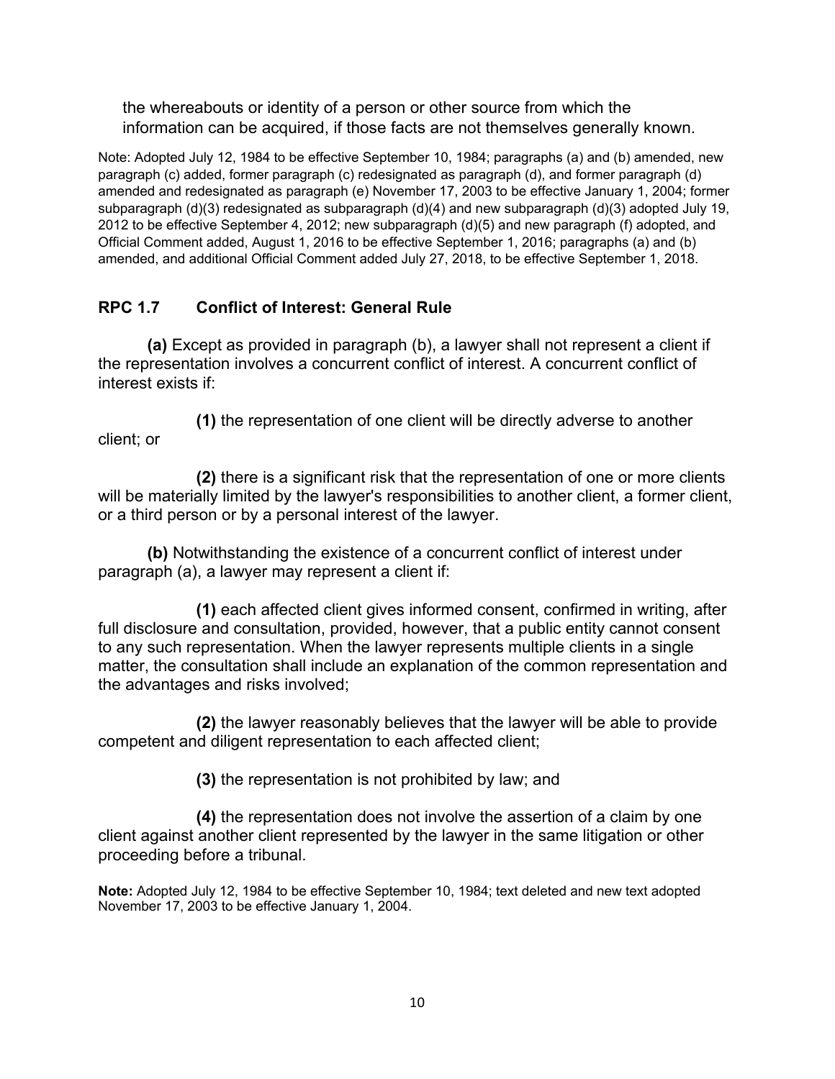the whereabouts or identity of a person or other source from which the information can be acquired, if those facts are not themselves generally known.

Note: Adopted July 12, 1984 to be effective September 10, 1984; paragraphs (a) and (b) amended, new paragraph (c) added, former paragraph (c) redesignated as paragraph (d), and former paragraph (d) amended and redesignated as paragraph (e) November 17, 2003 to be effective January 1, 2004; former subparagraph (d)(3) redesignated as subparagraph (d)(4) and new subparagraph (d)(3) adopted July 19, 2012 to be effective September 4, 2012; new subparagraph (d)(5) and new paragraph (f) adopted, and Official Comment added, August 1, 2016 to be effective September 1, 2016; paragraphs (a) and (b) amended, and additional Official Comment added July 27, 2018, to be effective September 1, 2018.

# <span id="page-9-0"></span>**RPC 1.7 Conflict of Interest: General Rule**

**(a)** Except as provided in paragraph (b), a lawyer shall not represent a client if the representation involves a concurrent conflict of interest. A concurrent conflict of interest exists if:

**(1)** the representation of one client will be directly adverse to another client; or

**(2)** there is a significant risk that the representation of one or more clients will be materially limited by the lawyer's responsibilities to another client, a former client, or a third person or by a personal interest of the lawyer.

**(b)** Notwithstanding the existence of a concurrent conflict of interest under paragraph (a), a lawyer may represent a client if:

**(1)** each affected client gives informed consent, confirmed in writing, after full disclosure and consultation, provided, however, that a public entity cannot consent to any such representation. When the lawyer represents multiple clients in a single matter, the consultation shall include an explanation of the common representation and the advantages and risks involved;

**(2)** the lawyer reasonably believes that the lawyer will be able to provide competent and diligent representation to each affected client;

**(3)** the representation is not prohibited by law; and

**(4)** the representation does not involve the assertion of a claim by one client against another client represented by the lawyer in the same litigation or other proceeding before a tribunal.

**Note:** Adopted July 12, 1984 to be effective September 10, 1984; text deleted and new text adopted November 17, 2003 to be effective January 1, 2004.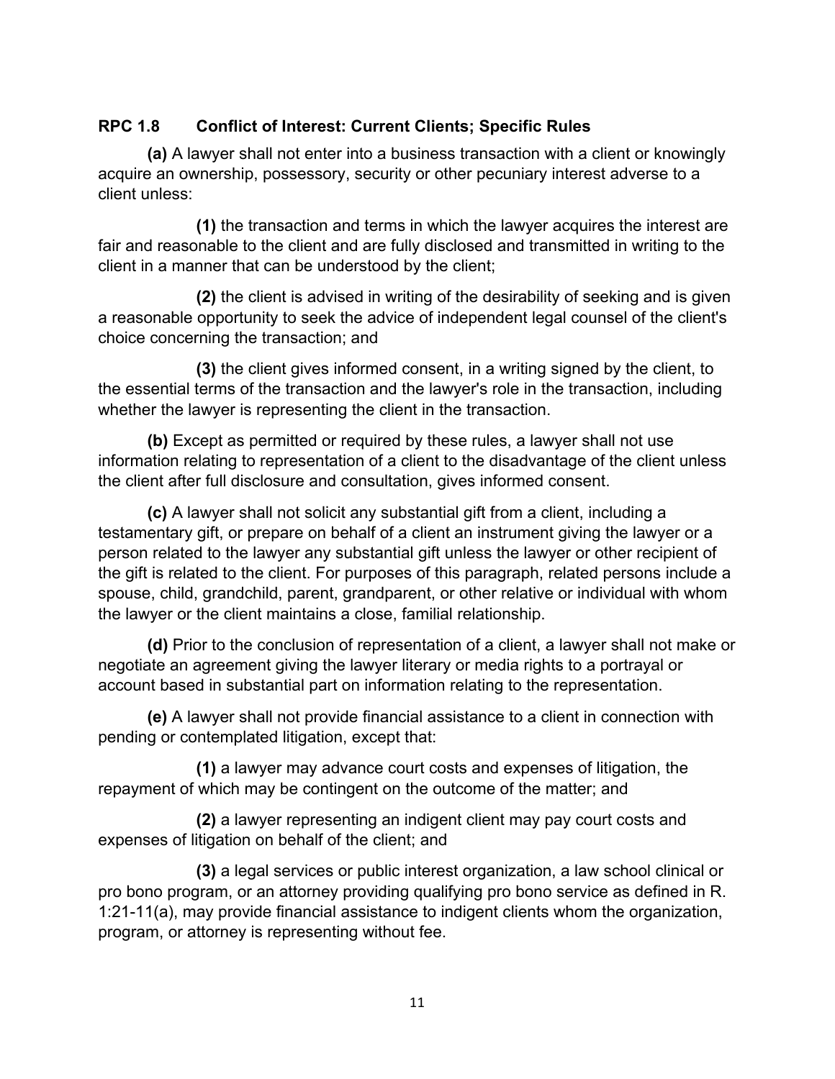# <span id="page-10-0"></span>**RPC 1.8 Conflict of Interest: Current Clients; Specific Rules**

**(a)** A lawyer shall not enter into a business transaction with a client or knowingly acquire an ownership, possessory, security or other pecuniary interest adverse to a client unless:

**(1)** the transaction and terms in which the lawyer acquires the interest are fair and reasonable to the client and are fully disclosed and transmitted in writing to the client in a manner that can be understood by the client;

**(2)** the client is advised in writing of the desirability of seeking and is given a reasonable opportunity to seek the advice of independent legal counsel of the client's choice concerning the transaction; and

**(3)** the client gives informed consent, in a writing signed by the client, to the essential terms of the transaction and the lawyer's role in the transaction, including whether the lawyer is representing the client in the transaction.

**(b)** Except as permitted or required by these rules, a lawyer shall not use information relating to representation of a client to the disadvantage of the client unless the client after full disclosure and consultation, gives informed consent.

**(c)** A lawyer shall not solicit any substantial gift from a client, including a testamentary gift, or prepare on behalf of a client an instrument giving the lawyer or a person related to the lawyer any substantial gift unless the lawyer or other recipient of the gift is related to the client. For purposes of this paragraph, related persons include a spouse, child, grandchild, parent, grandparent, or other relative or individual with whom the lawyer or the client maintains a close, familial relationship.

**(d)** Prior to the conclusion of representation of a client, a lawyer shall not make or negotiate an agreement giving the lawyer literary or media rights to a portrayal or account based in substantial part on information relating to the representation.

**(e)** A lawyer shall not provide financial assistance to a client in connection with pending or contemplated litigation, except that:

**(1)** a lawyer may advance court costs and expenses of litigation, the repayment of which may be contingent on the outcome of the matter; and

**(2)** a lawyer representing an indigent client may pay court costs and expenses of litigation on behalf of the client; and

**(3)** a legal services or public interest organization, a law school clinical or pro bono program, or an attorney providing qualifying pro bono service as defined in R. 1:21-11(a), may provide financial assistance to indigent clients whom the organization, program, or attorney is representing without fee.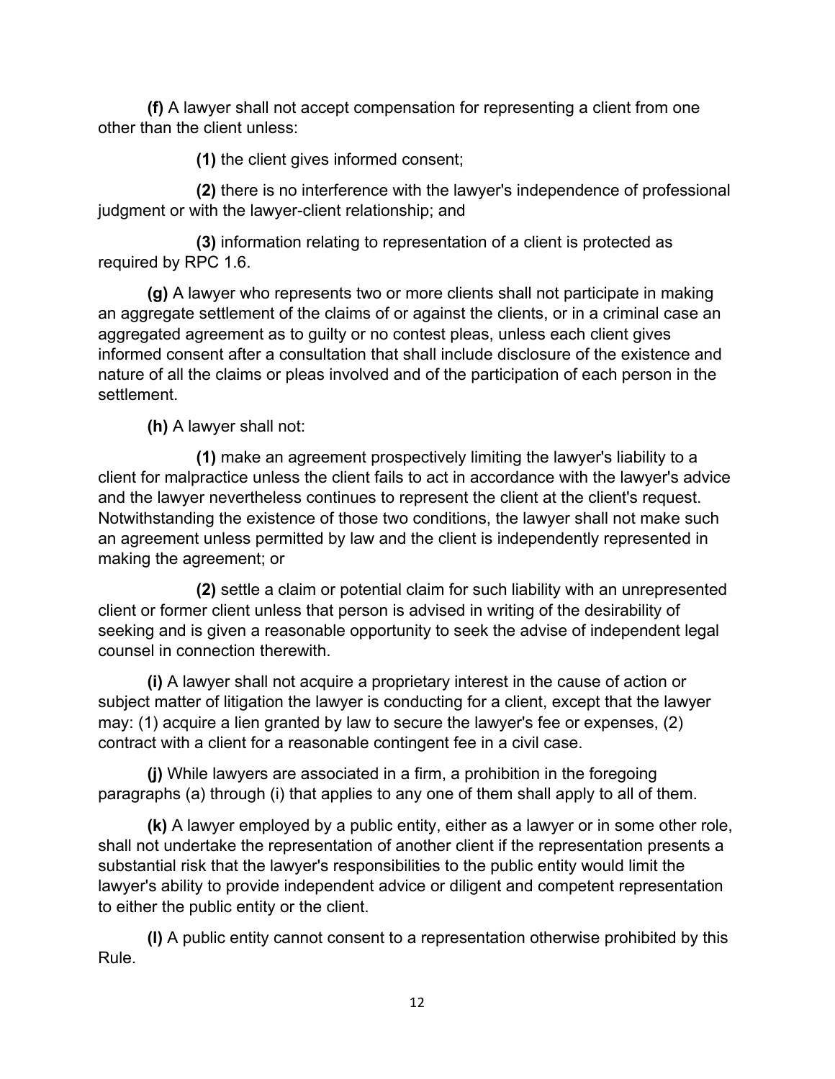**(f)** A lawyer shall not accept compensation for representing a client from one other than the client unless:

**(1)** the client gives informed consent;

**(2)** there is no interference with the lawyer's independence of professional judgment or with the lawyer-client relationship; and

**(3)** information relating to representation of a client is protected as required by RPC 1.6.

**(g)** A lawyer who represents two or more clients shall not participate in making an aggregate settlement of the claims of or against the clients, or in a criminal case an aggregated agreement as to guilty or no contest pleas, unless each client gives informed consent after a consultation that shall include disclosure of the existence and nature of all the claims or pleas involved and of the participation of each person in the settlement.

**(h)** A lawyer shall not:

**(1)** make an agreement prospectively limiting the lawyer's liability to a client for malpractice unless the client fails to act in accordance with the lawyer's advice and the lawyer nevertheless continues to represent the client at the client's request. Notwithstanding the existence of those two conditions, the lawyer shall not make such an agreement unless permitted by law and the client is independently represented in making the agreement; or

**(2)** settle a claim or potential claim for such liability with an unrepresented client or former client unless that person is advised in writing of the desirability of seeking and is given a reasonable opportunity to seek the advise of independent legal counsel in connection therewith.

**(i)** A lawyer shall not acquire a proprietary interest in the cause of action or subject matter of litigation the lawyer is conducting for a client, except that the lawyer may: (1) acquire a lien granted by law to secure the lawyer's fee or expenses, (2) contract with a client for a reasonable contingent fee in a civil case.

**(j)** While lawyers are associated in a firm, a prohibition in the foregoing paragraphs (a) through (i) that applies to any one of them shall apply to all of them.

**(k)** A lawyer employed by a public entity, either as a lawyer or in some other role, shall not undertake the representation of another client if the representation presents a substantial risk that the lawyer's responsibilities to the public entity would limit the lawyer's ability to provide independent advice or diligent and competent representation to either the public entity or the client.

**(l)** A public entity cannot consent to a representation otherwise prohibited by this Rule.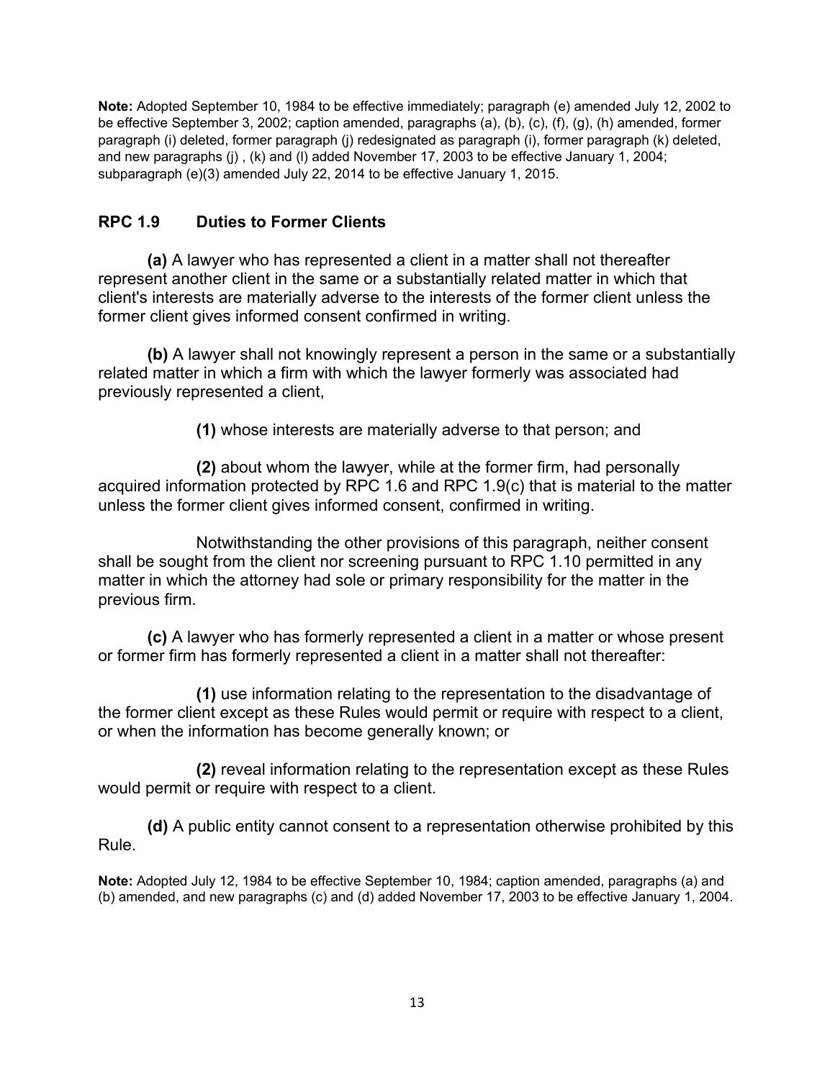**Note:** Adopted September 10, 1984 to be effective immediately; paragraph (e) amended July 12, 2002 to be effective September 3, 2002; caption amended, paragraphs (a), (b), (c), (f), (g), (h) amended, former paragraph (i) deleted, former paragraph (j) redesignated as paragraph (i), former paragraph (k) deleted, and new paragraphs (j) , (k) and (l) added November 17, 2003 to be effective January 1, 2004; subparagraph (e)(3) amended July 22, 2014 to be effective January 1, 2015.

## <span id="page-12-0"></span>**RPC 1.9 Duties to Former Clients**

**(a)** A lawyer who has represented a client in a matter shall not thereafter represent another client in the same or a substantially related matter in which that client's interests are materially adverse to the interests of the former client unless the former client gives informed consent confirmed in writing.

**(b)** A lawyer shall not knowingly represent a person in the same or a substantially related matter in which a firm with which the lawyer formerly was associated had previously represented a client,

**(1)** whose interests are materially adverse to that person; and

**(2)** about whom the lawyer, while at the former firm, had personally acquired information protected by RPC 1.6 and RPC 1.9(c) that is material to the matter unless the former client gives informed consent, confirmed in writing.

Notwithstanding the other provisions of this paragraph, neither consent shall be sought from the client nor screening pursuant to RPC 1.10 permitted in any matter in which the attorney had sole or primary responsibility for the matter in the previous firm.

**(c)** A lawyer who has formerly represented a client in a matter or whose present or former firm has formerly represented a client in a matter shall not thereafter:

**(1)** use information relating to the representation to the disadvantage of the former client except as these Rules would permit or require with respect to a client, or when the information has become generally known; or

**(2)** reveal information relating to the representation except as these Rules would permit or require with respect to a client.

**(d)** A public entity cannot consent to a representation otherwise prohibited by this Rule.

**Note:** Adopted July 12, 1984 to be effective September 10, 1984; caption amended, paragraphs (a) and (b) amended, and new paragraphs (c) and (d) added November 17, 2003 to be effective January 1, 2004.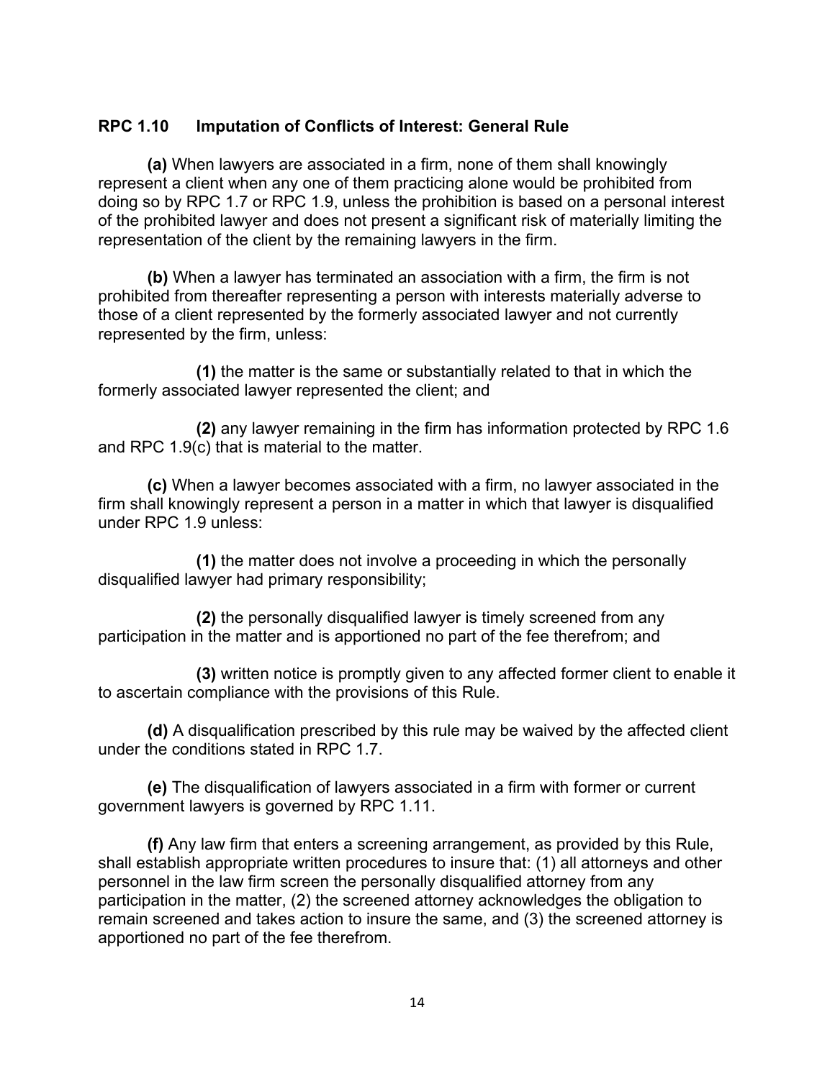#### <span id="page-13-0"></span>**RPC 1.10 Imputation of Conflicts of Interest: General Rule**

**(a)** When lawyers are associated in a firm, none of them shall knowingly represent a client when any one of them practicing alone would be prohibited from doing so by RPC 1.7 or RPC 1.9, unless the prohibition is based on a personal interest of the prohibited lawyer and does not present a significant risk of materially limiting the representation of the client by the remaining lawyers in the firm.

**(b)** When a lawyer has terminated an association with a firm, the firm is not prohibited from thereafter representing a person with interests materially adverse to those of a client represented by the formerly associated lawyer and not currently represented by the firm, unless:

**(1)** the matter is the same or substantially related to that in which the formerly associated lawyer represented the client; and

**(2)** any lawyer remaining in the firm has information protected by RPC 1.6 and RPC 1.9(c) that is material to the matter.

**(c)** When a lawyer becomes associated with a firm, no lawyer associated in the firm shall knowingly represent a person in a matter in which that lawyer is disqualified under RPC 1.9 unless:

**(1)** the matter does not involve a proceeding in which the personally disqualified lawyer had primary responsibility;

**(2)** the personally disqualified lawyer is timely screened from any participation in the matter and is apportioned no part of the fee therefrom; and

**(3)** written notice is promptly given to any affected former client to enable it to ascertain compliance with the provisions of this Rule.

**(d)** A disqualification prescribed by this rule may be waived by the affected client under the conditions stated in RPC 1.7.

**(e)** The disqualification of lawyers associated in a firm with former or current government lawyers is governed by RPC 1.11.

**(f)** Any law firm that enters a screening arrangement, as provided by this Rule, shall establish appropriate written procedures to insure that: (1) all attorneys and other personnel in the law firm screen the personally disqualified attorney from any participation in the matter, (2) the screened attorney acknowledges the obligation to remain screened and takes action to insure the same, and (3) the screened attorney is apportioned no part of the fee therefrom.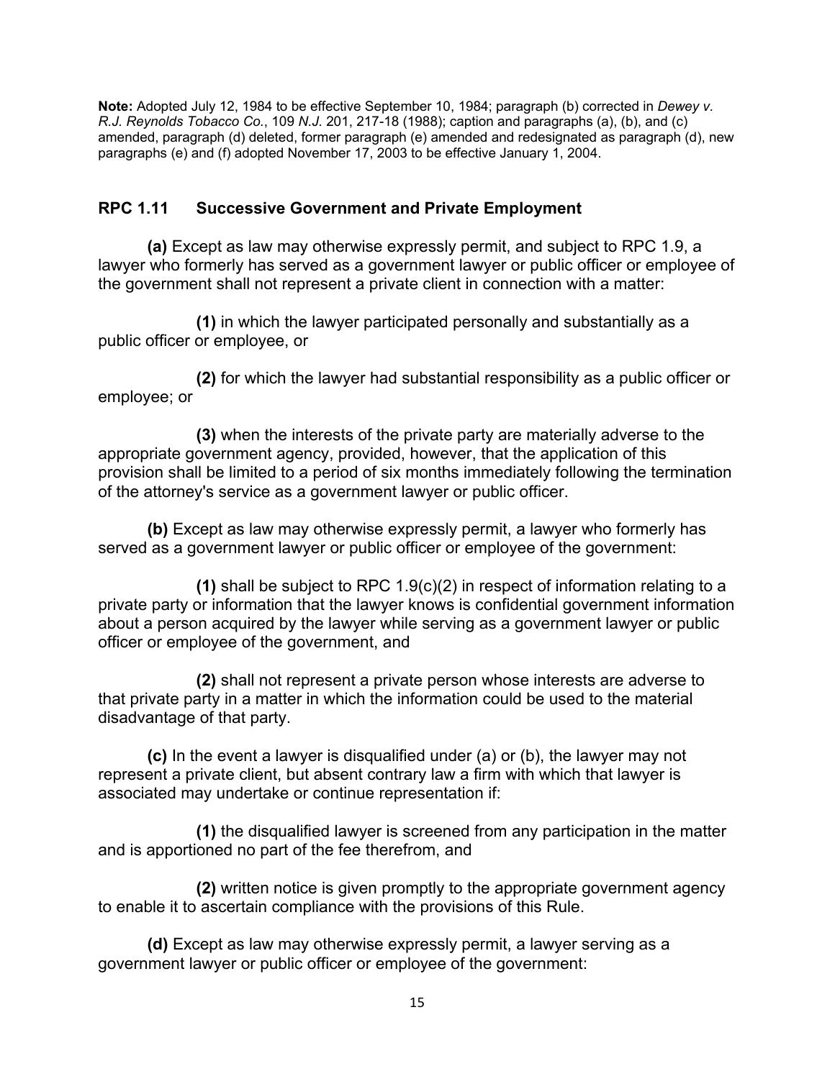**Note:** Adopted July 12, 1984 to be effective September 10, 1984; paragraph (b) corrected in *Dewey v. R.J. Reynolds Tobacco Co.*, 109 *N.J.* 201, 217-18 (1988); caption and paragraphs (a), (b), and (c) amended, paragraph (d) deleted, former paragraph (e) amended and redesignated as paragraph (d), new paragraphs (e) and (f) adopted November 17, 2003 to be effective January 1, 2004.

## <span id="page-14-0"></span>**RPC 1.11 Successive Government and Private Employment**

**(a)** Except as law may otherwise expressly permit, and subject to RPC 1.9, a lawyer who formerly has served as a government lawyer or public officer or employee of the government shall not represent a private client in connection with a matter:

**(1)** in which the lawyer participated personally and substantially as a public officer or employee, or

**(2)** for which the lawyer had substantial responsibility as a public officer or employee; or

**(3)** when the interests of the private party are materially adverse to the appropriate government agency, provided, however, that the application of this provision shall be limited to a period of six months immediately following the termination of the attorney's service as a government lawyer or public officer.

**(b)** Except as law may otherwise expressly permit, a lawyer who formerly has served as a government lawyer or public officer or employee of the government:

**(1)** shall be subject to RPC 1.9(c)(2) in respect of information relating to a private party or information that the lawyer knows is confidential government information about a person acquired by the lawyer while serving as a government lawyer or public officer or employee of the government, and

**(2)** shall not represent a private person whose interests are adverse to that private party in a matter in which the information could be used to the material disadvantage of that party.

**(c)** In the event a lawyer is disqualified under (a) or (b), the lawyer may not represent a private client, but absent contrary law a firm with which that lawyer is associated may undertake or continue representation if:

**(1)** the disqualified lawyer is screened from any participation in the matter and is apportioned no part of the fee therefrom, and

**(2)** written notice is given promptly to the appropriate government agency to enable it to ascertain compliance with the provisions of this Rule.

**(d)** Except as law may otherwise expressly permit, a lawyer serving as a government lawyer or public officer or employee of the government: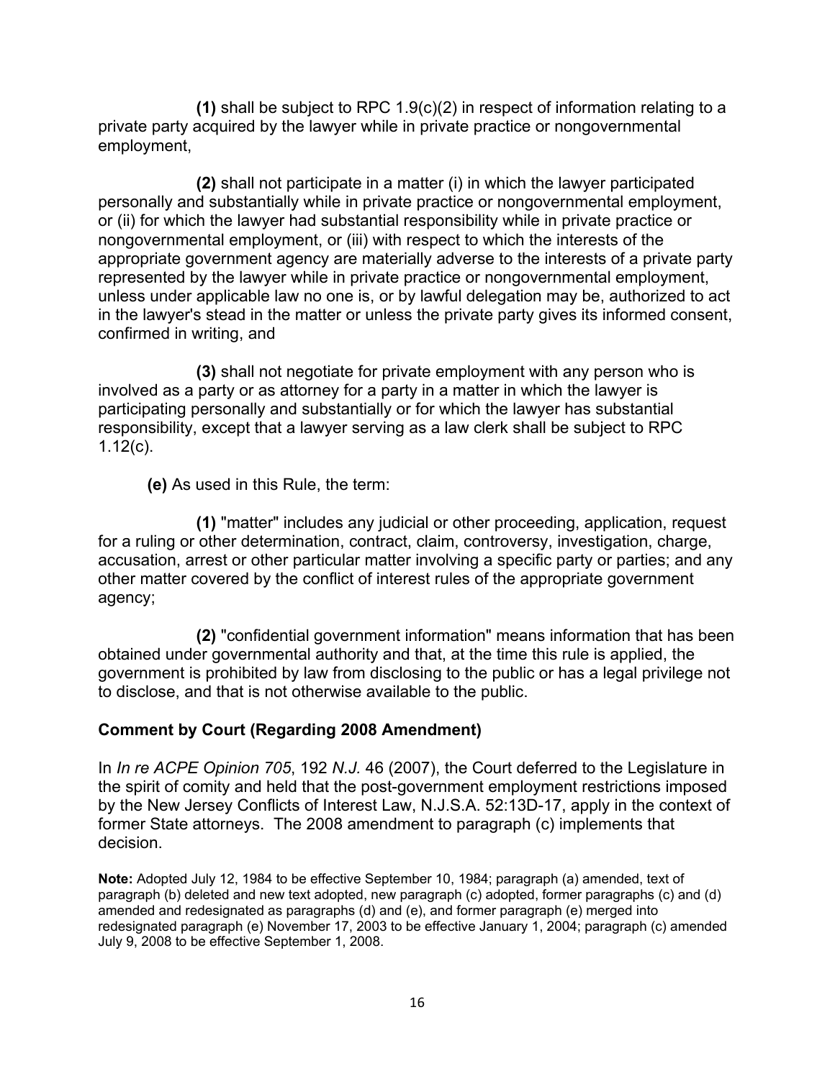**(1)** shall be subject to RPC 1.9(c)(2) in respect of information relating to a private party acquired by the lawyer while in private practice or nongovernmental employment,

**(2)** shall not participate in a matter (i) in which the lawyer participated personally and substantially while in private practice or nongovernmental employment, or (ii) for which the lawyer had substantial responsibility while in private practice or nongovernmental employment, or (iii) with respect to which the interests of the appropriate government agency are materially adverse to the interests of a private party represented by the lawyer while in private practice or nongovernmental employment, unless under applicable law no one is, or by lawful delegation may be, authorized to act in the lawyer's stead in the matter or unless the private party gives its informed consent, confirmed in writing, and

**(3)** shall not negotiate for private employment with any person who is involved as a party or as attorney for a party in a matter in which the lawyer is participating personally and substantially or for which the lawyer has substantial responsibility, except that a lawyer serving as a law clerk shall be subject to RPC  $1.12(c)$ .

**(e)** As used in this Rule, the term:

**(1)** "matter" includes any judicial or other proceeding, application, request for a ruling or other determination, contract, claim, controversy, investigation, charge, accusation, arrest or other particular matter involving a specific party or parties; and any other matter covered by the conflict of interest rules of the appropriate government agency;

**(2)** "confidential government information" means information that has been obtained under governmental authority and that, at the time this rule is applied, the government is prohibited by law from disclosing to the public or has a legal privilege not to disclose, and that is not otherwise available to the public.

## **Comment by Court (Regarding 2008 Amendment)**

In *In re ACPE Opinion 705*, 192 *N.J.* 46 (2007), the Court deferred to the Legislature in the spirit of comity and held that the post-government employment restrictions imposed by the New Jersey Conflicts of Interest Law, N.J.S.A. 52:13D-17, apply in the context of former State attorneys. The 2008 amendment to paragraph (c) implements that decision.

**Note:** Adopted July 12, 1984 to be effective September 10, 1984; paragraph (a) amended, text of paragraph (b) deleted and new text adopted, new paragraph (c) adopted, former paragraphs (c) and (d) amended and redesignated as paragraphs (d) and (e), and former paragraph (e) merged into redesignated paragraph (e) November 17, 2003 to be effective January 1, 2004; paragraph (c) amended July 9, 2008 to be effective September 1, 2008.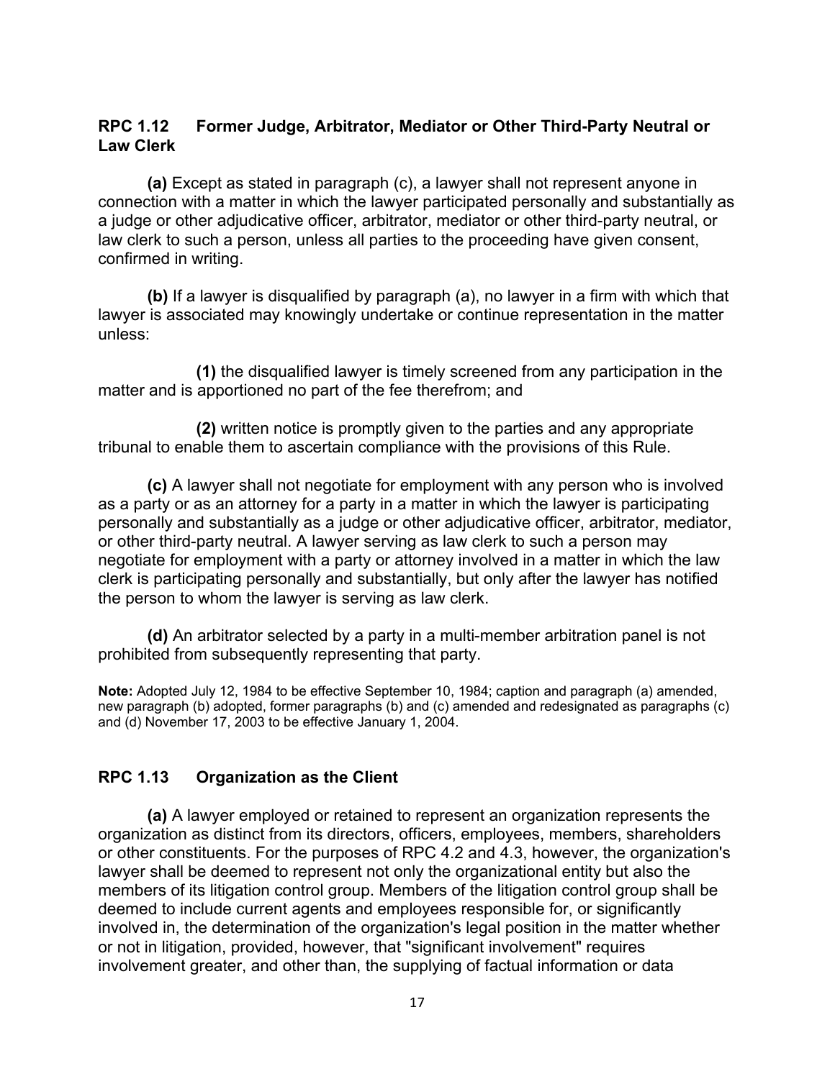### <span id="page-16-0"></span>**RPC 1.12 Former Judge, Arbitrator, Mediator or Other Third-Party Neutral or Law Clerk**

**(a)** Except as stated in paragraph (c), a lawyer shall not represent anyone in connection with a matter in which the lawyer participated personally and substantially as a judge or other adjudicative officer, arbitrator, mediator or other third-party neutral, or law clerk to such a person, unless all parties to the proceeding have given consent, confirmed in writing.

**(b)** If a lawyer is disqualified by paragraph (a), no lawyer in a firm with which that lawyer is associated may knowingly undertake or continue representation in the matter unless:

**(1)** the disqualified lawyer is timely screened from any participation in the matter and is apportioned no part of the fee therefrom; and

**(2)** written notice is promptly given to the parties and any appropriate tribunal to enable them to ascertain compliance with the provisions of this Rule.

**(c)** A lawyer shall not negotiate for employment with any person who is involved as a party or as an attorney for a party in a matter in which the lawyer is participating personally and substantially as a judge or other adjudicative officer, arbitrator, mediator, or other third-party neutral. A lawyer serving as law clerk to such a person may negotiate for employment with a party or attorney involved in a matter in which the law clerk is participating personally and substantially, but only after the lawyer has notified the person to whom the lawyer is serving as law clerk.

**(d)** An arbitrator selected by a party in a multi-member arbitration panel is not prohibited from subsequently representing that party.

**Note:** Adopted July 12, 1984 to be effective September 10, 1984; caption and paragraph (a) amended, new paragraph (b) adopted, former paragraphs (b) and (c) amended and redesignated as paragraphs (c) and (d) November 17, 2003 to be effective January 1, 2004.

## <span id="page-16-1"></span>**RPC 1.13 Organization as the Client**

**(a)** A lawyer employed or retained to represent an organization represents the organization as distinct from its directors, officers, employees, members, shareholders or other constituents. For the purposes of RPC 4.2 and 4.3, however, the organization's lawyer shall be deemed to represent not only the organizational entity but also the members of its litigation control group. Members of the litigation control group shall be deemed to include current agents and employees responsible for, or significantly involved in, the determination of the organization's legal position in the matter whether or not in litigation, provided, however, that "significant involvement" requires involvement greater, and other than, the supplying of factual information or data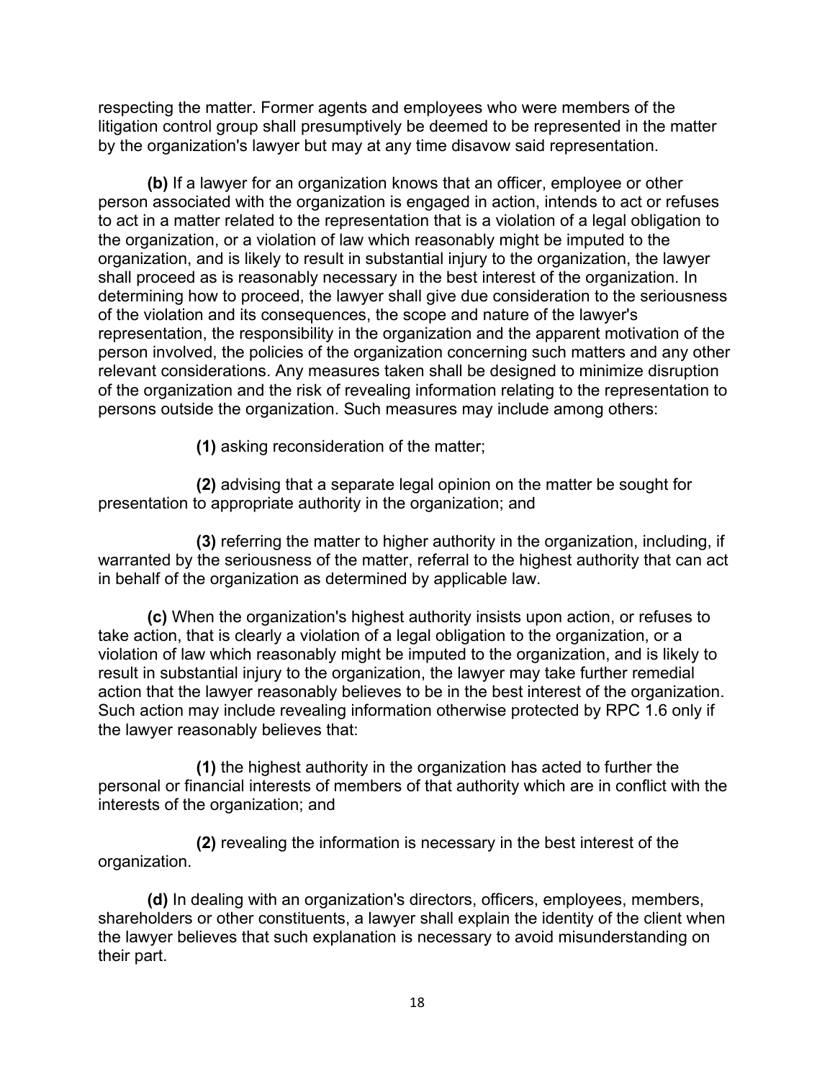respecting the matter. Former agents and employees who were members of the litigation control group shall presumptively be deemed to be represented in the matter by the organization's lawyer but may at any time disavow said representation.

**(b)** If a lawyer for an organization knows that an officer, employee or other person associated with the organization is engaged in action, intends to act or refuses to act in a matter related to the representation that is a violation of a legal obligation to the organization, or a violation of law which reasonably might be imputed to the organization, and is likely to result in substantial injury to the organization, the lawyer shall proceed as is reasonably necessary in the best interest of the organization. In determining how to proceed, the lawyer shall give due consideration to the seriousness of the violation and its consequences, the scope and nature of the lawyer's representation, the responsibility in the organization and the apparent motivation of the person involved, the policies of the organization concerning such matters and any other relevant considerations. Any measures taken shall be designed to minimize disruption of the organization and the risk of revealing information relating to the representation to persons outside the organization. Such measures may include among others:

**(1)** asking reconsideration of the matter;

**(2)** advising that a separate legal opinion on the matter be sought for presentation to appropriate authority in the organization; and

**(3)** referring the matter to higher authority in the organization, including, if warranted by the seriousness of the matter, referral to the highest authority that can act in behalf of the organization as determined by applicable law.

**(c)** When the organization's highest authority insists upon action, or refuses to take action, that is clearly a violation of a legal obligation to the organization, or a violation of law which reasonably might be imputed to the organization, and is likely to result in substantial injury to the organization, the lawyer may take further remedial action that the lawyer reasonably believes to be in the best interest of the organization. Such action may include revealing information otherwise protected by RPC 1.6 only if the lawyer reasonably believes that:

**(1)** the highest authority in the organization has acted to further the personal or financial interests of members of that authority which are in conflict with the interests of the organization; and

**(2)** revealing the information is necessary in the best interest of the organization.

**(d)** In dealing with an organization's directors, officers, employees, members, shareholders or other constituents, a lawyer shall explain the identity of the client when the lawyer believes that such explanation is necessary to avoid misunderstanding on their part.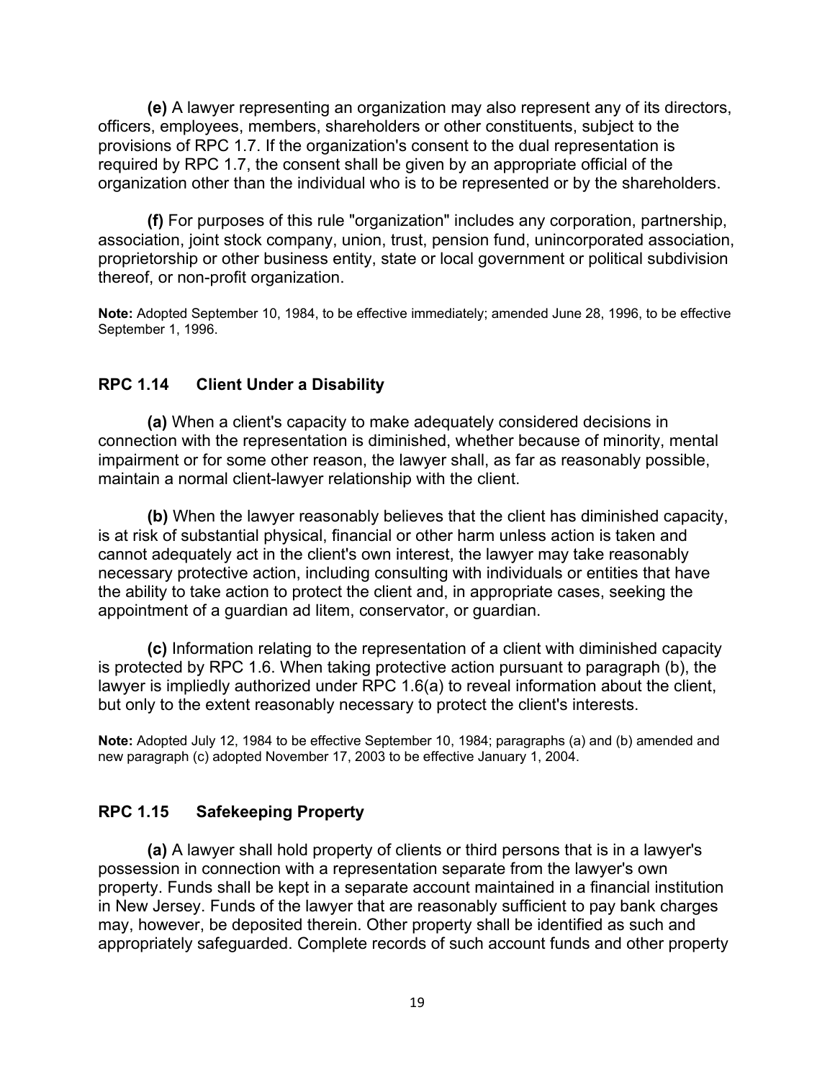**(e)** A lawyer representing an organization may also represent any of its directors, officers, employees, members, shareholders or other constituents, subject to the provisions of RPC 1.7. If the organization's consent to the dual representation is required by RPC 1.7, the consent shall be given by an appropriate official of the organization other than the individual who is to be represented or by the shareholders.

**(f)** For purposes of this rule "organization" includes any corporation, partnership, association, joint stock company, union, trust, pension fund, unincorporated association, proprietorship or other business entity, state or local government or political subdivision thereof, or non-profit organization.

**Note:** Adopted September 10, 1984, to be effective immediately; amended June 28, 1996, to be effective September 1, 1996.

#### <span id="page-18-0"></span>**RPC 1.14 Client Under a Disability**

**(a)** When a client's capacity to make adequately considered decisions in connection with the representation is diminished, whether because of minority, mental impairment or for some other reason, the lawyer shall, as far as reasonably possible, maintain a normal client-lawyer relationship with the client.

**(b)** When the lawyer reasonably believes that the client has diminished capacity, is at risk of substantial physical, financial or other harm unless action is taken and cannot adequately act in the client's own interest, the lawyer may take reasonably necessary protective action, including consulting with individuals or entities that have the ability to take action to protect the client and, in appropriate cases, seeking the appointment of a guardian ad litem, conservator, or guardian.

**(c)** Information relating to the representation of a client with diminished capacity is protected by RPC 1.6. When taking protective action pursuant to paragraph (b), the lawyer is impliedly authorized under RPC 1.6(a) to reveal information about the client, but only to the extent reasonably necessary to protect the client's interests.

**Note:** Adopted July 12, 1984 to be effective September 10, 1984; paragraphs (a) and (b) amended and new paragraph (c) adopted November 17, 2003 to be effective January 1, 2004.

#### <span id="page-18-1"></span>**RPC 1.15 Safekeeping Property**

**(a)** A lawyer shall hold property of clients or third persons that is in a lawyer's possession in connection with a representation separate from the lawyer's own property. Funds shall be kept in a separate account maintained in a financial institution in New Jersey. Funds of the lawyer that are reasonably sufficient to pay bank charges may, however, be deposited therein. Other property shall be identified as such and appropriately safeguarded. Complete records of such account funds and other property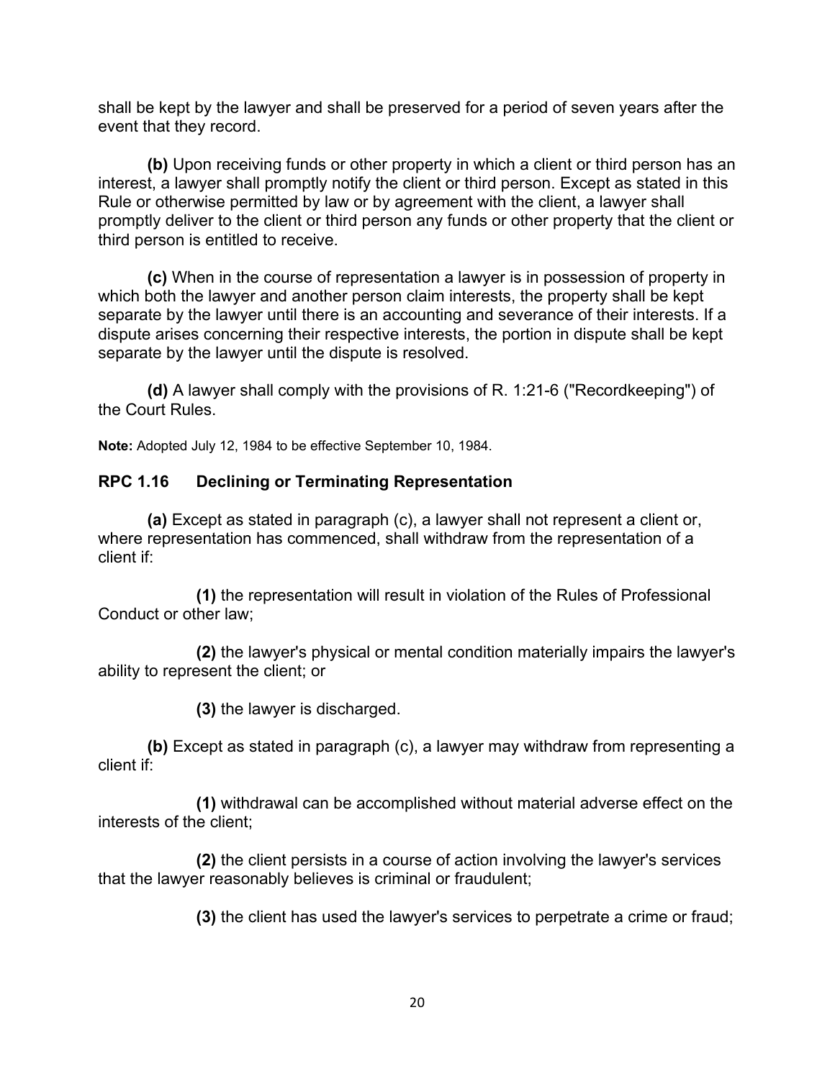shall be kept by the lawyer and shall be preserved for a period of seven years after the event that they record.

**(b)** Upon receiving funds or other property in which a client or third person has an interest, a lawyer shall promptly notify the client or third person. Except as stated in this Rule or otherwise permitted by law or by agreement with the client, a lawyer shall promptly deliver to the client or third person any funds or other property that the client or third person is entitled to receive.

**(c)** When in the course of representation a lawyer is in possession of property in which both the lawyer and another person claim interests, the property shall be kept separate by the lawyer until there is an accounting and severance of their interests. If a dispute arises concerning their respective interests, the portion in dispute shall be kept separate by the lawyer until the dispute is resolved.

**(d)** A lawyer shall comply with the provisions of R. 1:21-6 ("Recordkeeping") of the Court Rules.

**Note:** Adopted July 12, 1984 to be effective September 10, 1984.

## <span id="page-19-0"></span>**RPC 1.16 Declining or Terminating Representation**

**(a)** Except as stated in paragraph (c), a lawyer shall not represent a client or, where representation has commenced, shall withdraw from the representation of a client if:

**(1)** the representation will result in violation of the Rules of Professional Conduct or other law;

**(2)** the lawyer's physical or mental condition materially impairs the lawyer's ability to represent the client; or

**(3)** the lawyer is discharged.

**(b)** Except as stated in paragraph (c), a lawyer may withdraw from representing a client if:

**(1)** withdrawal can be accomplished without material adverse effect on the interests of the client;

**(2)** the client persists in a course of action involving the lawyer's services that the lawyer reasonably believes is criminal or fraudulent;

**(3)** the client has used the lawyer's services to perpetrate a crime or fraud;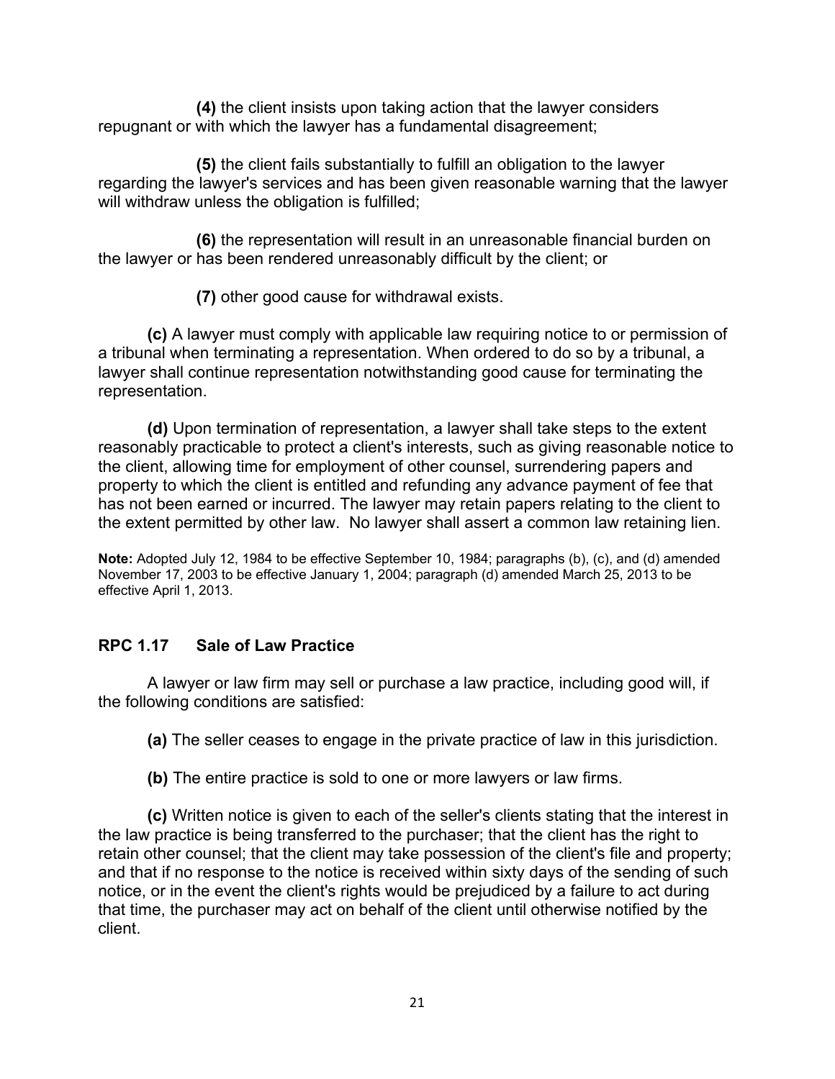**(4)** the client insists upon taking action that the lawyer considers repugnant or with which the lawyer has a fundamental disagreement;

**(5)** the client fails substantially to fulfill an obligation to the lawyer regarding the lawyer's services and has been given reasonable warning that the lawyer will withdraw unless the obligation is fulfilled;

**(6)** the representation will result in an unreasonable financial burden on the lawyer or has been rendered unreasonably difficult by the client; or

**(7)** other good cause for withdrawal exists.

**(c)** A lawyer must comply with applicable law requiring notice to or permission of a tribunal when terminating a representation. When ordered to do so by a tribunal, a lawyer shall continue representation notwithstanding good cause for terminating the representation.

**(d)** Upon termination of representation, a lawyer shall take steps to the extent reasonably practicable to protect a client's interests, such as giving reasonable notice to the client, allowing time for employment of other counsel, surrendering papers and property to which the client is entitled and refunding any advance payment of fee that has not been earned or incurred. The lawyer may retain papers relating to the client to the extent permitted by other law. No lawyer shall assert a common law retaining lien.

**Note:** Adopted July 12, 1984 to be effective September 10, 1984; paragraphs (b), (c), and (d) amended November 17, 2003 to be effective January 1, 2004; paragraph (d) amended March 25, 2013 to be effective April 1, 2013.

# <span id="page-20-0"></span>**RPC 1.17 Sale of Law Practice**

A lawyer or law firm may sell or purchase a law practice, including good will, if the following conditions are satisfied:

**(a)** The seller ceases to engage in the private practice of law in this jurisdiction.

**(b)** The entire practice is sold to one or more lawyers or law firms.

**(c)** Written notice is given to each of the seller's clients stating that the interest in the law practice is being transferred to the purchaser; that the client has the right to retain other counsel; that the client may take possession of the client's file and property; and that if no response to the notice is received within sixty days of the sending of such notice, or in the event the client's rights would be prejudiced by a failure to act during that time, the purchaser may act on behalf of the client until otherwise notified by the client.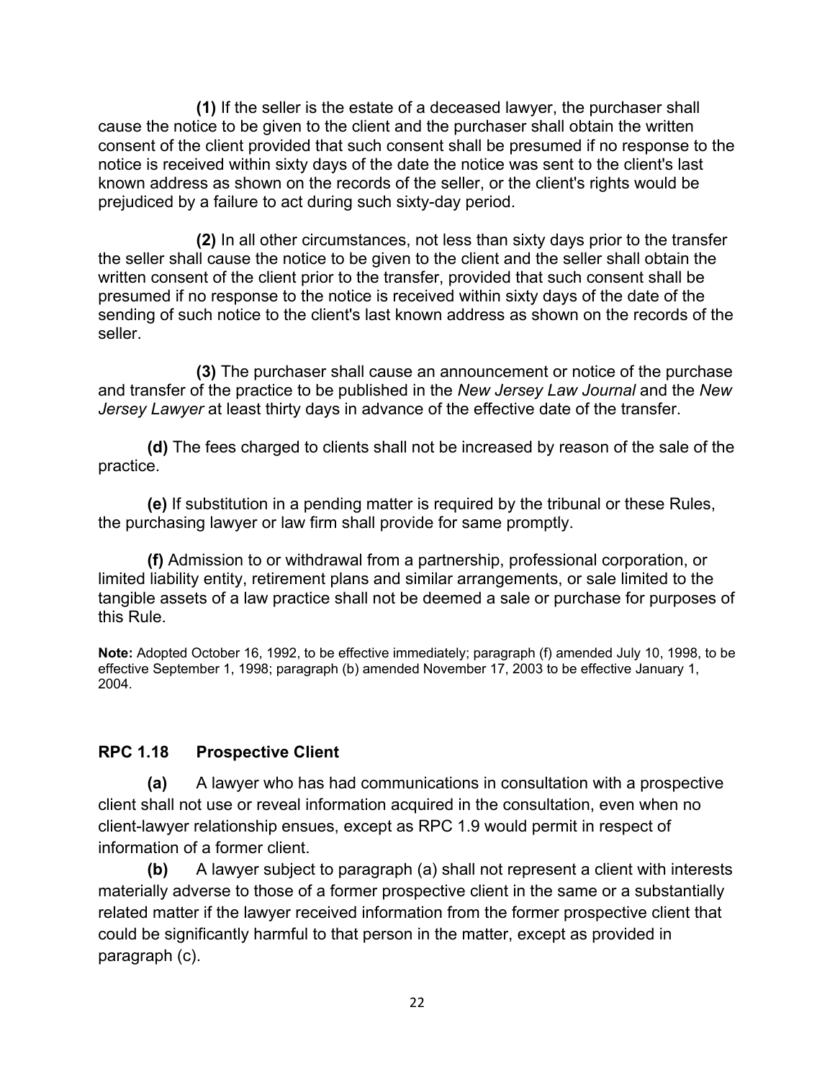**(1)** If the seller is the estate of a deceased lawyer, the purchaser shall cause the notice to be given to the client and the purchaser shall obtain the written consent of the client provided that such consent shall be presumed if no response to the notice is received within sixty days of the date the notice was sent to the client's last known address as shown on the records of the seller, or the client's rights would be prejudiced by a failure to act during such sixty-day period.

**(2)** In all other circumstances, not less than sixty days prior to the transfer the seller shall cause the notice to be given to the client and the seller shall obtain the written consent of the client prior to the transfer, provided that such consent shall be presumed if no response to the notice is received within sixty days of the date of the sending of such notice to the client's last known address as shown on the records of the seller.

**(3)** The purchaser shall cause an announcement or notice of the purchase and transfer of the practice to be published in the *New Jersey Law Journal* and the *New Jersey Lawyer* at least thirty days in advance of the effective date of the transfer.

**(d)** The fees charged to clients shall not be increased by reason of the sale of the practice.

**(e)** If substitution in a pending matter is required by the tribunal or these Rules, the purchasing lawyer or law firm shall provide for same promptly.

**(f)** Admission to or withdrawal from a partnership, professional corporation, or limited liability entity, retirement plans and similar arrangements, or sale limited to the tangible assets of a law practice shall not be deemed a sale or purchase for purposes of this Rule.

**Note:** Adopted October 16, 1992, to be effective immediately; paragraph (f) amended July 10, 1998, to be effective September 1, 1998; paragraph (b) amended November 17, 2003 to be effective January 1, 2004.

# <span id="page-21-0"></span>**RPC 1.18 Prospective Client**

**(a)** A lawyer who has had communications in consultation with a prospective client shall not use or reveal information acquired in the consultation, even when no client-lawyer relationship ensues, except as RPC 1.9 would permit in respect of information of a former client.

**(b)** A lawyer subject to paragraph (a) shall not represent a client with interests materially adverse to those of a former prospective client in the same or a substantially related matter if the lawyer received information from the former prospective client that could be significantly harmful to that person in the matter, except as provided in paragraph (c).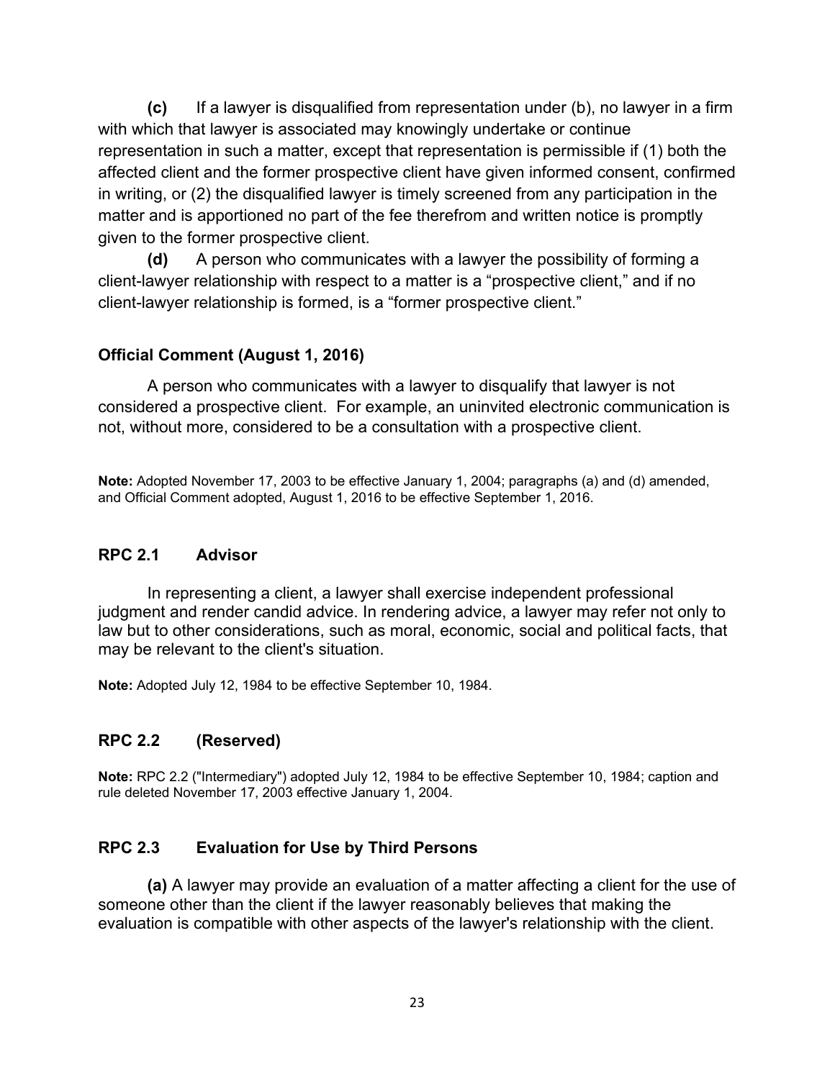**(c)** If a lawyer is disqualified from representation under (b), no lawyer in a firm with which that lawyer is associated may knowingly undertake or continue representation in such a matter, except that representation is permissible if (1) both the affected client and the former prospective client have given informed consent, confirmed in writing, or (2) the disqualified lawyer is timely screened from any participation in the matter and is apportioned no part of the fee therefrom and written notice is promptly given to the former prospective client.

**(d)** A person who communicates with a lawyer the possibility of forming a client-lawyer relationship with respect to a matter is a "prospective client," and if no client-lawyer relationship is formed, is a "former prospective client."

# **Official Comment (August 1, 2016)**

A person who communicates with a lawyer to disqualify that lawyer is not considered a prospective client. For example, an uninvited electronic communication is not, without more, considered to be a consultation with a prospective client.

**Note:** Adopted November 17, 2003 to be effective January 1, 2004; paragraphs (a) and (d) amended, and Official Comment adopted, August 1, 2016 to be effective September 1, 2016.

## <span id="page-22-0"></span>**RPC 2.1 Advisor**

In representing a client, a lawyer shall exercise independent professional judgment and render candid advice. In rendering advice, a lawyer may refer not only to law but to other considerations, such as moral, economic, social and political facts, that may be relevant to the client's situation.

**Note:** Adopted July 12, 1984 to be effective September 10, 1984.

# <span id="page-22-1"></span>**RPC 2.2 (Reserved)**

**Note:** RPC 2.2 ("Intermediary") adopted July 12, 1984 to be effective September 10, 1984; caption and rule deleted November 17, 2003 effective January 1, 2004.

## <span id="page-22-2"></span>**RPC 2.3 Evaluation for Use by Third Persons**

**(a)** A lawyer may provide an evaluation of a matter affecting a client for the use of someone other than the client if the lawyer reasonably believes that making the evaluation is compatible with other aspects of the lawyer's relationship with the client.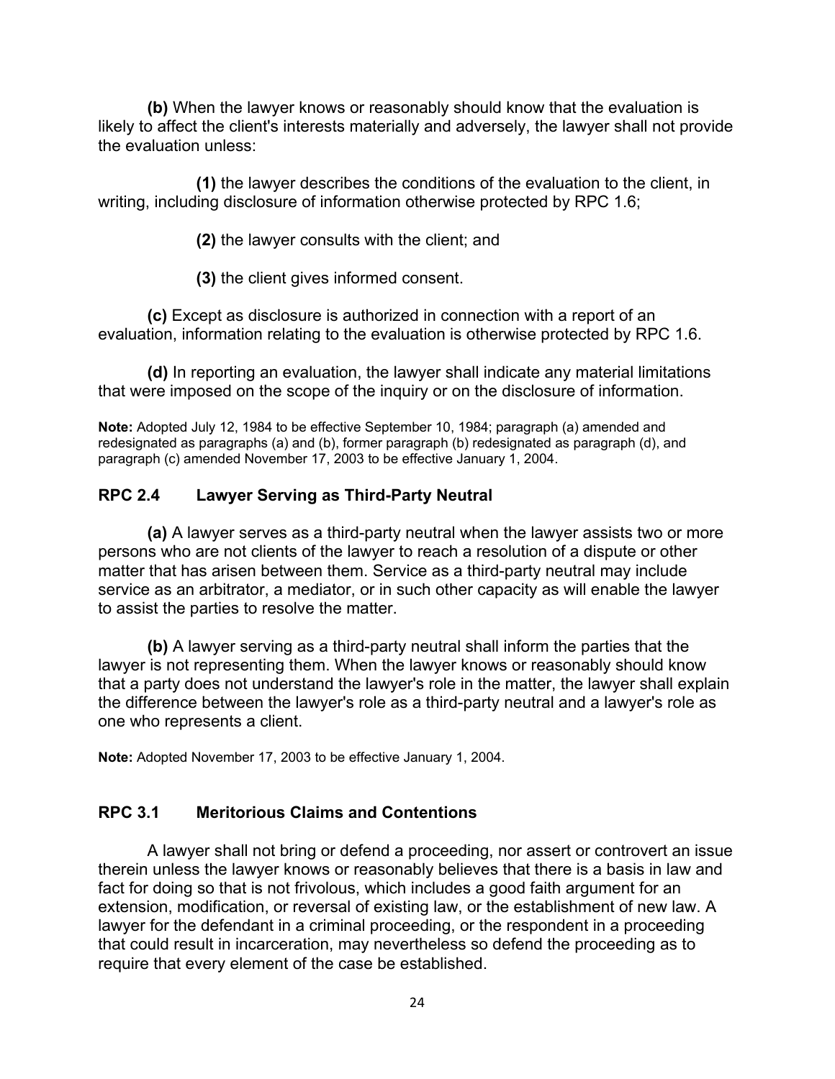**(b)** When the lawyer knows or reasonably should know that the evaluation is likely to affect the client's interests materially and adversely, the lawyer shall not provide the evaluation unless:

**(1)** the lawyer describes the conditions of the evaluation to the client, in writing, including disclosure of information otherwise protected by RPC 1.6;

**(2)** the lawyer consults with the client; and

**(3)** the client gives informed consent.

**(c)** Except as disclosure is authorized in connection with a report of an evaluation, information relating to the evaluation is otherwise protected by RPC 1.6.

**(d)** In reporting an evaluation, the lawyer shall indicate any material limitations that were imposed on the scope of the inquiry or on the disclosure of information.

**Note:** Adopted July 12, 1984 to be effective September 10, 1984; paragraph (a) amended and redesignated as paragraphs (a) and (b), former paragraph (b) redesignated as paragraph (d), and paragraph (c) amended November 17, 2003 to be effective January 1, 2004.

# <span id="page-23-0"></span>**RPC 2.4 Lawyer Serving as Third-Party Neutral**

**(a)** A lawyer serves as a third-party neutral when the lawyer assists two or more persons who are not clients of the lawyer to reach a resolution of a dispute or other matter that has arisen between them. Service as a third-party neutral may include service as an arbitrator, a mediator, or in such other capacity as will enable the lawyer to assist the parties to resolve the matter.

**(b)** A lawyer serving as a third-party neutral shall inform the parties that the lawyer is not representing them. When the lawyer knows or reasonably should know that a party does not understand the lawyer's role in the matter, the lawyer shall explain the difference between the lawyer's role as a third-party neutral and a lawyer's role as one who represents a client.

**Note:** Adopted November 17, 2003 to be effective January 1, 2004.

## <span id="page-23-1"></span>**RPC 3.1 Meritorious Claims and Contentions**

A lawyer shall not bring or defend a proceeding, nor assert or controvert an issue therein unless the lawyer knows or reasonably believes that there is a basis in law and fact for doing so that is not frivolous, which includes a good faith argument for an extension, modification, or reversal of existing law, or the establishment of new law. A lawyer for the defendant in a criminal proceeding, or the respondent in a proceeding that could result in incarceration, may nevertheless so defend the proceeding as to require that every element of the case be established.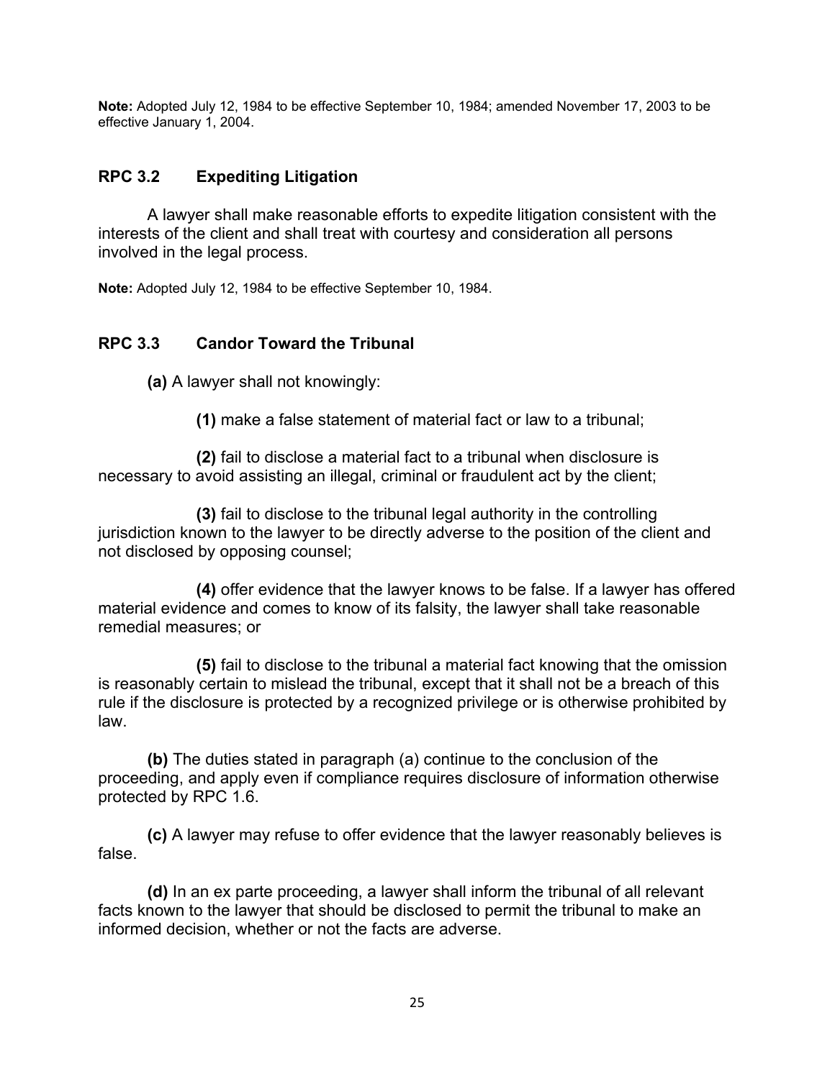**Note:** Adopted July 12, 1984 to be effective September 10, 1984; amended November 17, 2003 to be effective January 1, 2004.

#### <span id="page-24-0"></span>**RPC 3.2 Expediting Litigation**

A lawyer shall make reasonable efforts to expedite litigation consistent with the interests of the client and shall treat with courtesy and consideration all persons involved in the legal process.

**Note:** Adopted July 12, 1984 to be effective September 10, 1984.

#### <span id="page-24-1"></span>**RPC 3.3 Candor Toward the Tribunal**

**(a)** A lawyer shall not knowingly:

**(1)** make a false statement of material fact or law to a tribunal;

**(2)** fail to disclose a material fact to a tribunal when disclosure is necessary to avoid assisting an illegal, criminal or fraudulent act by the client;

**(3)** fail to disclose to the tribunal legal authority in the controlling jurisdiction known to the lawyer to be directly adverse to the position of the client and not disclosed by opposing counsel;

**(4)** offer evidence that the lawyer knows to be false. If a lawyer has offered material evidence and comes to know of its falsity, the lawyer shall take reasonable remedial measures; or

**(5)** fail to disclose to the tribunal a material fact knowing that the omission is reasonably certain to mislead the tribunal, except that it shall not be a breach of this rule if the disclosure is protected by a recognized privilege or is otherwise prohibited by law.

**(b)** The duties stated in paragraph (a) continue to the conclusion of the proceeding, and apply even if compliance requires disclosure of information otherwise protected by RPC 1.6.

**(c)** A lawyer may refuse to offer evidence that the lawyer reasonably believes is false.

**(d)** In an ex parte proceeding, a lawyer shall inform the tribunal of all relevant facts known to the lawyer that should be disclosed to permit the tribunal to make an informed decision, whether or not the facts are adverse.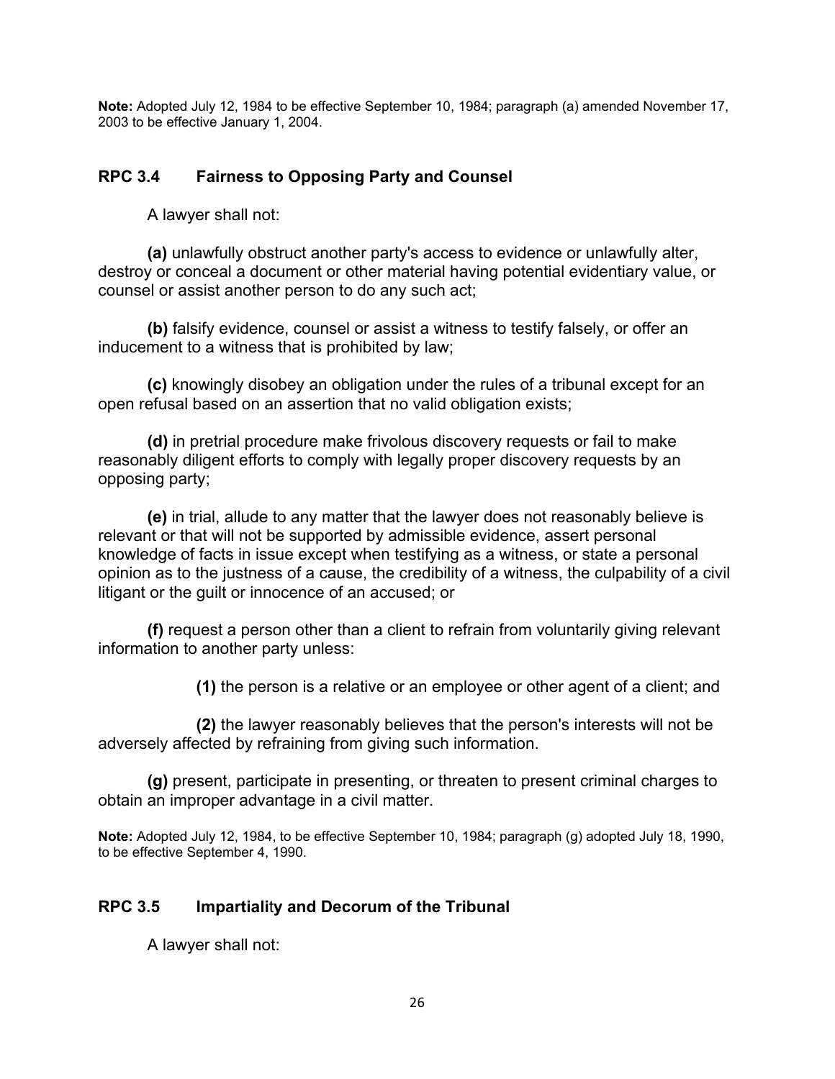**Note:** Adopted July 12, 1984 to be effective September 10, 1984; paragraph (a) amended November 17, 2003 to be effective January 1, 2004.

#### <span id="page-25-0"></span>**RPC 3.4 Fairness to Opposing Party and Counsel**

A lawyer shall not:

**(a)** unlawfully obstruct another party's access to evidence or unlawfully alter, destroy or conceal a document or other material having potential evidentiary value, or counsel or assist another person to do any such act;

**(b)** falsify evidence, counsel or assist a witness to testify falsely, or offer an inducement to a witness that is prohibited by law;

**(c)** knowingly disobey an obligation under the rules of a tribunal except for an open refusal based on an assertion that no valid obligation exists;

**(d)** in pretrial procedure make frivolous discovery requests or fail to make reasonably diligent efforts to comply with legally proper discovery requests by an opposing party;

**(e)** in trial, allude to any matter that the lawyer does not reasonably believe is relevant or that will not be supported by admissible evidence, assert personal knowledge of facts in issue except when testifying as a witness, or state a personal opinion as to the justness of a cause, the credibility of a witness, the culpability of a civil litigant or the guilt or innocence of an accused; or

**(f)** request a person other than a client to refrain from voluntarily giving relevant information to another party unless:

**(1)** the person is a relative or an employee or other agent of a client; and

**(2)** the lawyer reasonably believes that the person's interests will not be adversely affected by refraining from giving such information.

**(g)** present, participate in presenting, or threaten to present criminal charges to obtain an improper advantage in a civil matter.

**Note:** Adopted July 12, 1984, to be effective September 10, 1984; paragraph (g) adopted July 18, 1990, to be effective September 4, 1990.

## <span id="page-25-1"></span>**RPC 3.5 Impartiali**t**y and Decorum of the Tribunal**

A lawyer shall not: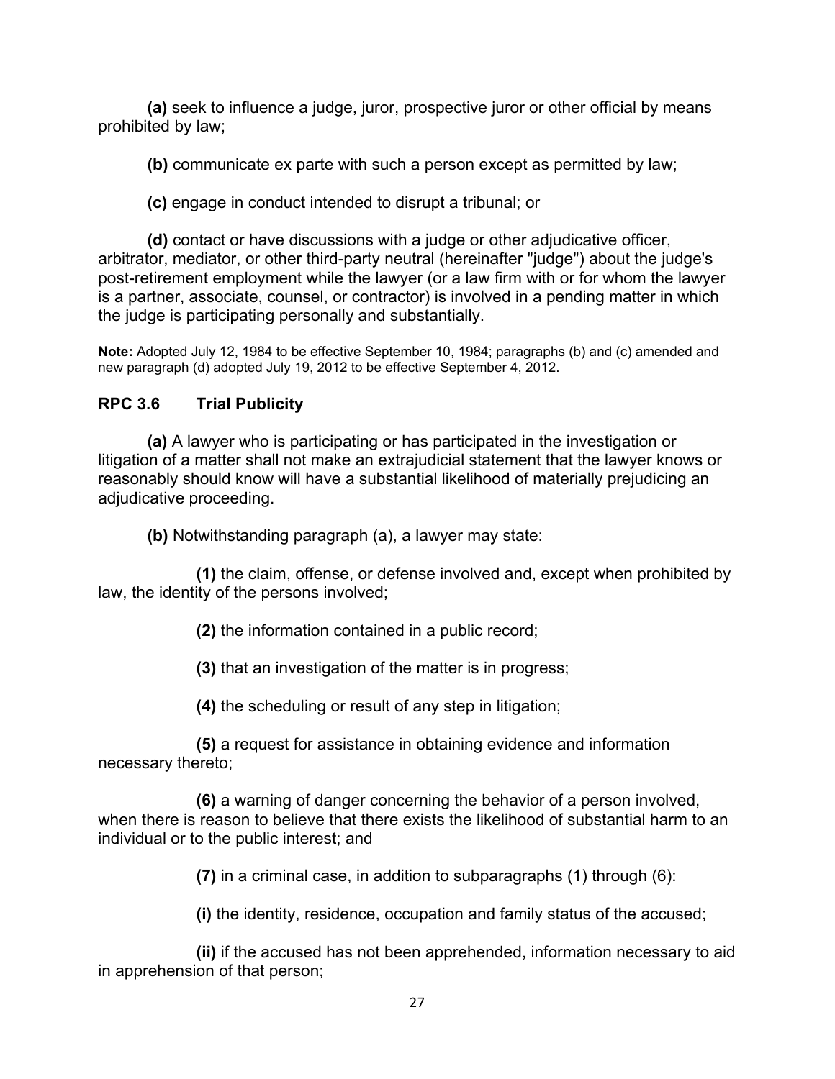**(a)** seek to influence a judge, juror, prospective juror or other official by means prohibited by law;

**(b)** communicate ex parte with such a person except as permitted by law;

**(c)** engage in conduct intended to disrupt a tribunal; or

**(d)** contact or have discussions with a judge or other adjudicative officer, arbitrator, mediator, or other third-party neutral (hereinafter "judge") about the judge's post-retirement employment while the lawyer (or a law firm with or for whom the lawyer is a partner, associate, counsel, or contractor) is involved in a pending matter in which the judge is participating personally and substantially.

**Note:** Adopted July 12, 1984 to be effective September 10, 1984; paragraphs (b) and (c) amended and new paragraph (d) adopted July 19, 2012 to be effective September 4, 2012.

## <span id="page-26-0"></span>**RPC 3.6 Trial Publicity**

**(a)** A lawyer who is participating or has participated in the investigation or litigation of a matter shall not make an extrajudicial statement that the lawyer knows or reasonably should know will have a substantial likelihood of materially prejudicing an adjudicative proceeding.

**(b)** Notwithstanding paragraph (a), a lawyer may state:

**(1)** the claim, offense, or defense involved and, except when prohibited by law, the identity of the persons involved;

**(2)** the information contained in a public record;

**(3)** that an investigation of the matter is in progress;

**(4)** the scheduling or result of any step in litigation;

**(5)** a request for assistance in obtaining evidence and information necessary thereto;

**(6)** a warning of danger concerning the behavior of a person involved, when there is reason to believe that there exists the likelihood of substantial harm to an individual or to the public interest; and

**(7)** in a criminal case, in addition to subparagraphs (1) through (6):

**(i)** the identity, residence, occupation and family status of the accused;

**(ii)** if the accused has not been apprehended, information necessary to aid in apprehension of that person;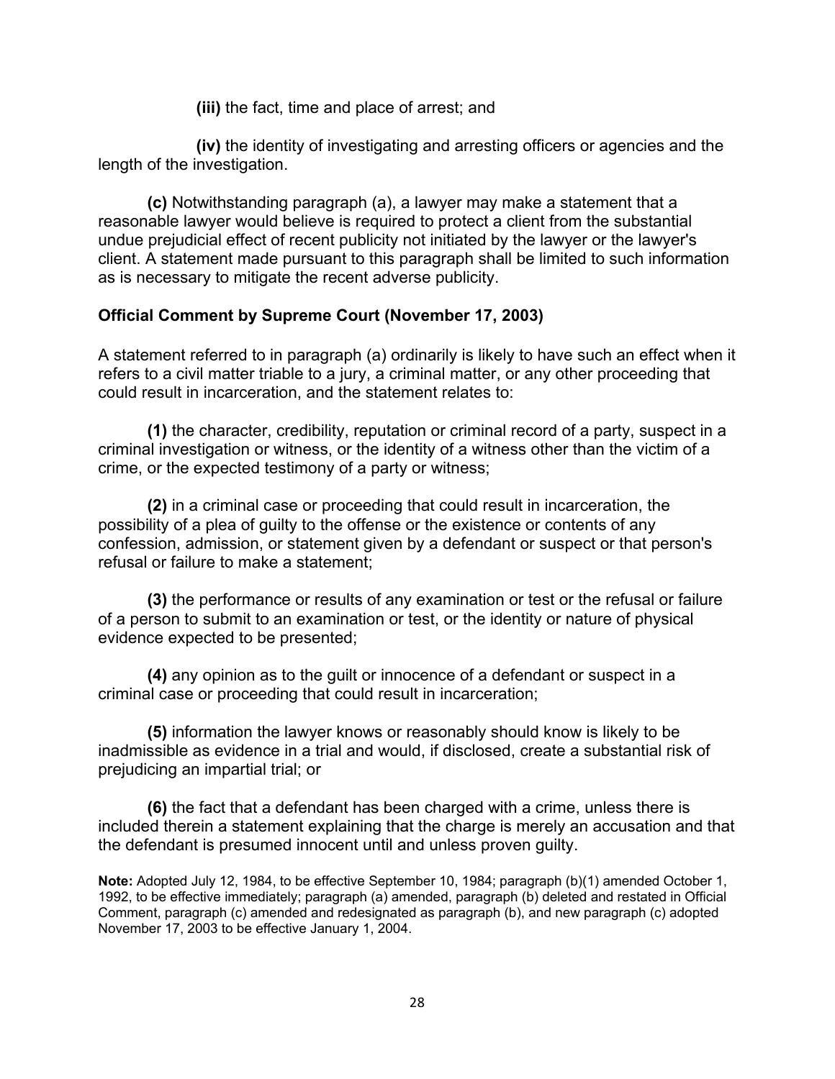**(iii)** the fact, time and place of arrest; and

**(iv)** the identity of investigating and arresting officers or agencies and the length of the investigation.

**(c)** Notwithstanding paragraph (a), a lawyer may make a statement that a reasonable lawyer would believe is required to protect a client from the substantial undue prejudicial effect of recent publicity not initiated by the lawyer or the lawyer's client. A statement made pursuant to this paragraph shall be limited to such information as is necessary to mitigate the recent adverse publicity.

#### **Official Comment by Supreme Court (November 17, 2003)**

A statement referred to in paragraph (a) ordinarily is likely to have such an effect when it refers to a civil matter triable to a jury, a criminal matter, or any other proceeding that could result in incarceration, and the statement relates to:

**(1)** the character, credibility, reputation or criminal record of a party, suspect in a criminal investigation or witness, or the identity of a witness other than the victim of a crime, or the expected testimony of a party or witness;

**(2)** in a criminal case or proceeding that could result in incarceration, the possibility of a plea of guilty to the offense or the existence or contents of any confession, admission, or statement given by a defendant or suspect or that person's refusal or failure to make a statement;

**(3)** the performance or results of any examination or test or the refusal or failure of a person to submit to an examination or test, or the identity or nature of physical evidence expected to be presented;

**(4)** any opinion as to the guilt or innocence of a defendant or suspect in a criminal case or proceeding that could result in incarceration;

**(5)** information the lawyer knows or reasonably should know is likely to be inadmissible as evidence in a trial and would, if disclosed, create a substantial risk of prejudicing an impartial trial; or

**(6)** the fact that a defendant has been charged with a crime, unless there is included therein a statement explaining that the charge is merely an accusation and that the defendant is presumed innocent until and unless proven guilty.

<span id="page-27-0"></span>**Note:** Adopted July 12, 1984, to be effective September 10, 1984; paragraph (b)(1) amended October 1, 1992, to be effective immediately; paragraph (a) amended, paragraph (b) deleted and restated in Official Comment, paragraph (c) amended and redesignated as paragraph (b), and new paragraph (c) adopted November 17, 2003 to be effective January 1, 2004.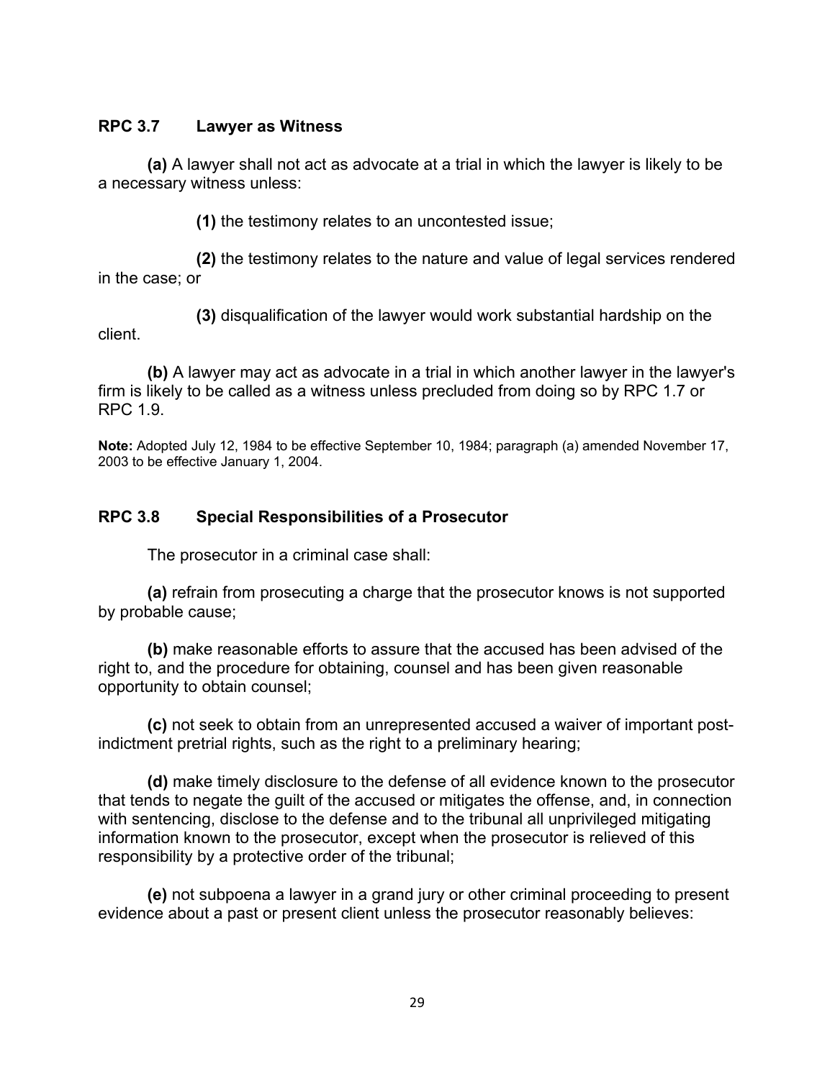### **RPC 3.7 Lawyer as Witness**

**(a)** A lawyer shall not act as advocate at a trial in which the lawyer is likely to be a necessary witness unless:

**(1)** the testimony relates to an uncontested issue;

**(2)** the testimony relates to the nature and value of legal services rendered in the case; or

**(3)** disqualification of the lawyer would work substantial hardship on the client.

**(b)** A lawyer may act as advocate in a trial in which another lawyer in the lawyer's firm is likely to be called as a witness unless precluded from doing so by RPC 1.7 or RPC 1.9.

**Note:** Adopted July 12, 1984 to be effective September 10, 1984; paragraph (a) amended November 17, 2003 to be effective January 1, 2004.

## <span id="page-28-0"></span>**RPC 3.8 Special Responsibilities of a Prosecutor**

The prosecutor in a criminal case shall:

**(a)** refrain from prosecuting a charge that the prosecutor knows is not supported by probable cause;

**(b)** make reasonable efforts to assure that the accused has been advised of the right to, and the procedure for obtaining, counsel and has been given reasonable opportunity to obtain counsel;

**(c)** not seek to obtain from an unrepresented accused a waiver of important postindictment pretrial rights, such as the right to a preliminary hearing;

**(d)** make timely disclosure to the defense of all evidence known to the prosecutor that tends to negate the guilt of the accused or mitigates the offense, and, in connection with sentencing, disclose to the defense and to the tribunal all unprivileged mitigating information known to the prosecutor, except when the prosecutor is relieved of this responsibility by a protective order of the tribunal;

**(e)** not subpoena a lawyer in a grand jury or other criminal proceeding to present evidence about a past or present client unless the prosecutor reasonably believes: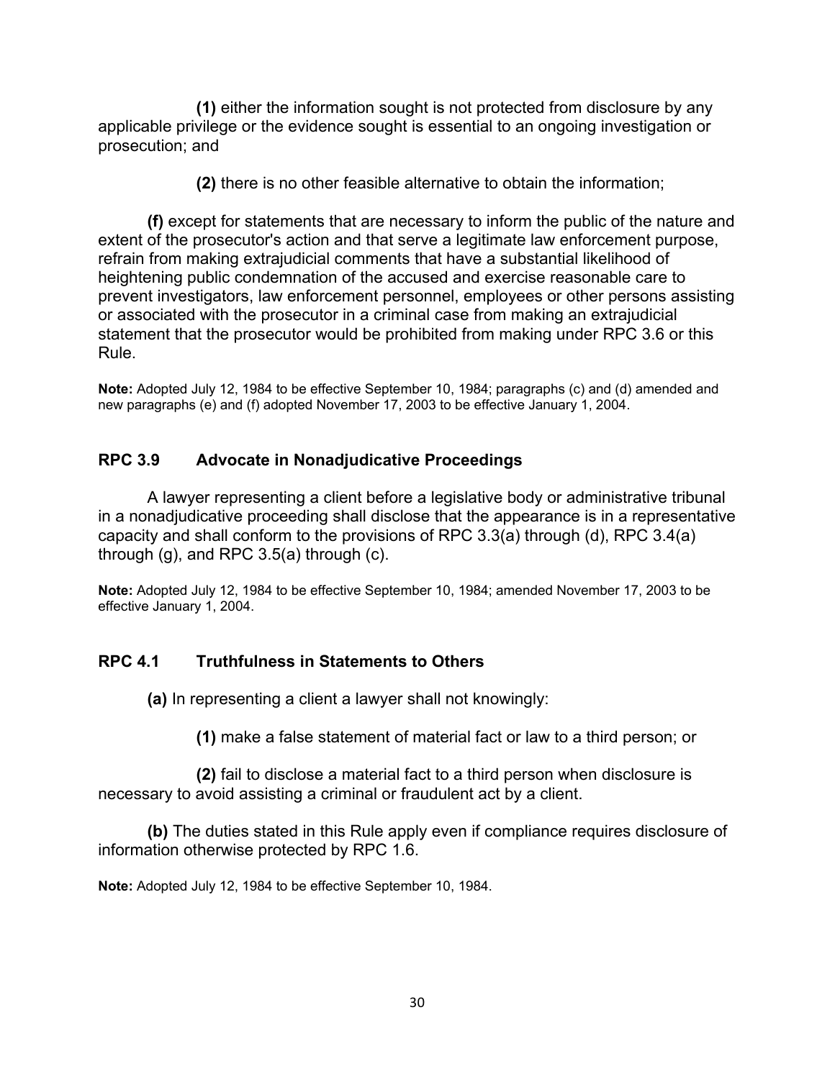**(1)** either the information sought is not protected from disclosure by any applicable privilege or the evidence sought is essential to an ongoing investigation or prosecution; and

**(2)** there is no other feasible alternative to obtain the information;

**(f)** except for statements that are necessary to inform the public of the nature and extent of the prosecutor's action and that serve a legitimate law enforcement purpose, refrain from making extrajudicial comments that have a substantial likelihood of heightening public condemnation of the accused and exercise reasonable care to prevent investigators, law enforcement personnel, employees or other persons assisting or associated with the prosecutor in a criminal case from making an extrajudicial statement that the prosecutor would be prohibited from making under RPC 3.6 or this Rule.

**Note:** Adopted July 12, 1984 to be effective September 10, 1984; paragraphs (c) and (d) amended and new paragraphs (e) and (f) adopted November 17, 2003 to be effective January 1, 2004.

# <span id="page-29-0"></span>**RPC 3.9 Advocate in Nonadjudicative Proceedings**

A lawyer representing a client before a legislative body or administrative tribunal in a nonadjudicative proceeding shall disclose that the appearance is in a representative capacity and shall conform to the provisions of RPC 3.3(a) through (d), RPC 3.4(a) through (g), and RPC 3.5(a) through (c).

**Note:** Adopted July 12, 1984 to be effective September 10, 1984; amended November 17, 2003 to be effective January 1, 2004.

## <span id="page-29-1"></span>**RPC 4.1 Truthfulness in Statements to Others**

**(a)** In representing a client a lawyer shall not knowingly:

**(1)** make a false statement of material fact or law to a third person; or

**(2)** fail to disclose a material fact to a third person when disclosure is necessary to avoid assisting a criminal or fraudulent act by a client.

**(b)** The duties stated in this Rule apply even if compliance requires disclosure of information otherwise protected by RPC 1.6.

**Note:** Adopted July 12, 1984 to be effective September 10, 1984.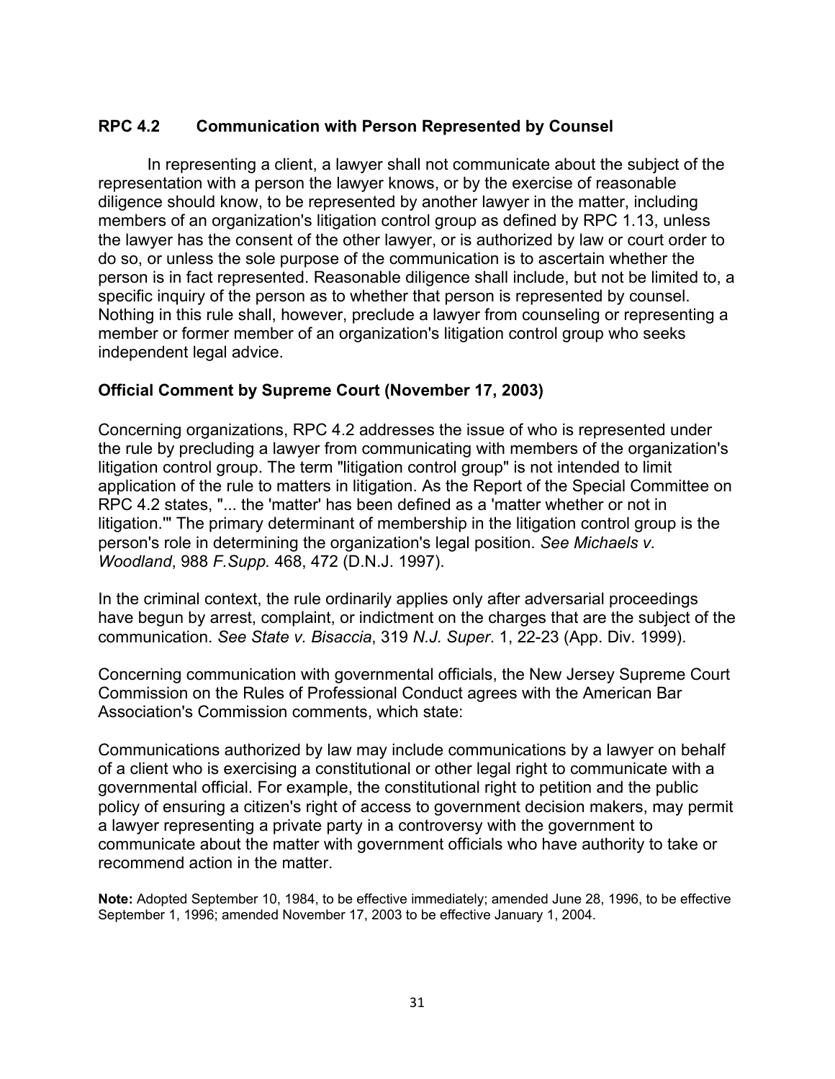## <span id="page-30-0"></span>**RPC 4.2 Communication with Person Represented by Counsel**

In representing a client, a lawyer shall not communicate about the subject of the representation with a person the lawyer knows, or by the exercise of reasonable diligence should know, to be represented by another lawyer in the matter, including members of an organization's litigation control group as defined by RPC 1.13, unless the lawyer has the consent of the other lawyer, or is authorized by law or court order to do so, or unless the sole purpose of the communication is to ascertain whether the person is in fact represented. Reasonable diligence shall include, but not be limited to, a specific inquiry of the person as to whether that person is represented by counsel. Nothing in this rule shall, however, preclude a lawyer from counseling or representing a member or former member of an organization's litigation control group who seeks independent legal advice.

#### **Official Comment by Supreme Court (November 17, 2003)**

Concerning organizations, RPC 4.2 addresses the issue of who is represented under the rule by precluding a lawyer from communicating with members of the organization's litigation control group. The term "litigation control group" is not intended to limit application of the rule to matters in litigation. As the Report of the Special Committee on RPC 4.2 states, "... the 'matter' has been defined as a 'matter whether or not in litigation.'" The primary determinant of membership in the litigation control group is the person's role in determining the organization's legal position. *See Michaels v. Woodland*, 988 *F.Supp.* 468, 472 (D.N.J. 1997).

In the criminal context, the rule ordinarily applies only after adversarial proceedings have begun by arrest, complaint, or indictment on the charges that are the subject of the communication. *See State v. Bisaccia*, 319 *N.J. Super*. 1, 22-23 (App. Div. 1999).

Concerning communication with governmental officials, the New Jersey Supreme Court Commission on the Rules of Professional Conduct agrees with the American Bar Association's Commission comments, which state:

Communications authorized by law may include communications by a lawyer on behalf of a client who is exercising a constitutional or other legal right to communicate with a governmental official. For example, the constitutional right to petition and the public policy of ensuring a citizen's right of access to government decision makers, may permit a lawyer representing a private party in a controversy with the government to communicate about the matter with government officials who have authority to take or recommend action in the matter.

<span id="page-30-1"></span>**Note:** Adopted September 10, 1984, to be effective immediately; amended June 28, 1996, to be effective September 1, 1996; amended November 17, 2003 to be effective January 1, 2004.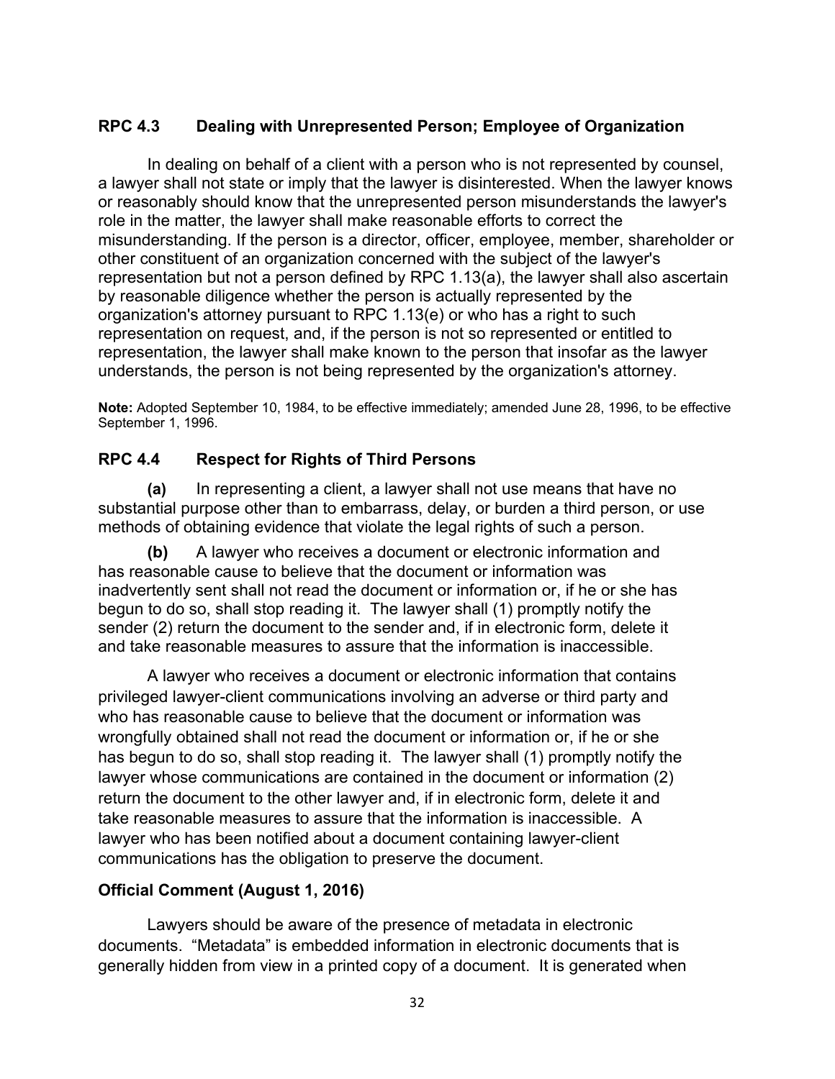# **RPC 4.3 Dealing with Unrepresented Person; Employee of Organization**

In dealing on behalf of a client with a person who is not represented by counsel, a lawyer shall not state or imply that the lawyer is disinterested. When the lawyer knows or reasonably should know that the unrepresented person misunderstands the lawyer's role in the matter, the lawyer shall make reasonable efforts to correct the misunderstanding. If the person is a director, officer, employee, member, shareholder or other constituent of an organization concerned with the subject of the lawyer's representation but not a person defined by RPC 1.13(a), the lawyer shall also ascertain by reasonable diligence whether the person is actually represented by the organization's attorney pursuant to RPC 1.13(e) or who has a right to such representation on request, and, if the person is not so represented or entitled to representation, the lawyer shall make known to the person that insofar as the lawyer understands, the person is not being represented by the organization's attorney.

**Note:** Adopted September 10, 1984, to be effective immediately; amended June 28, 1996, to be effective September 1, 1996.

## <span id="page-31-0"></span>**RPC 4.4 Respect for Rights of Third Persons**

**(a)** In representing a client, a lawyer shall not use means that have no substantial purpose other than to embarrass, delay, or burden a third person, or use methods of obtaining evidence that violate the legal rights of such a person.

**(b)** A lawyer who receives a document or electronic information and has reasonable cause to believe that the document or information was inadvertently sent shall not read the document or information or, if he or she has begun to do so, shall stop reading it. The lawyer shall (1) promptly notify the sender (2) return the document to the sender and, if in electronic form, delete it and take reasonable measures to assure that the information is inaccessible.

A lawyer who receives a document or electronic information that contains privileged lawyer-client communications involving an adverse or third party and who has reasonable cause to believe that the document or information was wrongfully obtained shall not read the document or information or, if he or she has begun to do so, shall stop reading it. The lawyer shall (1) promptly notify the lawyer whose communications are contained in the document or information (2) return the document to the other lawyer and, if in electronic form, delete it and take reasonable measures to assure that the information is inaccessible. A lawyer who has been notified about a document containing lawyer-client communications has the obligation to preserve the document.

#### **Official Comment (August 1, 2016)**

Lawyers should be aware of the presence of metadata in electronic documents. "Metadata" is embedded information in electronic documents that is generally hidden from view in a printed copy of a document. It is generated when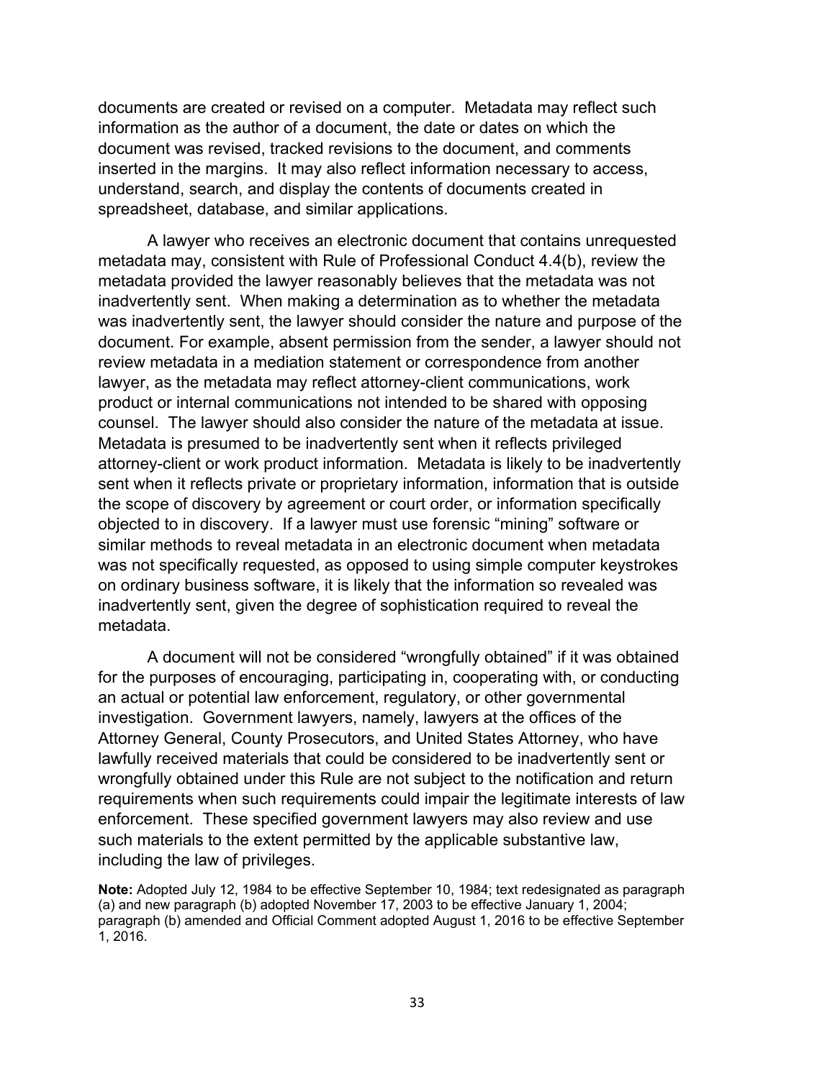documents are created or revised on a computer. Metadata may reflect such information as the author of a document, the date or dates on which the document was revised, tracked revisions to the document, and comments inserted in the margins. It may also reflect information necessary to access, understand, search, and display the contents of documents created in spreadsheet, database, and similar applications.

A lawyer who receives an electronic document that contains unrequested metadata may, consistent with Rule of Professional Conduct 4.4(b), review the metadata provided the lawyer reasonably believes that the metadata was not inadvertently sent. When making a determination as to whether the metadata was inadvertently sent, the lawyer should consider the nature and purpose of the document. For example, absent permission from the sender, a lawyer should not review metadata in a mediation statement or correspondence from another lawyer, as the metadata may reflect attorney-client communications, work product or internal communications not intended to be shared with opposing counsel. The lawyer should also consider the nature of the metadata at issue. Metadata is presumed to be inadvertently sent when it reflects privileged attorney-client or work product information. Metadata is likely to be inadvertently sent when it reflects private or proprietary information, information that is outside the scope of discovery by agreement or court order, or information specifically objected to in discovery. If a lawyer must use forensic "mining" software or similar methods to reveal metadata in an electronic document when metadata was not specifically requested, as opposed to using simple computer keystrokes on ordinary business software, it is likely that the information so revealed was inadvertently sent, given the degree of sophistication required to reveal the metadata.

A document will not be considered "wrongfully obtained" if it was obtained for the purposes of encouraging, participating in, cooperating with, or conducting an actual or potential law enforcement, regulatory, or other governmental investigation. Government lawyers, namely, lawyers at the offices of the Attorney General, County Prosecutors, and United States Attorney, who have lawfully received materials that could be considered to be inadvertently sent or wrongfully obtained under this Rule are not subject to the notification and return requirements when such requirements could impair the legitimate interests of law enforcement. These specified government lawyers may also review and use such materials to the extent permitted by the applicable substantive law, including the law of privileges.

**Note:** Adopted July 12, 1984 to be effective September 10, 1984; text redesignated as paragraph (a) and new paragraph (b) adopted November 17, 2003 to be effective January 1, 2004; paragraph (b) amended and Official Comment adopted August 1, 2016 to be effective September 1, 2016.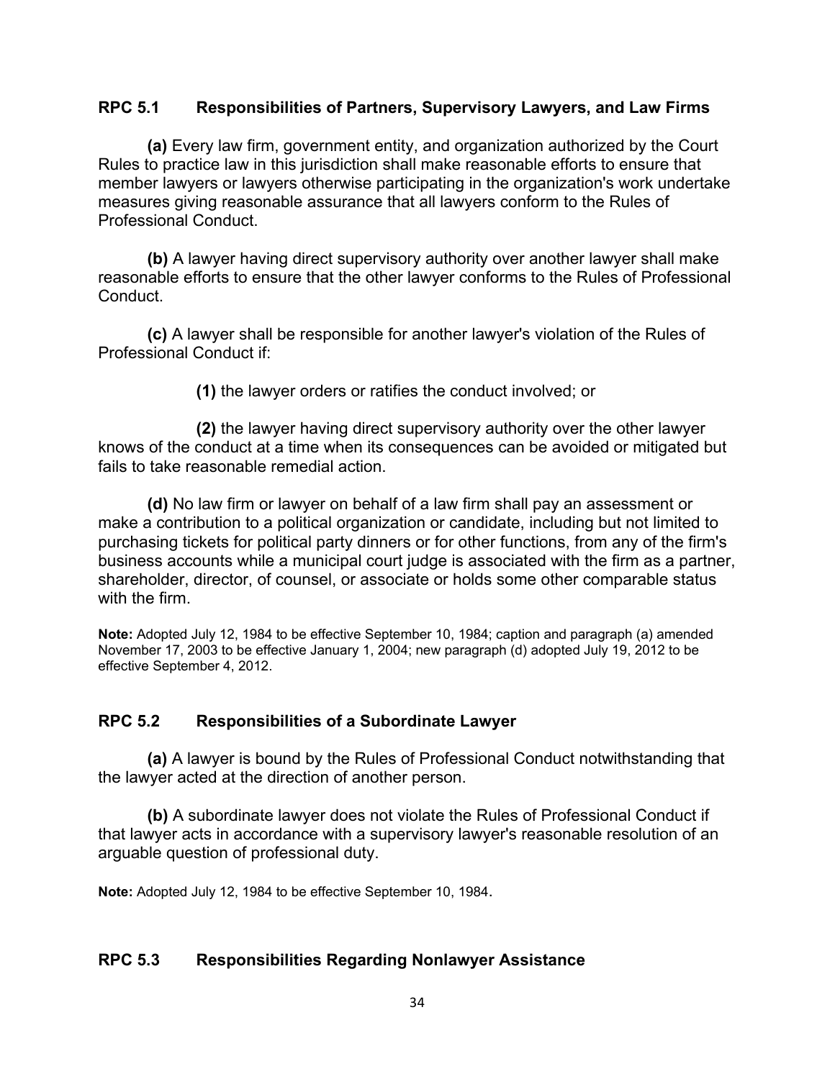#### <span id="page-33-0"></span>**RPC 5.1 Responsibilities of Partners, Supervisory Lawyers, and Law Firms**

**(a)** Every law firm, government entity, and organization authorized by the Court Rules to practice law in this jurisdiction shall make reasonable efforts to ensure that member lawyers or lawyers otherwise participating in the organization's work undertake measures giving reasonable assurance that all lawyers conform to the Rules of Professional Conduct.

**(b)** A lawyer having direct supervisory authority over another lawyer shall make reasonable efforts to ensure that the other lawyer conforms to the Rules of Professional Conduct.

**(c)** A lawyer shall be responsible for another lawyer's violation of the Rules of Professional Conduct if:

**(1)** the lawyer orders or ratifies the conduct involved; or

**(2)** the lawyer having direct supervisory authority over the other lawyer knows of the conduct at a time when its consequences can be avoided or mitigated but fails to take reasonable remedial action.

**(d)** No law firm or lawyer on behalf of a law firm shall pay an assessment or make a contribution to a political organization or candidate, including but not limited to purchasing tickets for political party dinners or for other functions, from any of the firm's business accounts while a municipal court judge is associated with the firm as a partner, shareholder, director, of counsel, or associate or holds some other comparable status with the firm.

**Note:** Adopted July 12, 1984 to be effective September 10, 1984; caption and paragraph (a) amended November 17, 2003 to be effective January 1, 2004; new paragraph (d) adopted July 19, 2012 to be effective September 4, 2012.

#### <span id="page-33-1"></span>**RPC 5.2 Responsibilities of a Subordinate Lawyer**

**(a)** A lawyer is bound by the Rules of Professional Conduct notwithstanding that the lawyer acted at the direction of another person.

**(b)** A subordinate lawyer does not violate the Rules of Professional Conduct if that lawyer acts in accordance with a supervisory lawyer's reasonable resolution of an arguable question of professional duty.

**Note:** Adopted July 12, 1984 to be effective September 10, 1984.

#### <span id="page-33-2"></span>**RPC 5.3 Responsibilities Regarding Nonlawyer Assistance**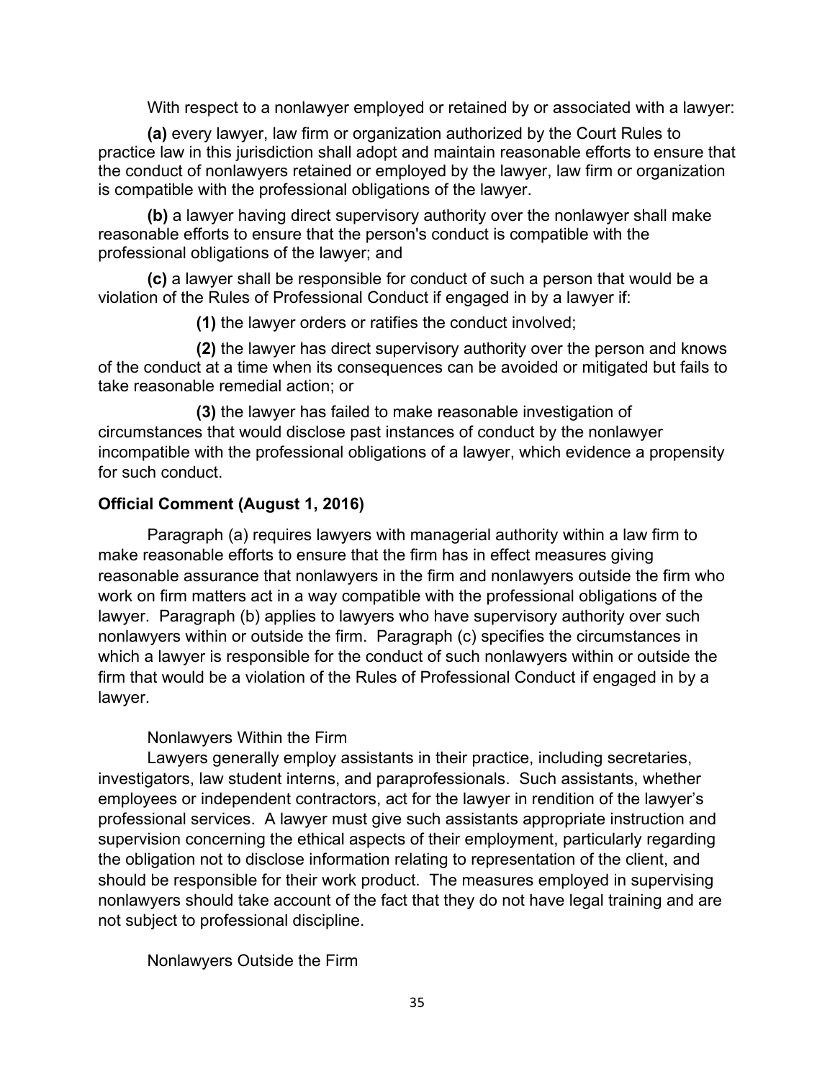With respect to a nonlawyer employed or retained by or associated with a lawyer:

**(a)** every lawyer, law firm or organization authorized by the Court Rules to practice law in this jurisdiction shall adopt and maintain reasonable efforts to ensure that the conduct of nonlawyers retained or employed by the lawyer, law firm or organization is compatible with the professional obligations of the lawyer.

**(b)** a lawyer having direct supervisory authority over the nonlawyer shall make reasonable efforts to ensure that the person's conduct is compatible with the professional obligations of the lawyer; and

**(c)** a lawyer shall be responsible for conduct of such a person that would be a violation of the Rules of Professional Conduct if engaged in by a lawyer if:

**(1)** the lawyer orders or ratifies the conduct involved;

**(2)** the lawyer has direct supervisory authority over the person and knows of the conduct at a time when its consequences can be avoided or mitigated but fails to take reasonable remedial action; or

**(3)** the lawyer has failed to make reasonable investigation of circumstances that would disclose past instances of conduct by the nonlawyer incompatible with the professional obligations of a lawyer, which evidence a propensity for such conduct.

## **Official Comment (August 1, 2016)**

Paragraph (a) requires lawyers with managerial authority within a law firm to make reasonable efforts to ensure that the firm has in effect measures giving reasonable assurance that nonlawyers in the firm and nonlawyers outside the firm who work on firm matters act in a way compatible with the professional obligations of the lawyer. Paragraph (b) applies to lawyers who have supervisory authority over such nonlawyers within or outside the firm. Paragraph (c) specifies the circumstances in which a lawyer is responsible for the conduct of such nonlawyers within or outside the firm that would be a violation of the Rules of Professional Conduct if engaged in by a lawyer.

## Nonlawyers Within the Firm

Lawyers generally employ assistants in their practice, including secretaries, investigators, law student interns, and paraprofessionals. Such assistants, whether employees or independent contractors, act for the lawyer in rendition of the lawyer's professional services. A lawyer must give such assistants appropriate instruction and supervision concerning the ethical aspects of their employment, particularly regarding the obligation not to disclose information relating to representation of the client, and should be responsible for their work product. The measures employed in supervising nonlawyers should take account of the fact that they do not have legal training and are not subject to professional discipline.

Nonlawyers Outside the Firm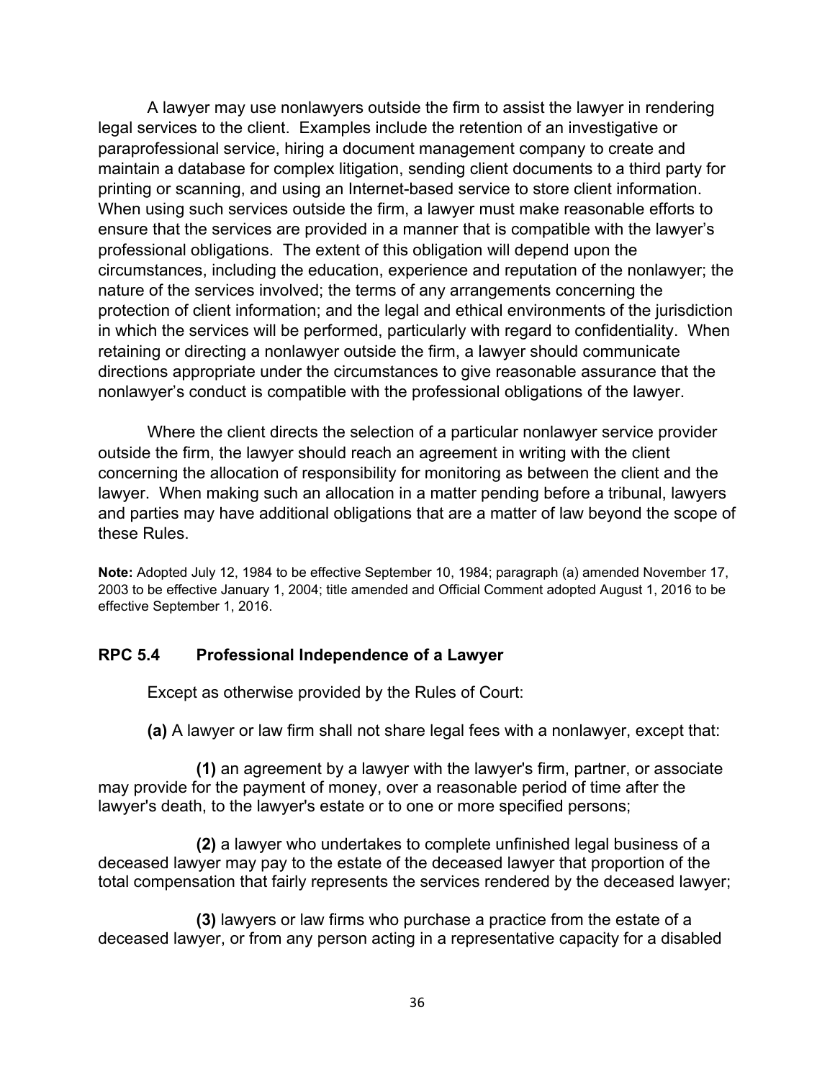A lawyer may use nonlawyers outside the firm to assist the lawyer in rendering legal services to the client. Examples include the retention of an investigative or paraprofessional service, hiring a document management company to create and maintain a database for complex litigation, sending client documents to a third party for printing or scanning, and using an Internet-based service to store client information. When using such services outside the firm, a lawyer must make reasonable efforts to ensure that the services are provided in a manner that is compatible with the lawyer's professional obligations. The extent of this obligation will depend upon the circumstances, including the education, experience and reputation of the nonlawyer; the nature of the services involved; the terms of any arrangements concerning the protection of client information; and the legal and ethical environments of the jurisdiction in which the services will be performed, particularly with regard to confidentiality. When retaining or directing a nonlawyer outside the firm, a lawyer should communicate directions appropriate under the circumstances to give reasonable assurance that the nonlawyer's conduct is compatible with the professional obligations of the lawyer.

Where the client directs the selection of a particular nonlawyer service provider outside the firm, the lawyer should reach an agreement in writing with the client concerning the allocation of responsibility for monitoring as between the client and the lawyer. When making such an allocation in a matter pending before a tribunal, lawyers and parties may have additional obligations that are a matter of law beyond the scope of these Rules.

**Note:** Adopted July 12, 1984 to be effective September 10, 1984; paragraph (a) amended November 17, 2003 to be effective January 1, 2004; title amended and Official Comment adopted August 1, 2016 to be effective September 1, 2016.

#### <span id="page-35-0"></span>**RPC 5.4 Professional Independence of a Lawyer**

Except as otherwise provided by the Rules of Court:

**(a)** A lawyer or law firm shall not share legal fees with a nonlawyer, except that:

**(1)** an agreement by a lawyer with the lawyer's firm, partner, or associate may provide for the payment of money, over a reasonable period of time after the lawyer's death, to the lawyer's estate or to one or more specified persons;

**(2)** a lawyer who undertakes to complete unfinished legal business of a deceased lawyer may pay to the estate of the deceased lawyer that proportion of the total compensation that fairly represents the services rendered by the deceased lawyer;

**(3)** lawyers or law firms who purchase a practice from the estate of a deceased lawyer, or from any person acting in a representative capacity for a disabled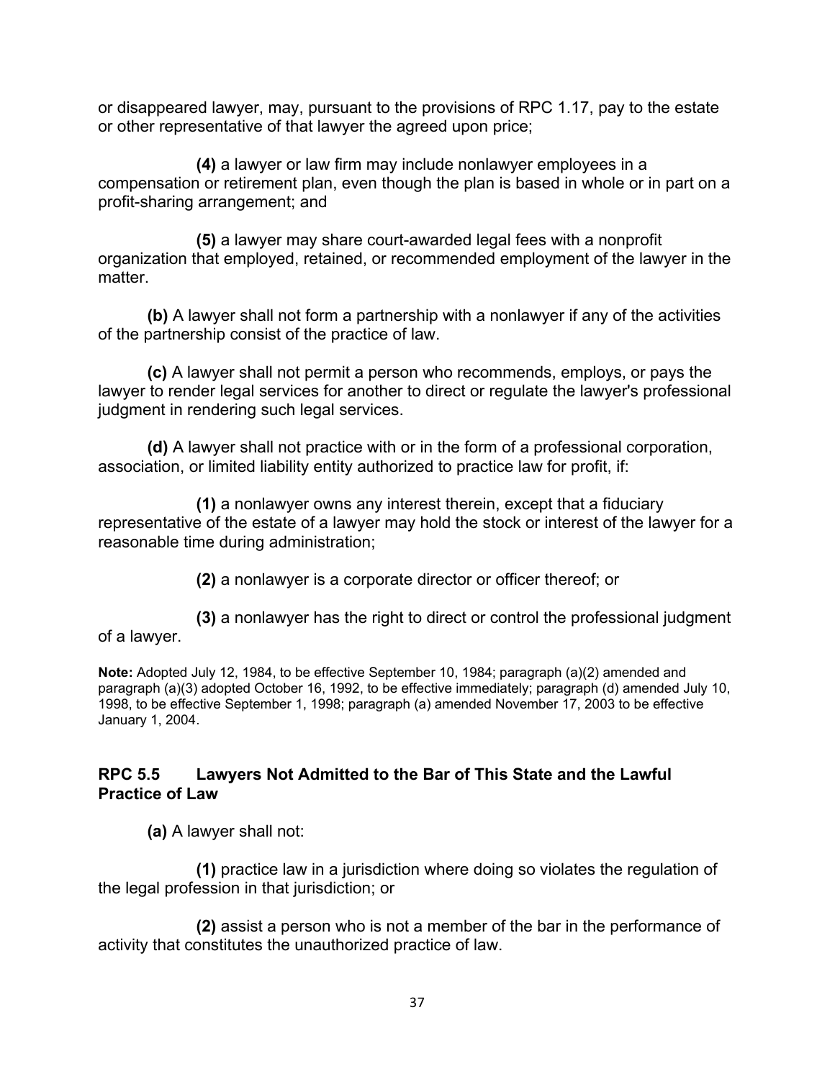or disappeared lawyer, may, pursuant to the provisions of RPC 1.17, pay to the estate or other representative of that lawyer the agreed upon price;

**(4)** a lawyer or law firm may include nonlawyer employees in a compensation or retirement plan, even though the plan is based in whole or in part on a profit-sharing arrangement; and

**(5)** a lawyer may share court-awarded legal fees with a nonprofit organization that employed, retained, or recommended employment of the lawyer in the matter.

**(b)** A lawyer shall not form a partnership with a nonlawyer if any of the activities of the partnership consist of the practice of law.

**(c)** A lawyer shall not permit a person who recommends, employs, or pays the lawyer to render legal services for another to direct or regulate the lawyer's professional judgment in rendering such legal services.

**(d)** A lawyer shall not practice with or in the form of a professional corporation, association, or limited liability entity authorized to practice law for profit, if:

**(1)** a nonlawyer owns any interest therein, except that a fiduciary representative of the estate of a lawyer may hold the stock or interest of the lawyer for a reasonable time during administration;

**(2)** a nonlawyer is a corporate director or officer thereof; or

**(3)** a nonlawyer has the right to direct or control the professional judgment of a lawyer.

**Note:** Adopted July 12, 1984, to be effective September 10, 1984; paragraph (a)(2) amended and paragraph (a)(3) adopted October 16, 1992, to be effective immediately; paragraph (d) amended July 10, 1998, to be effective September 1, 1998; paragraph (a) amended November 17, 2003 to be effective January 1, 2004.

#### <span id="page-36-0"></span>**RPC 5.5 Lawyers Not Admitted to the Bar of This State and the Lawful Practice of Law**

**(a)** A lawyer shall not:

**(1)** practice law in a jurisdiction where doing so violates the regulation of the legal profession in that jurisdiction; or

**(2)** assist a person who is not a member of the bar in the performance of activity that constitutes the unauthorized practice of law.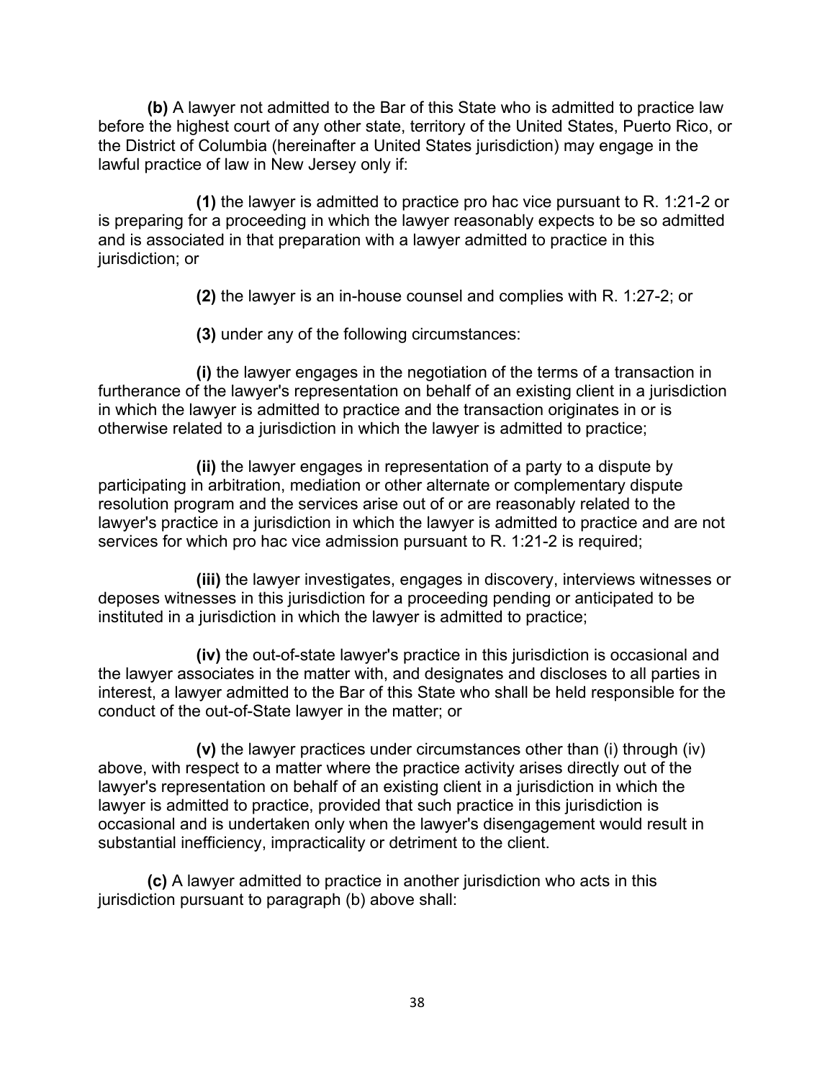**(b)** A lawyer not admitted to the Bar of this State who is admitted to practice law before the highest court of any other state, territory of the United States, Puerto Rico, or the District of Columbia (hereinafter a United States jurisdiction) may engage in the lawful practice of law in New Jersey only if:

**(1)** the lawyer is admitted to practice pro hac vice pursuant to R. 1:21-2 or is preparing for a proceeding in which the lawyer reasonably expects to be so admitted and is associated in that preparation with a lawyer admitted to practice in this jurisdiction; or

**(2)** the lawyer is an in-house counsel and complies with R. 1:27-2; or

**(3)** under any of the following circumstances:

**(i)** the lawyer engages in the negotiation of the terms of a transaction in furtherance of the lawyer's representation on behalf of an existing client in a jurisdiction in which the lawyer is admitted to practice and the transaction originates in or is otherwise related to a jurisdiction in which the lawyer is admitted to practice;

**(ii)** the lawyer engages in representation of a party to a dispute by participating in arbitration, mediation or other alternate or complementary dispute resolution program and the services arise out of or are reasonably related to the lawyer's practice in a jurisdiction in which the lawyer is admitted to practice and are not services for which pro hac vice admission pursuant to R. 1:21-2 is required;

**(iii)** the lawyer investigates, engages in discovery, interviews witnesses or deposes witnesses in this jurisdiction for a proceeding pending or anticipated to be instituted in a jurisdiction in which the lawyer is admitted to practice;

**(iv)** the out-of-state lawyer's practice in this jurisdiction is occasional and the lawyer associates in the matter with, and designates and discloses to all parties in interest, a lawyer admitted to the Bar of this State who shall be held responsible for the conduct of the out-of-State lawyer in the matter; or

**(v)** the lawyer practices under circumstances other than (i) through (iv) above, with respect to a matter where the practice activity arises directly out of the lawyer's representation on behalf of an existing client in a jurisdiction in which the lawyer is admitted to practice, provided that such practice in this jurisdiction is occasional and is undertaken only when the lawyer's disengagement would result in substantial inefficiency, impracticality or detriment to the client.

**(c)** A lawyer admitted to practice in another jurisdiction who acts in this jurisdiction pursuant to paragraph (b) above shall: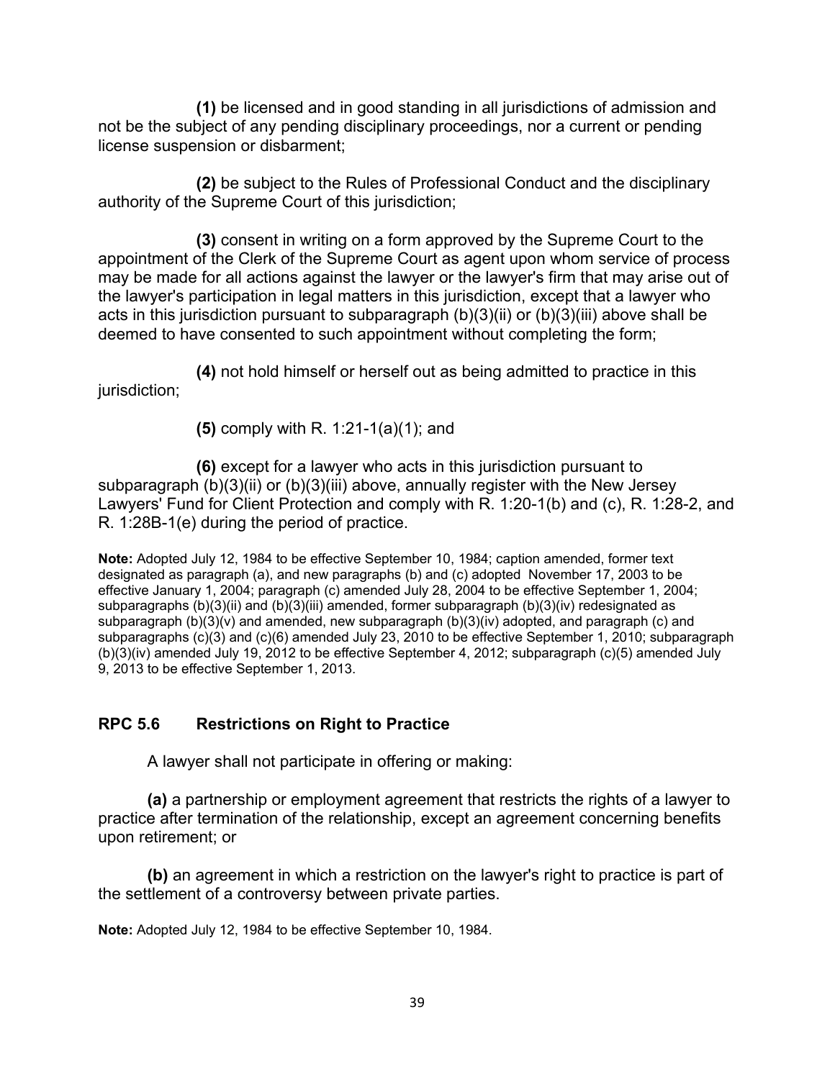**(1)** be licensed and in good standing in all jurisdictions of admission and not be the subject of any pending disciplinary proceedings, nor a current or pending license suspension or disbarment;

**(2)** be subject to the Rules of Professional Conduct and the disciplinary authority of the Supreme Court of this jurisdiction;

**(3)** consent in writing on a form approved by the Supreme Court to the appointment of the Clerk of the Supreme Court as agent upon whom service of process may be made for all actions against the lawyer or the lawyer's firm that may arise out of the lawyer's participation in legal matters in this jurisdiction, except that a lawyer who acts in this jurisdiction pursuant to subparagraph (b)(3)(ii) or (b)(3)(iii) above shall be deemed to have consented to such appointment without completing the form;

**(4)** not hold himself or herself out as being admitted to practice in this jurisdiction;

**(5)** comply with R. 1:21-1(a)(1); and

**(6)** except for a lawyer who acts in this jurisdiction pursuant to subparagraph (b)(3)(ii) or (b)(3)(iii) above, annually register with the New Jersey Lawyers' Fund for Client Protection and comply with R. 1:20-1(b) and (c), R. 1:28-2, and R. 1:28B-1(e) during the period of practice.

**Note:** Adopted July 12, 1984 to be effective September 10, 1984; caption amended, former text designated as paragraph (a), and new paragraphs (b) and (c) adopted November 17, 2003 to be effective January 1, 2004; paragraph (c) amended July 28, 2004 to be effective September 1, 2004; subparagraphs (b)(3)(ii) and (b)(3)(iii) amended, former subparagraph (b)(3)(iv) redesignated as subparagraph  $(b)(3)(v)$  and amended, new subparagraph  $(b)(3)(iv)$  adopted, and paragraph  $(c)$  and subparagraphs (c)(3) and (c)(6) amended July 23, 2010 to be effective September 1, 2010; subparagraph (b)(3)(iv) amended July 19, 2012 to be effective September 4, 2012; subparagraph (c)(5) amended July 9, 2013 to be effective September 1, 2013.

## <span id="page-38-0"></span>**RPC 5.6 Restrictions on Right to Practice**

A lawyer shall not participate in offering or making:

**(a)** a partnership or employment agreement that restricts the rights of a lawyer to practice after termination of the relationship, except an agreement concerning benefits upon retirement; or

**(b)** an agreement in which a restriction on the lawyer's right to practice is part of the settlement of a controversy between private parties.

**Note:** Adopted July 12, 1984 to be effective September 10, 1984.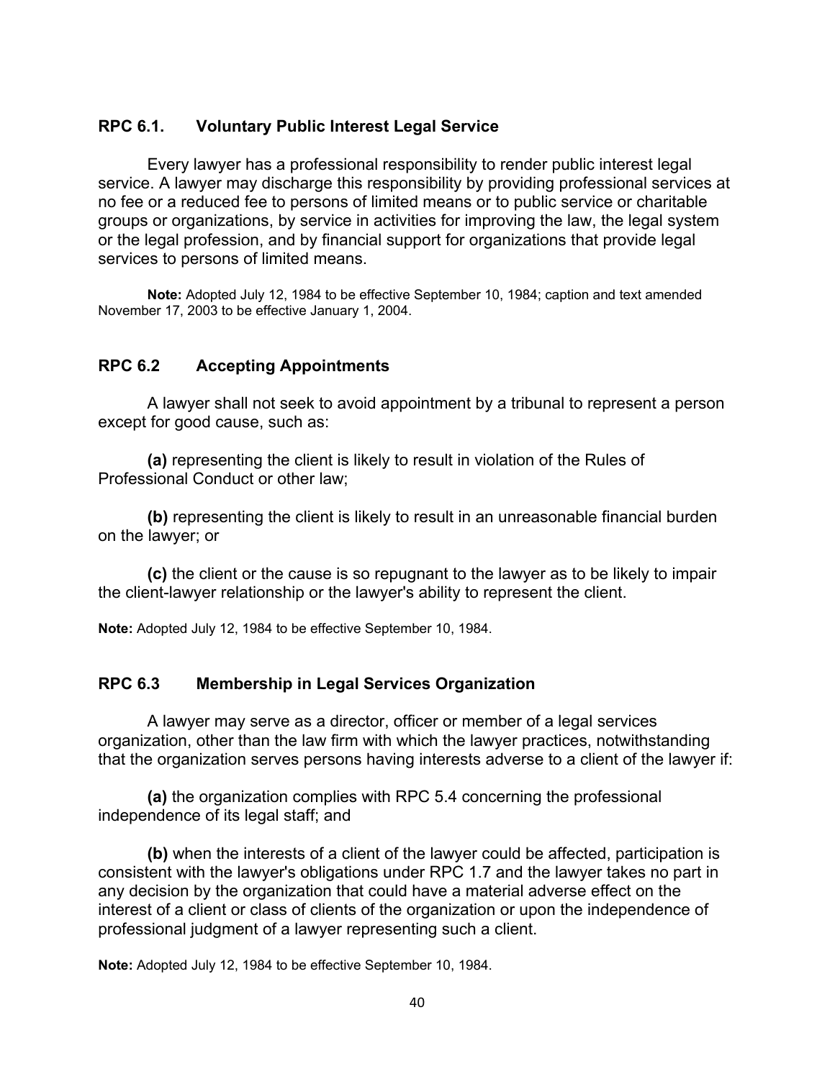#### <span id="page-39-0"></span>**RPC 6.1. Voluntary Public Interest Legal Service**

Every lawyer has a professional responsibility to render public interest legal service. A lawyer may discharge this responsibility by providing professional services at no fee or a reduced fee to persons of limited means or to public service or charitable groups or organizations, by service in activities for improving the law, the legal system or the legal profession, and by financial support for organizations that provide legal services to persons of limited means.

**Note:** Adopted July 12, 1984 to be effective September 10, 1984; caption and text amended November 17, 2003 to be effective January 1, 2004.

#### <span id="page-39-1"></span>**RPC 6.2 Accepting Appointments**

A lawyer shall not seek to avoid appointment by a tribunal to represent a person except for good cause, such as:

**(a)** representing the client is likely to result in violation of the Rules of Professional Conduct or other law;

**(b)** representing the client is likely to result in an unreasonable financial burden on the lawyer; or

**(c)** the client or the cause is so repugnant to the lawyer as to be likely to impair the client-lawyer relationship or the lawyer's ability to represent the client.

**Note:** Adopted July 12, 1984 to be effective September 10, 1984.

#### <span id="page-39-2"></span>**RPC 6.3 Membership in Legal Services Organization**

A lawyer may serve as a director, officer or member of a legal services organization, other than the law firm with which the lawyer practices, notwithstanding that the organization serves persons having interests adverse to a client of the lawyer if:

**(a)** the organization complies with RPC 5.4 concerning the professional independence of its legal staff; and

**(b)** when the interests of a client of the lawyer could be affected, participation is consistent with the lawyer's obligations under RPC 1.7 and the lawyer takes no part in any decision by the organization that could have a material adverse effect on the interest of a client or class of clients of the organization or upon the independence of professional judgment of a lawyer representing such a client.

**Note:** Adopted July 12, 1984 to be effective September 10, 1984.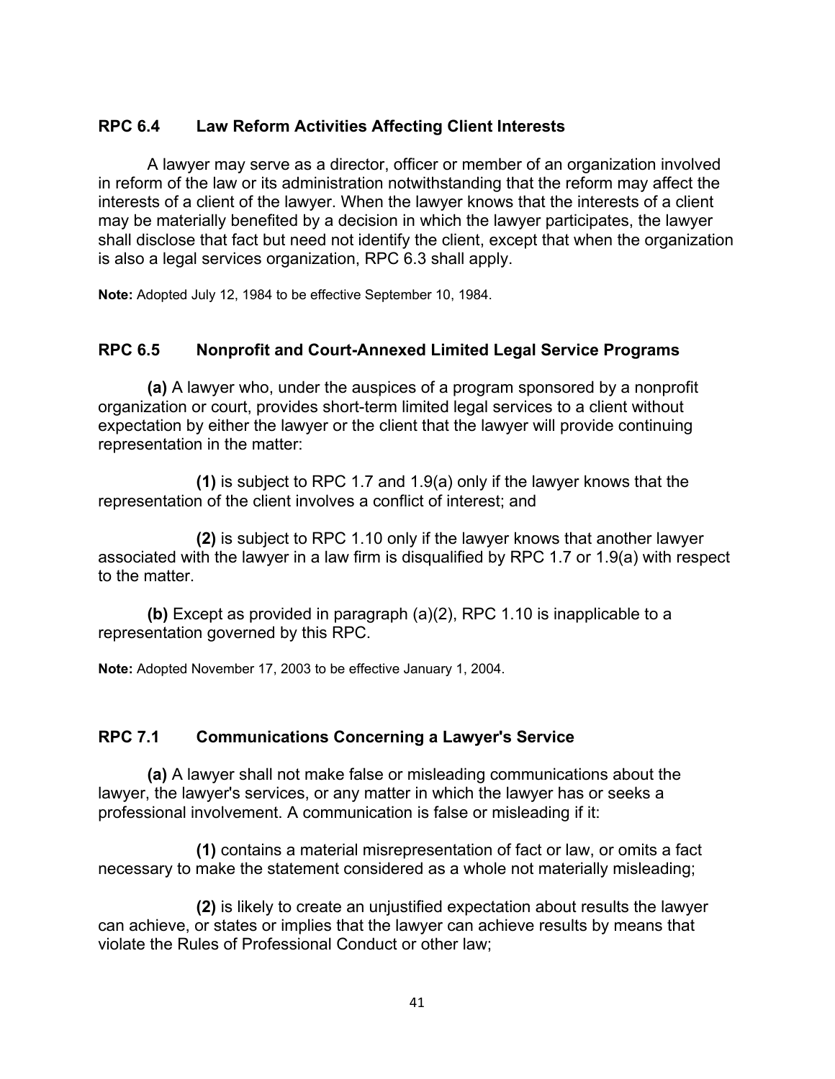### <span id="page-40-0"></span>**RPC 6.4 Law Reform Activities Affecting Client Interests**

A lawyer may serve as a director, officer or member of an organization involved in reform of the law or its administration notwithstanding that the reform may affect the interests of a client of the lawyer. When the lawyer knows that the interests of a client may be materially benefited by a decision in which the lawyer participates, the lawyer shall disclose that fact but need not identify the client, except that when the organization is also a legal services organization, RPC 6.3 shall apply.

**Note:** Adopted July 12, 1984 to be effective September 10, 1984.

#### <span id="page-40-1"></span>**RPC 6.5 Nonprofit and Court-Annexed Limited Legal Service Programs**

**(a)** A lawyer who, under the auspices of a program sponsored by a nonprofit organization or court, provides short-term limited legal services to a client without expectation by either the lawyer or the client that the lawyer will provide continuing representation in the matter:

**(1)** is subject to RPC 1.7 and 1.9(a) only if the lawyer knows that the representation of the client involves a conflict of interest; and

**(2)** is subject to RPC 1.10 only if the lawyer knows that another lawyer associated with the lawyer in a law firm is disqualified by RPC 1.7 or 1.9(a) with respect to the matter.

**(b)** Except as provided in paragraph (a)(2), RPC 1.10 is inapplicable to a representation governed by this RPC.

**Note:** Adopted November 17, 2003 to be effective January 1, 2004.

#### <span id="page-40-2"></span>**RPC 7.1 Communications Concerning a Lawyer's Service**

**(a)** A lawyer shall not make false or misleading communications about the lawyer, the lawyer's services, or any matter in which the lawyer has or seeks a professional involvement. A communication is false or misleading if it:

**(1)** contains a material misrepresentation of fact or law, or omits a fact necessary to make the statement considered as a whole not materially misleading;

**(2)** is likely to create an unjustified expectation about results the lawyer can achieve, or states or implies that the lawyer can achieve results by means that violate the Rules of Professional Conduct or other law;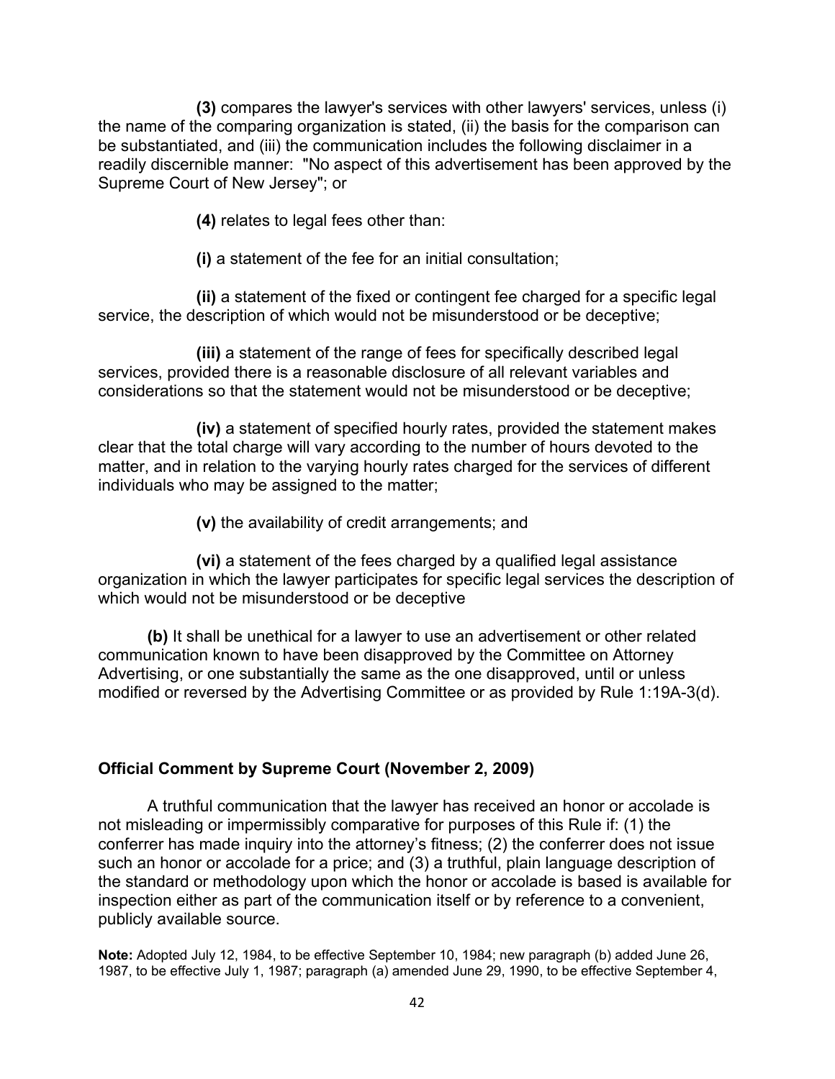**(3)** compares the lawyer's services with other lawyers' services, unless (i) the name of the comparing organization is stated, (ii) the basis for the comparison can be substantiated, and (iii) the communication includes the following disclaimer in a readily discernible manner: "No aspect of this advertisement has been approved by the Supreme Court of New Jersey"; or

**(4)** relates to legal fees other than:

**(i)** a statement of the fee for an initial consultation;

**(ii)** a statement of the fixed or contingent fee charged for a specific legal service, the description of which would not be misunderstood or be deceptive;

**(iii)** a statement of the range of fees for specifically described legal services, provided there is a reasonable disclosure of all relevant variables and considerations so that the statement would not be misunderstood or be deceptive;

**(iv)** a statement of specified hourly rates, provided the statement makes clear that the total charge will vary according to the number of hours devoted to the matter, and in relation to the varying hourly rates charged for the services of different individuals who may be assigned to the matter;

**(v)** the availability of credit arrangements; and

**(vi)** a statement of the fees charged by a qualified legal assistance organization in which the lawyer participates for specific legal services the description of which would not be misunderstood or be deceptive

**(b)** It shall be unethical for a lawyer to use an advertisement or other related communication known to have been disapproved by the Committee on Attorney Advertising, or one substantially the same as the one disapproved, until or unless modified or reversed by the Advertising Committee or as provided by Rule 1:19A-3(d).

#### **Official Comment by Supreme Court (November 2, 2009)**

A truthful communication that the lawyer has received an honor or accolade is not misleading or impermissibly comparative for purposes of this Rule if: (1) the conferrer has made inquiry into the attorney's fitness; (2) the conferrer does not issue such an honor or accolade for a price; and (3) a truthful, plain language description of the standard or methodology upon which the honor or accolade is based is available for inspection either as part of the communication itself or by reference to a convenient, publicly available source.

**Note:** Adopted July 12, 1984, to be effective September 10, 1984; new paragraph (b) added June 26, 1987, to be effective July 1, 1987; paragraph (a) amended June 29, 1990, to be effective September 4,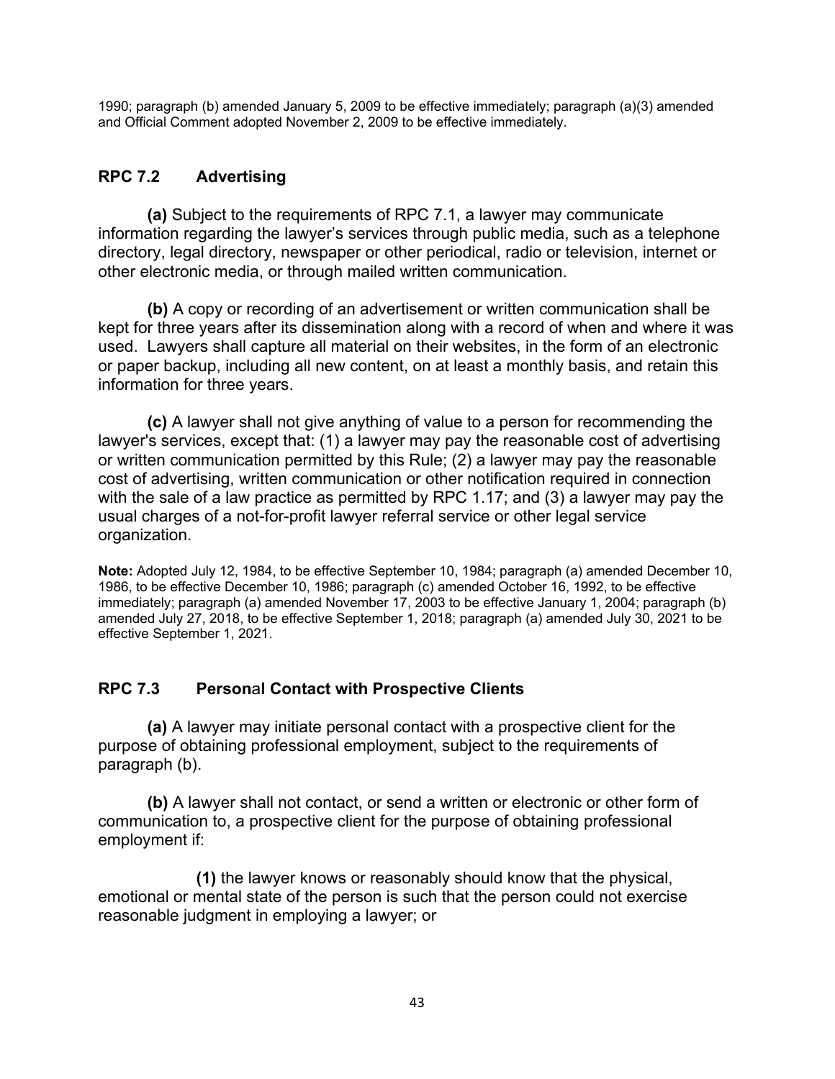1990; paragraph (b) amended January 5, 2009 to be effective immediately; paragraph (a)(3) amended and Official Comment adopted November 2, 2009 to be effective immediately.

### <span id="page-42-0"></span>**RPC 7.2 Advertising**

**(a)** Subject to the requirements of RPC 7.1, a lawyer may communicate information regarding the lawyer's services through public media, such as a telephone directory, legal directory, newspaper or other periodical, radio or television, internet or other electronic media, or through mailed written communication.

**(b)** A copy or recording of an advertisement or written communication shall be kept for three years after its dissemination along with a record of when and where it was used. Lawyers shall capture all material on their websites, in the form of an electronic or paper backup, including all new content, on at least a monthly basis, and retain this information for three years.

**(c)** A lawyer shall not give anything of value to a person for recommending the lawyer's services, except that: (1) a lawyer may pay the reasonable cost of advertising or written communication permitted by this Rule; (2) a lawyer may pay the reasonable cost of advertising, written communication or other notification required in connection with the sale of a law practice as permitted by RPC 1.17; and (3) a lawyer may pay the usual charges of a not-for-profit lawyer referral service or other legal service organization.

**Note:** Adopted July 12, 1984, to be effective September 10, 1984; paragraph (a) amended December 10, 1986, to be effective December 10, 1986; paragraph (c) amended October 16, 1992, to be effective immediately; paragraph (a) amended November 17, 2003 to be effective January 1, 2004; paragraph (b) amended July 27, 2018, to be effective September 1, 2018; paragraph (a) amended July 30, 2021 to be effective September 1, 2021.

#### <span id="page-42-1"></span>**RPC 7.3 Person**a**l Contact with Prospective Clients**

**(a)** A lawyer may initiate personal contact with a prospective client for the purpose of obtaining professional employment, subject to the requirements of paragraph (b).

**(b)** A lawyer shall not contact, or send a written or electronic or other form of communication to, a prospective client for the purpose of obtaining professional employment if:

**(1)** the lawyer knows or reasonably should know that the physical, emotional or mental state of the person is such that the person could not exercise reasonable judgment in employing a lawyer; or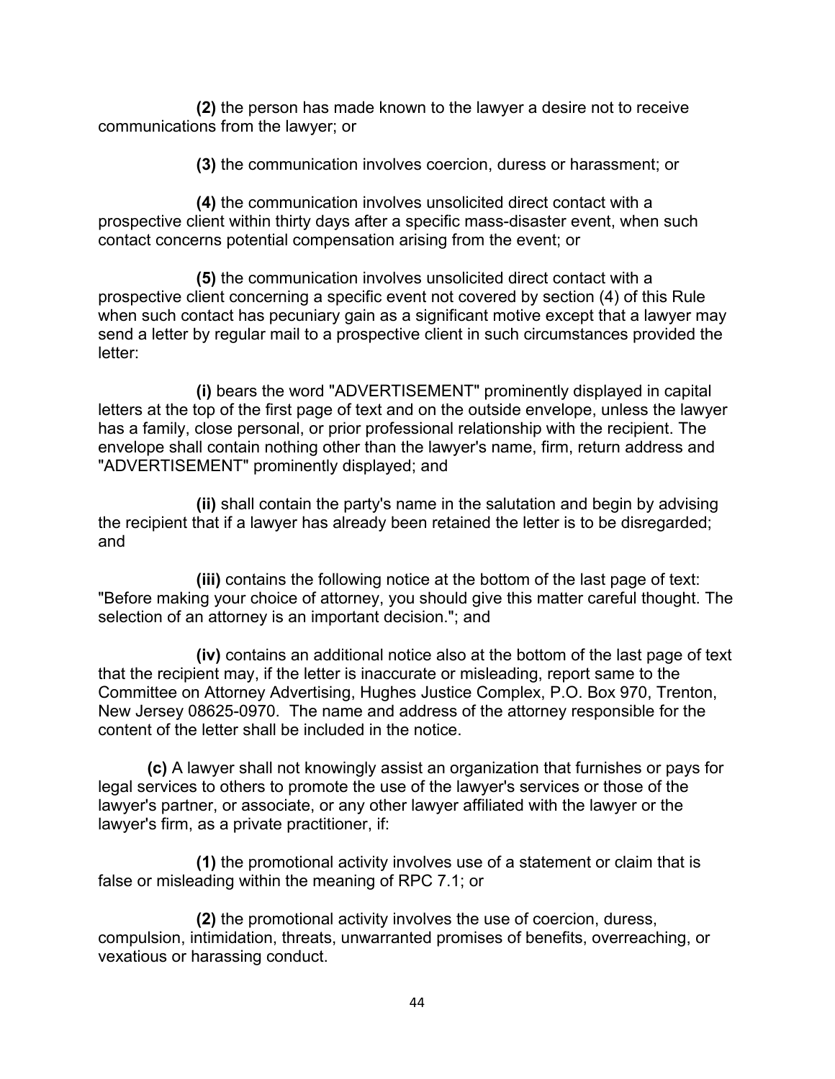**(2)** the person has made known to the lawyer a desire not to receive communications from the lawyer; or

**(3)** the communication involves coercion, duress or harassment; or

**(4)** the communication involves unsolicited direct contact with a prospective client within thirty days after a specific mass-disaster event, when such contact concerns potential compensation arising from the event; or

**(5)** the communication involves unsolicited direct contact with a prospective client concerning a specific event not covered by section (4) of this Rule when such contact has pecuniary gain as a significant motive except that a lawyer may send a letter by regular mail to a prospective client in such circumstances provided the letter:

**(i)** bears the word "ADVERTISEMENT" prominently displayed in capital letters at the top of the first page of text and on the outside envelope, unless the lawyer has a family, close personal, or prior professional relationship with the recipient. The envelope shall contain nothing other than the lawyer's name, firm, return address and "ADVERTISEMENT" prominently displayed; and

**(ii)** shall contain the party's name in the salutation and begin by advising the recipient that if a lawyer has already been retained the letter is to be disregarded; and

**(iii)** contains the following notice at the bottom of the last page of text: "Before making your choice of attorney, you should give this matter careful thought. The selection of an attorney is an important decision."; and

**(iv)** contains an additional notice also at the bottom of the last page of text that the recipient may, if the letter is inaccurate or misleading, report same to the Committee on Attorney Advertising, Hughes Justice Complex, P.O. Box 970, Trenton, New Jersey 08625-0970. The name and address of the attorney responsible for the content of the letter shall be included in the notice.

**(c)** A lawyer shall not knowingly assist an organization that furnishes or pays for legal services to others to promote the use of the lawyer's services or those of the lawyer's partner, or associate, or any other lawyer affiliated with the lawyer or the lawyer's firm, as a private practitioner, if:

**(1)** the promotional activity involves use of a statement or claim that is false or misleading within the meaning of RPC 7.1; or

**(2)** the promotional activity involves the use of coercion, duress, compulsion, intimidation, threats, unwarranted promises of benefits, overreaching, or vexatious or harassing conduct.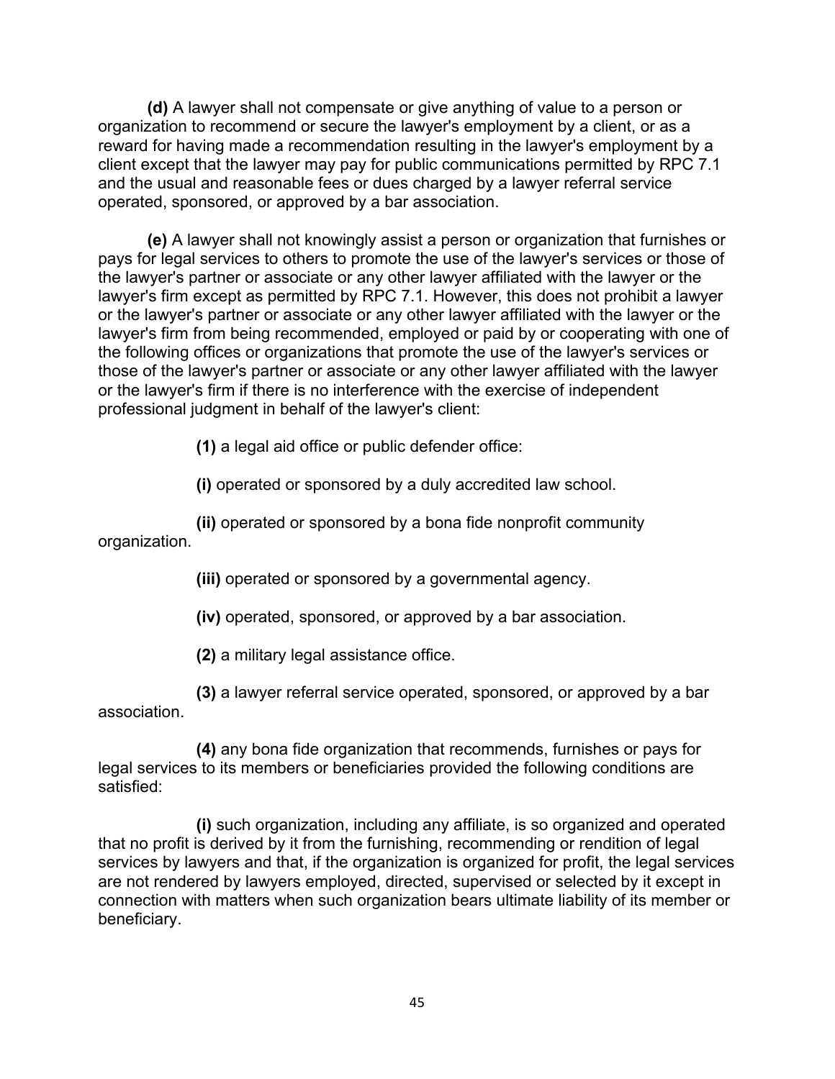**(d)** A lawyer shall not compensate or give anything of value to a person or organization to recommend or secure the lawyer's employment by a client, or as a reward for having made a recommendation resulting in the lawyer's employment by a client except that the lawyer may pay for public communications permitted by RPC 7.1 and the usual and reasonable fees or dues charged by a lawyer referral service operated, sponsored, or approved by a bar association.

**(e)** A lawyer shall not knowingly assist a person or organization that furnishes or pays for legal services to others to promote the use of the lawyer's services or those of the lawyer's partner or associate or any other lawyer affiliated with the lawyer or the lawyer's firm except as permitted by RPC 7.1. However, this does not prohibit a lawyer or the lawyer's partner or associate or any other lawyer affiliated with the lawyer or the lawyer's firm from being recommended, employed or paid by or cooperating with one of the following offices or organizations that promote the use of the lawyer's services or those of the lawyer's partner or associate or any other lawyer affiliated with the lawyer or the lawyer's firm if there is no interference with the exercise of independent professional judgment in behalf of the lawyer's client:

**(1)** a legal aid office or public defender office:

**(i)** operated or sponsored by a duly accredited law school.

**(ii)** operated or sponsored by a bona fide nonprofit community organization.

**(iii)** operated or sponsored by a governmental agency.

**(iv)** operated, sponsored, or approved by a bar association.

**(2)** a military legal assistance office.

**(3)** a lawyer referral service operated, sponsored, or approved by a bar association.

**(4)** any bona fide organization that recommends, furnishes or pays for legal services to its members or beneficiaries provided the following conditions are satisfied:

**(i)** such organization, including any affiliate, is so organized and operated that no profit is derived by it from the furnishing, recommending or rendition of legal services by lawyers and that, if the organization is organized for profit, the legal services are not rendered by lawyers employed, directed, supervised or selected by it except in connection with matters when such organization bears ultimate liability of its member or beneficiary.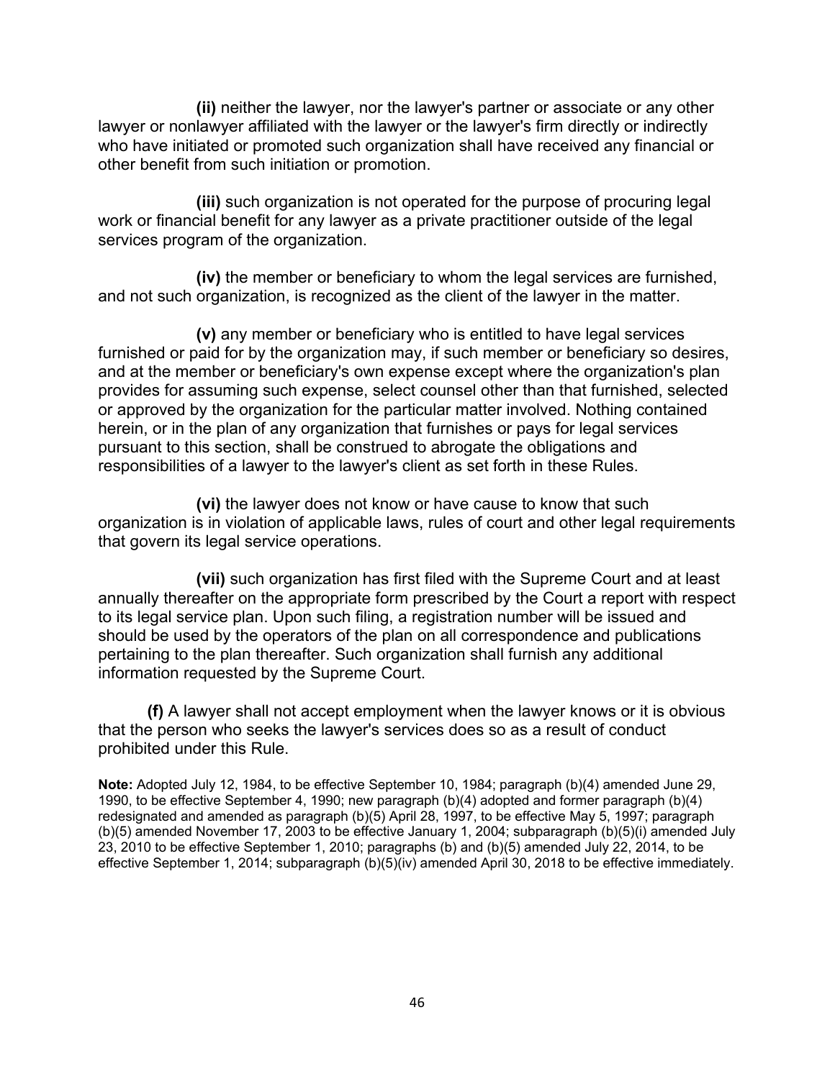**(ii)** neither the lawyer, nor the lawyer's partner or associate or any other lawyer or nonlawyer affiliated with the lawyer or the lawyer's firm directly or indirectly who have initiated or promoted such organization shall have received any financial or other benefit from such initiation or promotion.

**(iii)** such organization is not operated for the purpose of procuring legal work or financial benefit for any lawyer as a private practitioner outside of the legal services program of the organization.

**(iv)** the member or beneficiary to whom the legal services are furnished, and not such organization, is recognized as the client of the lawyer in the matter.

**(v)** any member or beneficiary who is entitled to have legal services furnished or paid for by the organization may, if such member or beneficiary so desires, and at the member or beneficiary's own expense except where the organization's plan provides for assuming such expense, select counsel other than that furnished, selected or approved by the organization for the particular matter involved. Nothing contained herein, or in the plan of any organization that furnishes or pays for legal services pursuant to this section, shall be construed to abrogate the obligations and responsibilities of a lawyer to the lawyer's client as set forth in these Rules.

**(vi)** the lawyer does not know or have cause to know that such organization is in violation of applicable laws, rules of court and other legal requirements that govern its legal service operations.

**(vii)** such organization has first filed with the Supreme Court and at least annually thereafter on the appropriate form prescribed by the Court a report with respect to its legal service plan. Upon such filing, a registration number will be issued and should be used by the operators of the plan on all correspondence and publications pertaining to the plan thereafter. Such organization shall furnish any additional information requested by the Supreme Court.

**(f)** A lawyer shall not accept employment when the lawyer knows or it is obvious that the person who seeks the lawyer's services does so as a result of conduct prohibited under this Rule.

**Note:** Adopted July 12, 1984, to be effective September 10, 1984; paragraph (b)(4) amended June 29, 1990, to be effective September 4, 1990; new paragraph (b)(4) adopted and former paragraph (b)(4) redesignated and amended as paragraph (b)(5) April 28, 1997, to be effective May 5, 1997; paragraph (b)(5) amended November 17, 2003 to be effective January 1, 2004; subparagraph (b)(5)(i) amended July 23, 2010 to be effective September 1, 2010; paragraphs (b) and (b)(5) amended July 22, 2014, to be effective September 1, 2014; subparagraph (b)(5)(iv) amended April 30, 2018 to be effective immediately.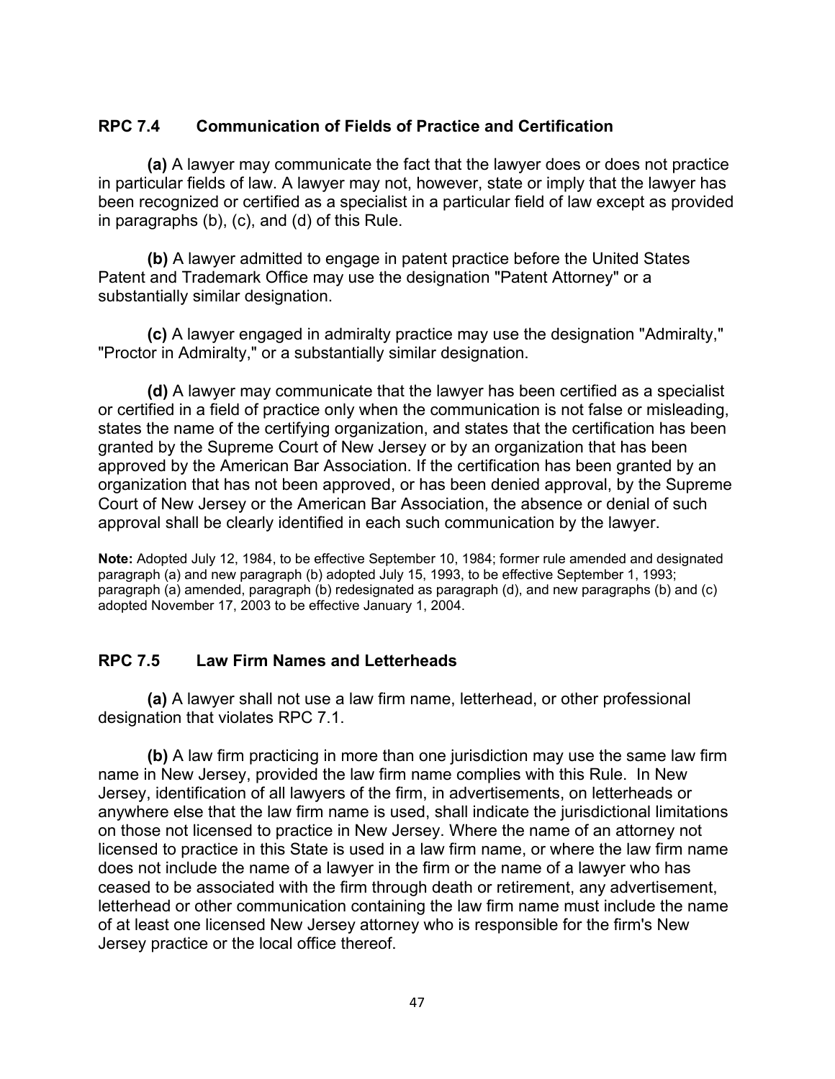### <span id="page-46-0"></span>**RPC 7.4 Communication of Fields of Practice and Certification**

**(a)** A lawyer may communicate the fact that the lawyer does or does not practice in particular fields of law. A lawyer may not, however, state or imply that the lawyer has been recognized or certified as a specialist in a particular field of law except as provided in paragraphs (b), (c), and (d) of this Rule.

**(b)** A lawyer admitted to engage in patent practice before the United States Patent and Trademark Office may use the designation "Patent Attorney" or a substantially similar designation.

**(c)** A lawyer engaged in admiralty practice may use the designation "Admiralty," "Proctor in Admiralty," or a substantially similar designation.

**(d)** A lawyer may communicate that the lawyer has been certified as a specialist or certified in a field of practice only when the communication is not false or misleading, states the name of the certifying organization, and states that the certification has been granted by the Supreme Court of New Jersey or by an organization that has been approved by the American Bar Association. If the certification has been granted by an organization that has not been approved, or has been denied approval, by the Supreme Court of New Jersey or the American Bar Association, the absence or denial of such approval shall be clearly identified in each such communication by the lawyer.

**Note:** Adopted July 12, 1984, to be effective September 10, 1984; former rule amended and designated paragraph (a) and new paragraph (b) adopted July 15, 1993, to be effective September 1, 1993; paragraph (a) amended, paragraph (b) redesignated as paragraph (d), and new paragraphs (b) and (c) adopted November 17, 2003 to be effective January 1, 2004.

## <span id="page-46-1"></span>**RPC 7.5 Law Firm Names and Letterheads**

**(a)** A lawyer shall not use a law firm name, letterhead, or other professional designation that violates RPC 7.1.

**(b)** A law firm practicing in more than one jurisdiction may use the same law firm name in New Jersey, provided the law firm name complies with this Rule. In New Jersey, identification of all lawyers of the firm, in advertisements, on letterheads or anywhere else that the law firm name is used, shall indicate the jurisdictional limitations on those not licensed to practice in New Jersey. Where the name of an attorney not licensed to practice in this State is used in a law firm name, or where the law firm name does not include the name of a lawyer in the firm or the name of a lawyer who has ceased to be associated with the firm through death or retirement, any advertisement, letterhead or other communication containing the law firm name must include the name of at least one licensed New Jersey attorney who is responsible for the firm's New Jersey practice or the local office thereof.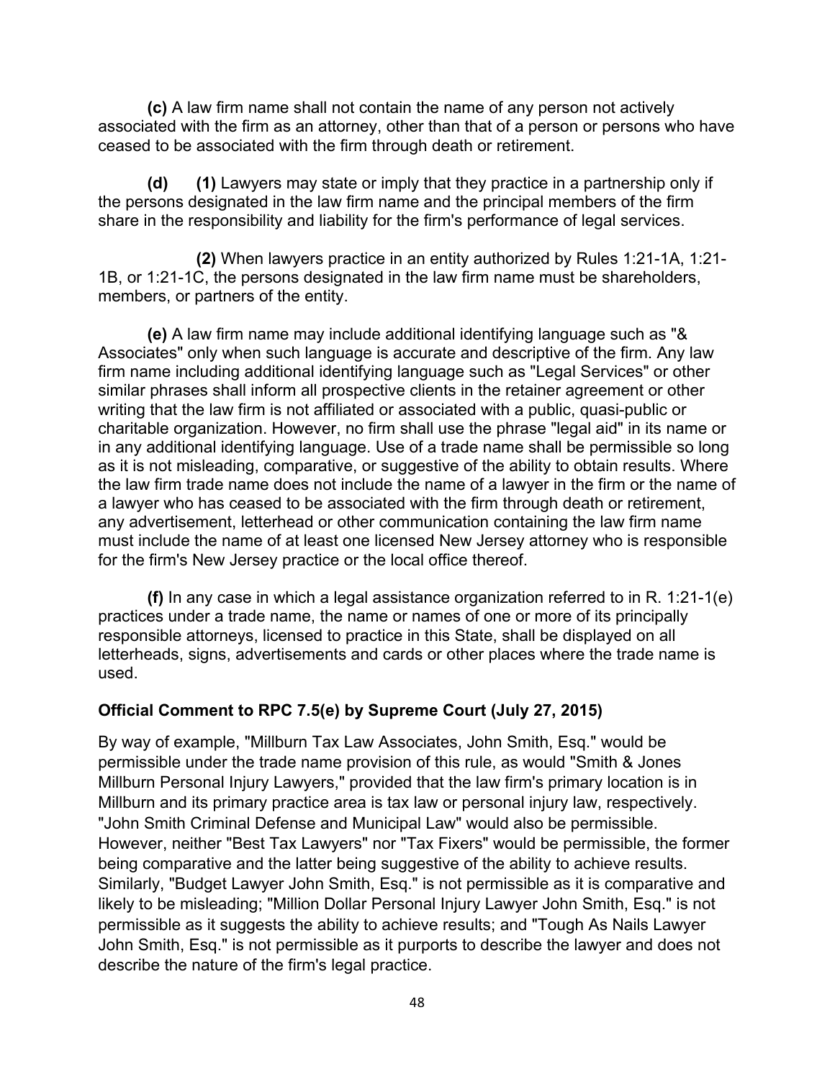**(c)** A law firm name shall not contain the name of any person not actively associated with the firm as an attorney, other than that of a person or persons who have ceased to be associated with the firm through death or retirement.

**(d) (1)** Lawyers may state or imply that they practice in a partnership only if the persons designated in the law firm name and the principal members of the firm share in the responsibility and liability for the firm's performance of legal services.

**(2)** When lawyers practice in an entity authorized by Rules 1:21-1A, 1:21- 1B, or 1:21-1C, the persons designated in the law firm name must be shareholders, members, or partners of the entity.

**(e)** A law firm name may include additional identifying language such as "& Associates" only when such language is accurate and descriptive of the firm. Any law firm name including additional identifying language such as "Legal Services" or other similar phrases shall inform all prospective clients in the retainer agreement or other writing that the law firm is not affiliated or associated with a public, quasi-public or charitable organization. However, no firm shall use the phrase "legal aid" in its name or in any additional identifying language. Use of a trade name shall be permissible so long as it is not misleading, comparative, or suggestive of the ability to obtain results. Where the law firm trade name does not include the name of a lawyer in the firm or the name of a lawyer who has ceased to be associated with the firm through death or retirement, any advertisement, letterhead or other communication containing the law firm name must include the name of at least one licensed New Jersey attorney who is responsible for the firm's New Jersey practice or the local office thereof.

**(f)** In any case in which a legal assistance organization referred to in R. 1:21-1(e) practices under a trade name, the name or names of one or more of its principally responsible attorneys, licensed to practice in this State, shall be displayed on all letterheads, signs, advertisements and cards or other places where the trade name is used.

## **Official Comment to RPC 7.5(e) by Supreme Court (July 27, 2015)**

By way of example, "Millburn Tax Law Associates, John Smith, Esq." would be permissible under the trade name provision of this rule, as would "Smith & Jones Millburn Personal Injury Lawyers," provided that the law firm's primary location is in Millburn and its primary practice area is tax law or personal injury law, respectively. "John Smith Criminal Defense and Municipal Law" would also be permissible. However, neither "Best Tax Lawyers" nor "Tax Fixers" would be permissible, the former being comparative and the latter being suggestive of the ability to achieve results. Similarly, "Budget Lawyer John Smith, Esq." is not permissible as it is comparative and likely to be misleading; "Million Dollar Personal Injury Lawyer John Smith, Esq." is not permissible as it suggests the ability to achieve results; and "Tough As Nails Lawyer John Smith, Esq." is not permissible as it purports to describe the lawyer and does not describe the nature of the firm's legal practice.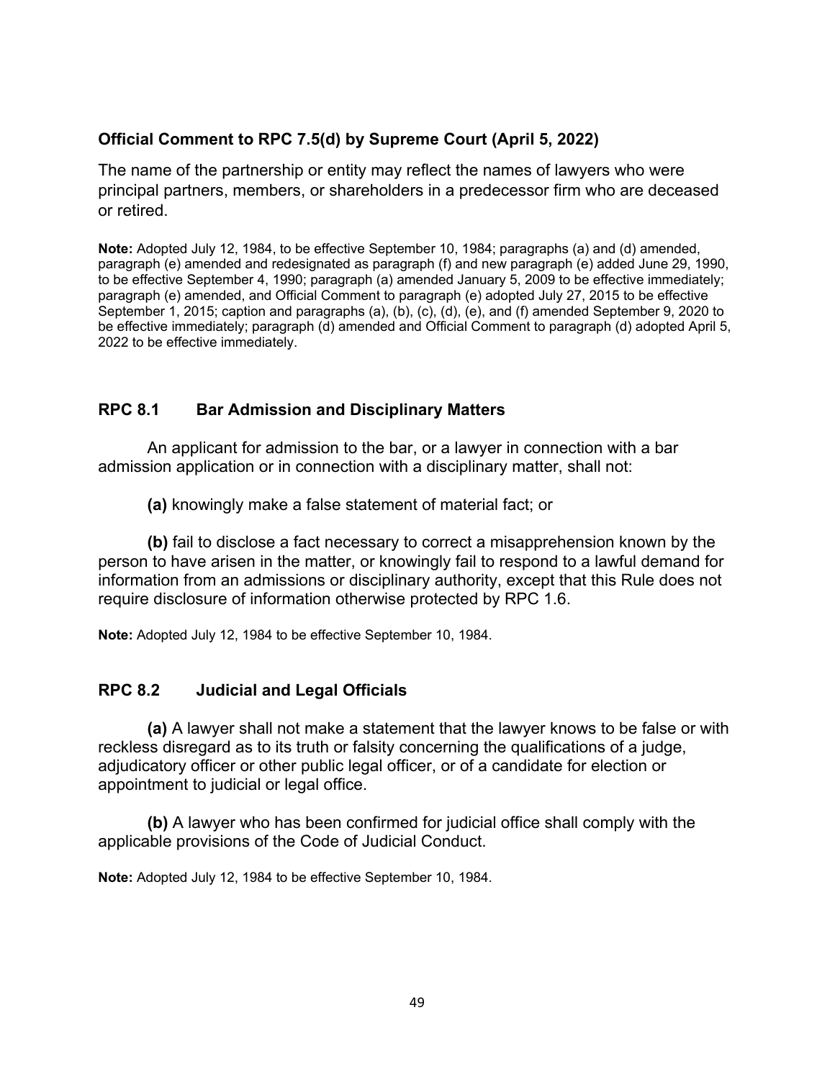## **Official Comment to RPC 7.5(d) by Supreme Court (April 5, 2022)**

The name of the partnership or entity may reflect the names of lawyers who were principal partners, members, or shareholders in a predecessor firm who are deceased or retired.

**Note:** Adopted July 12, 1984, to be effective September 10, 1984; paragraphs (a) and (d) amended, paragraph (e) amended and redesignated as paragraph (f) and new paragraph (e) added June 29, 1990, to be effective September 4, 1990; paragraph (a) amended January 5, 2009 to be effective immediately; paragraph (e) amended, and Official Comment to paragraph (e) adopted July 27, 2015 to be effective September 1, 2015; caption and paragraphs (a), (b), (c), (d), (e), and (f) amended September 9, 2020 to be effective immediately; paragraph (d) amended and Official Comment to paragraph (d) adopted April 5, 2022 to be effective immediately.

# <span id="page-48-0"></span>**RPC 8.1 Bar Admission and Disciplinary Matters**

An applicant for admission to the bar, or a lawyer in connection with a bar admission application or in connection with a disciplinary matter, shall not:

**(a)** knowingly make a false statement of material fact; or

**(b)** fail to disclose a fact necessary to correct a misapprehension known by the person to have arisen in the matter, or knowingly fail to respond to a lawful demand for information from an admissions or disciplinary authority, except that this Rule does not require disclosure of information otherwise protected by RPC 1.6.

**Note:** Adopted July 12, 1984 to be effective September 10, 1984.

## <span id="page-48-1"></span>**RPC 8.2 Judicial and Legal Officials**

**(a)** A lawyer shall not make a statement that the lawyer knows to be false or with reckless disregard as to its truth or falsity concerning the qualifications of a judge, adjudicatory officer or other public legal officer, or of a candidate for election or appointment to judicial or legal office.

**(b)** A lawyer who has been confirmed for judicial office shall comply with the applicable provisions of the Code of Judicial Conduct.

**Note:** Adopted July 12, 1984 to be effective September 10, 1984.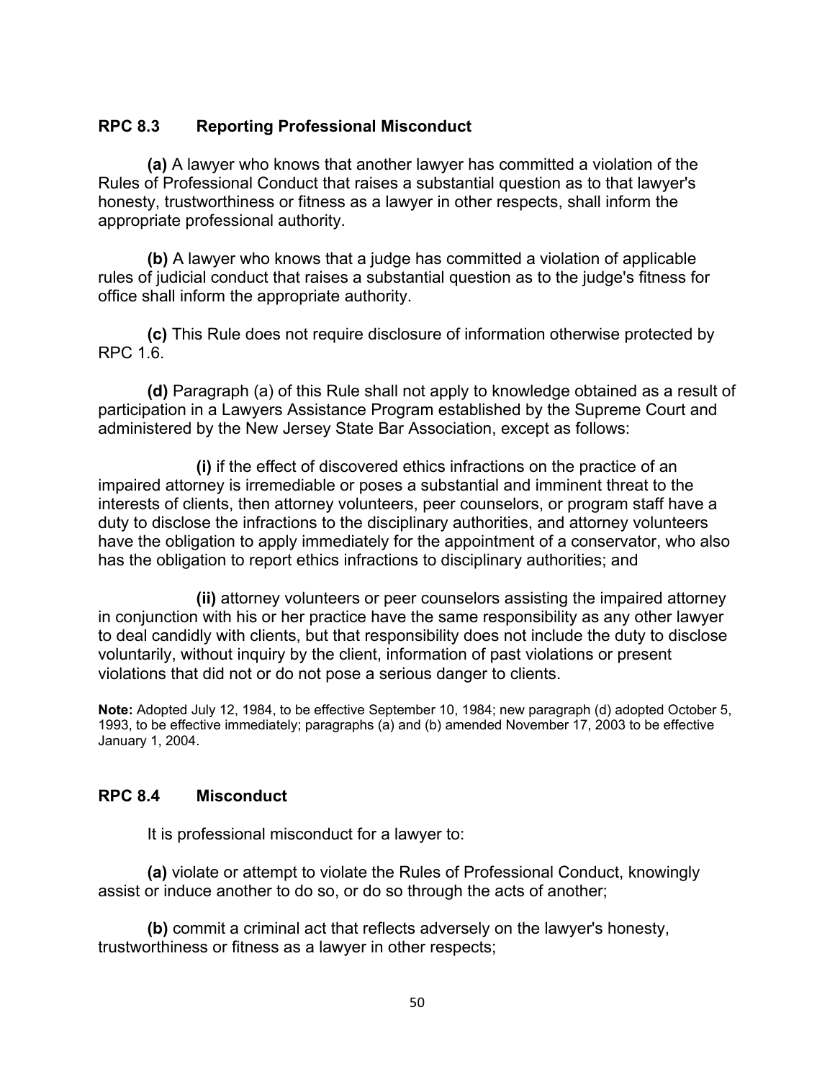## <span id="page-49-0"></span>**RPC 8.3 Reporting Professional Misconduct**

**(a)** A lawyer who knows that another lawyer has committed a violation of the Rules of Professional Conduct that raises a substantial question as to that lawyer's honesty, trustworthiness or fitness as a lawyer in other respects, shall inform the appropriate professional authority.

**(b)** A lawyer who knows that a judge has committed a violation of applicable rules of judicial conduct that raises a substantial question as to the judge's fitness for office shall inform the appropriate authority.

**(c)** This Rule does not require disclosure of information otherwise protected by RPC 1.6.

**(d)** Paragraph (a) of this Rule shall not apply to knowledge obtained as a result of participation in a Lawyers Assistance Program established by the Supreme Court and administered by the New Jersey State Bar Association, except as follows:

**(i)** if the effect of discovered ethics infractions on the practice of an impaired attorney is irremediable or poses a substantial and imminent threat to the interests of clients, then attorney volunteers, peer counselors, or program staff have a duty to disclose the infractions to the disciplinary authorities, and attorney volunteers have the obligation to apply immediately for the appointment of a conservator, who also has the obligation to report ethics infractions to disciplinary authorities; and

**(ii)** attorney volunteers or peer counselors assisting the impaired attorney in conjunction with his or her practice have the same responsibility as any other lawyer to deal candidly with clients, but that responsibility does not include the duty to disclose voluntarily, without inquiry by the client, information of past violations or present violations that did not or do not pose a serious danger to clients.

**Note:** Adopted July 12, 1984, to be effective September 10, 1984; new paragraph (d) adopted October 5, 1993, to be effective immediately; paragraphs (a) and (b) amended November 17, 2003 to be effective January 1, 2004.

## <span id="page-49-1"></span>**RPC 8.4 Misconduct**

It is professional misconduct for a lawyer to:

**(a)** violate or attempt to violate the Rules of Professional Conduct, knowingly assist or induce another to do so, or do so through the acts of another;

**(b)** commit a criminal act that reflects adversely on the lawyer's honesty, trustworthiness or fitness as a lawyer in other respects;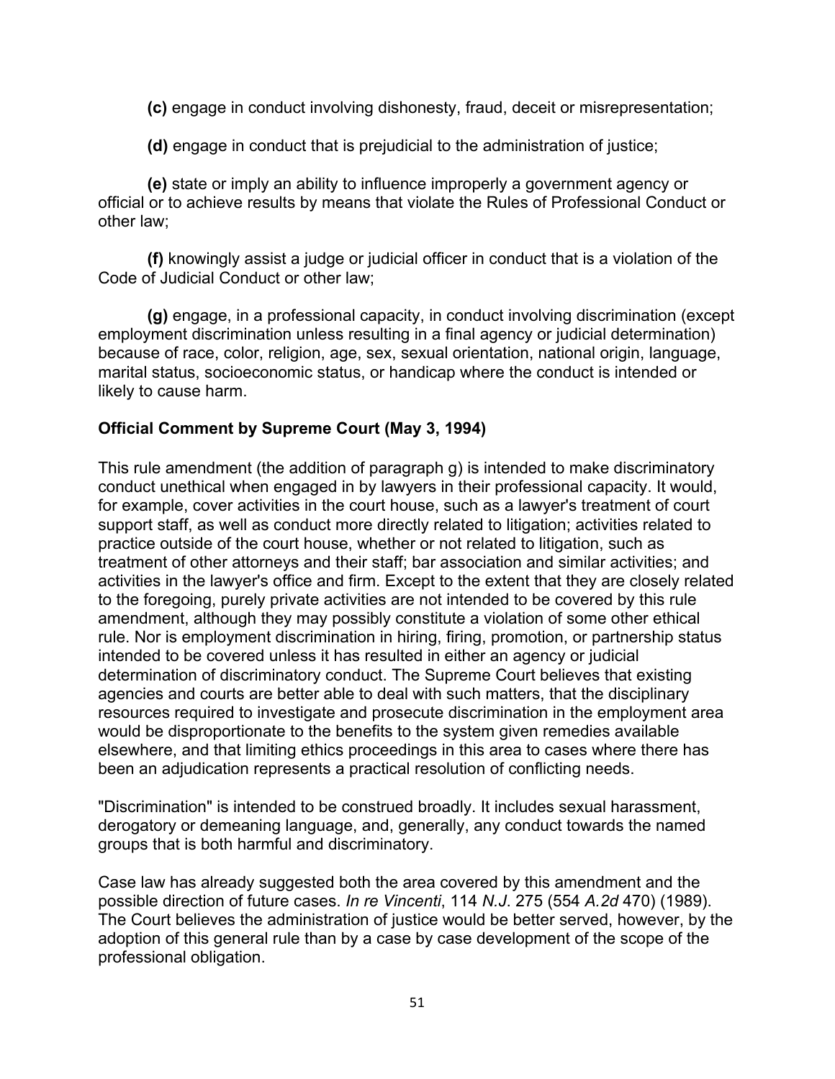**(c)** engage in conduct involving dishonesty, fraud, deceit or misrepresentation;

**(d)** engage in conduct that is prejudicial to the administration of justice;

**(e)** state or imply an ability to influence improperly a government agency or official or to achieve results by means that violate the Rules of Professional Conduct or other law;

**(f)** knowingly assist a judge or judicial officer in conduct that is a violation of the Code of Judicial Conduct or other law;

**(g)** engage, in a professional capacity, in conduct involving discrimination (except employment discrimination unless resulting in a final agency or judicial determination) because of race, color, religion, age, sex, sexual orientation, national origin, language, marital status, socioeconomic status, or handicap where the conduct is intended or likely to cause harm.

#### **Official Comment by Supreme Court (May 3, 1994)**

This rule amendment (the addition of paragraph g) is intended to make discriminatory conduct unethical when engaged in by lawyers in their professional capacity. It would, for example, cover activities in the court house, such as a lawyer's treatment of court support staff, as well as conduct more directly related to litigation; activities related to practice outside of the court house, whether or not related to litigation, such as treatment of other attorneys and their staff; bar association and similar activities; and activities in the lawyer's office and firm. Except to the extent that they are closely related to the foregoing, purely private activities are not intended to be covered by this rule amendment, although they may possibly constitute a violation of some other ethical rule. Nor is employment discrimination in hiring, firing, promotion, or partnership status intended to be covered unless it has resulted in either an agency or judicial determination of discriminatory conduct. The Supreme Court believes that existing agencies and courts are better able to deal with such matters, that the disciplinary resources required to investigate and prosecute discrimination in the employment area would be disproportionate to the benefits to the system given remedies available elsewhere, and that limiting ethics proceedings in this area to cases where there has been an adjudication represents a practical resolution of conflicting needs.

"Discrimination" is intended to be construed broadly. It includes sexual harassment, derogatory or demeaning language, and, generally, any conduct towards the named groups that is both harmful and discriminatory.

Case law has already suggested both the area covered by this amendment and the possible direction of future cases. *In re Vincenti*, 114 *N.J*. 275 (554 *A.2d* 470) (1989). The Court believes the administration of justice would be better served, however, by the adoption of this general rule than by a case by case development of the scope of the professional obligation.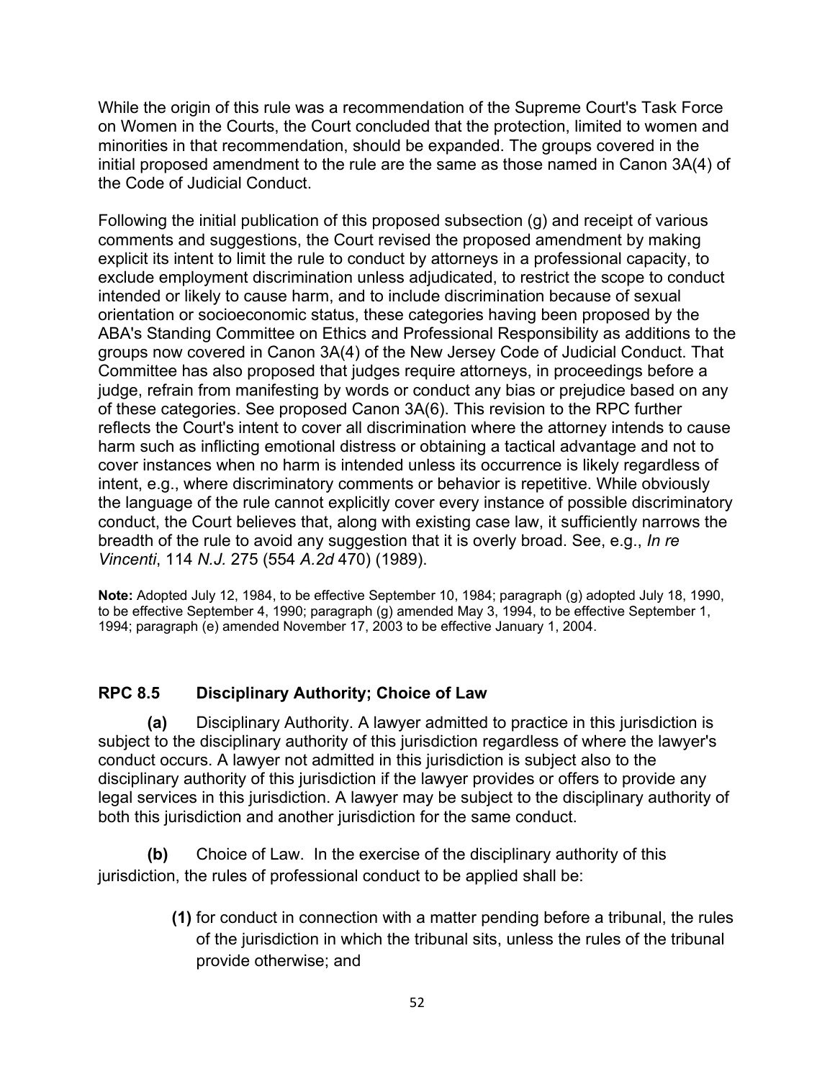While the origin of this rule was a recommendation of the Supreme Court's Task Force on Women in the Courts, the Court concluded that the protection, limited to women and minorities in that recommendation, should be expanded. The groups covered in the initial proposed amendment to the rule are the same as those named in Canon 3A(4) of the Code of Judicial Conduct.

Following the initial publication of this proposed subsection (g) and receipt of various comments and suggestions, the Court revised the proposed amendment by making explicit its intent to limit the rule to conduct by attorneys in a professional capacity, to exclude employment discrimination unless adjudicated, to restrict the scope to conduct intended or likely to cause harm, and to include discrimination because of sexual orientation or socioeconomic status, these categories having been proposed by the ABA's Standing Committee on Ethics and Professional Responsibility as additions to the groups now covered in Canon 3A(4) of the New Jersey Code of Judicial Conduct. That Committee has also proposed that judges require attorneys, in proceedings before a judge, refrain from manifesting by words or conduct any bias or prejudice based on any of these categories. See proposed Canon 3A(6). This revision to the RPC further reflects the Court's intent to cover all discrimination where the attorney intends to cause harm such as inflicting emotional distress or obtaining a tactical advantage and not to cover instances when no harm is intended unless its occurrence is likely regardless of intent, e.g., where discriminatory comments or behavior is repetitive. While obviously the language of the rule cannot explicitly cover every instance of possible discriminatory conduct, the Court believes that, along with existing case law, it sufficiently narrows the breadth of the rule to avoid any suggestion that it is overly broad. See, e.g., *In re Vincenti*, 114 *N.J.* 275 (554 *A.2d* 470) (1989).

<span id="page-51-0"></span>**Note:** Adopted July 12, 1984, to be effective September 10, 1984; paragraph (g) adopted July 18, 1990, to be effective September 4, 1990; paragraph (g) amended May 3, 1994, to be effective September 1, 1994; paragraph (e) amended November 17, 2003 to be effective January 1, 2004.

## **RPC 8.5 Disciplinary Authority; Choice of Law**

**(a)** Disciplinary Authority. A lawyer admitted to practice in this jurisdiction is subject to the disciplinary authority of this jurisdiction regardless of where the lawyer's conduct occurs. A lawyer not admitted in this jurisdiction is subject also to the disciplinary authority of this jurisdiction if the lawyer provides or offers to provide any legal services in this jurisdiction. A lawyer may be subject to the disciplinary authority of both this jurisdiction and another jurisdiction for the same conduct.

**(b)** Choice of Law. In the exercise of the disciplinary authority of this jurisdiction, the rules of professional conduct to be applied shall be:

> **(1)** for conduct in connection with a matter pending before a tribunal, the rules of the jurisdiction in which the tribunal sits, unless the rules of the tribunal provide otherwise; and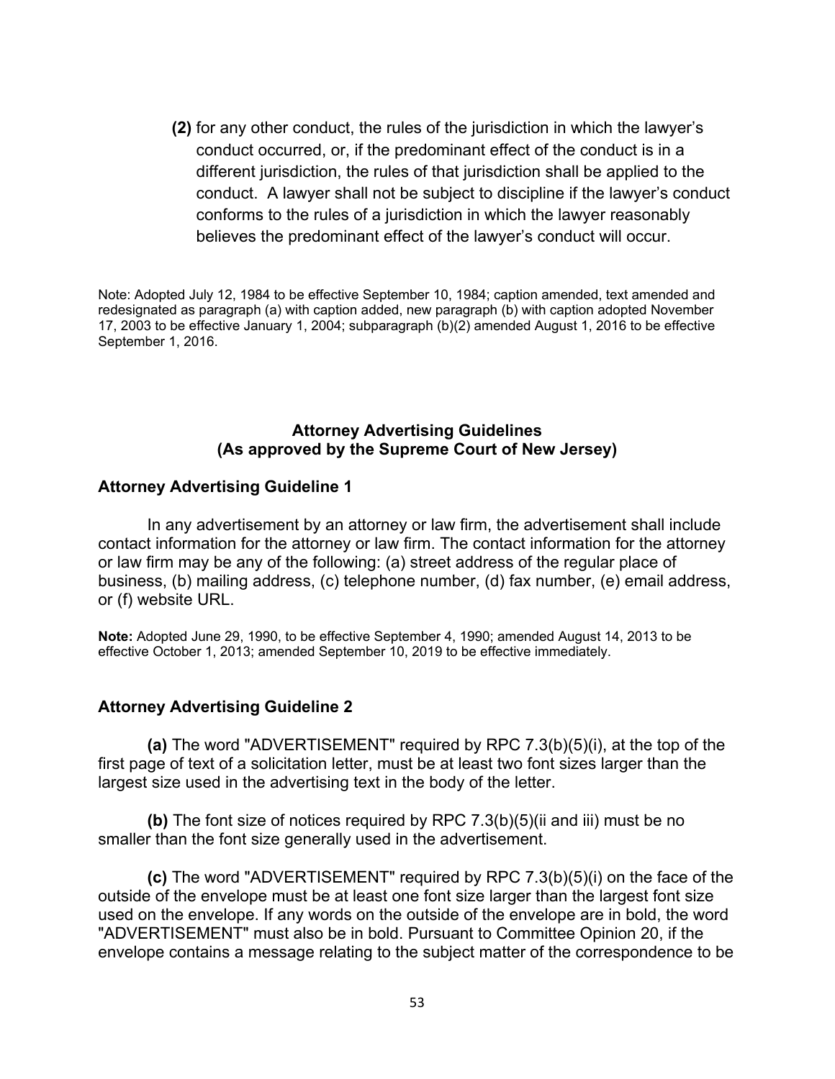**(2)** for any other conduct, the rules of the jurisdiction in which the lawyer's conduct occurred, or, if the predominant effect of the conduct is in a different jurisdiction, the rules of that jurisdiction shall be applied to the conduct. A lawyer shall not be subject to discipline if the lawyer's conduct conforms to the rules of a jurisdiction in which the lawyer reasonably believes the predominant effect of the lawyer's conduct will occur.

Note: Adopted July 12, 1984 to be effective September 10, 1984; caption amended, text amended and redesignated as paragraph (a) with caption added, new paragraph (b) with caption adopted November 17, 2003 to be effective January 1, 2004; subparagraph (b)(2) amended August 1, 2016 to be effective September 1, 2016.

#### **Attorney Advertising Guidelines (As approved by the Supreme Court of New Jersey)**

#### <span id="page-52-1"></span><span id="page-52-0"></span>**Attorney Advertising Guideline 1**

In any advertisement by an attorney or law firm, the advertisement shall include contact information for the attorney or law firm. The contact information for the attorney or law firm may be any of the following: (a) street address of the regular place of business, (b) mailing address, (c) telephone number, (d) fax number, (e) email address, or (f) website URL.

**Note:** Adopted June 29, 1990, to be effective September 4, 1990; amended August 14, 2013 to be effective October 1, 2013; amended September 10, 2019 to be effective immediately.

#### <span id="page-52-2"></span>**Attorney Advertising Guideline 2**

**(a)** The word "ADVERTISEMENT" required by RPC 7.3(b)(5)(i), at the top of the first page of text of a solicitation letter, must be at least two font sizes larger than the largest size used in the advertising text in the body of the letter.

**(b)** The font size of notices required by RPC 7.3(b)(5)(ii and iii) must be no smaller than the font size generally used in the advertisement.

**(c)** The word "ADVERTISEMENT" required by RPC 7.3(b)(5)(i) on the face of the outside of the envelope must be at least one font size larger than the largest font size used on the envelope. If any words on the outside of the envelope are in bold, the word "ADVERTISEMENT" must also be in bold. Pursuant to Committee Opinion 20, if the envelope contains a message relating to the subject matter of the correspondence to be